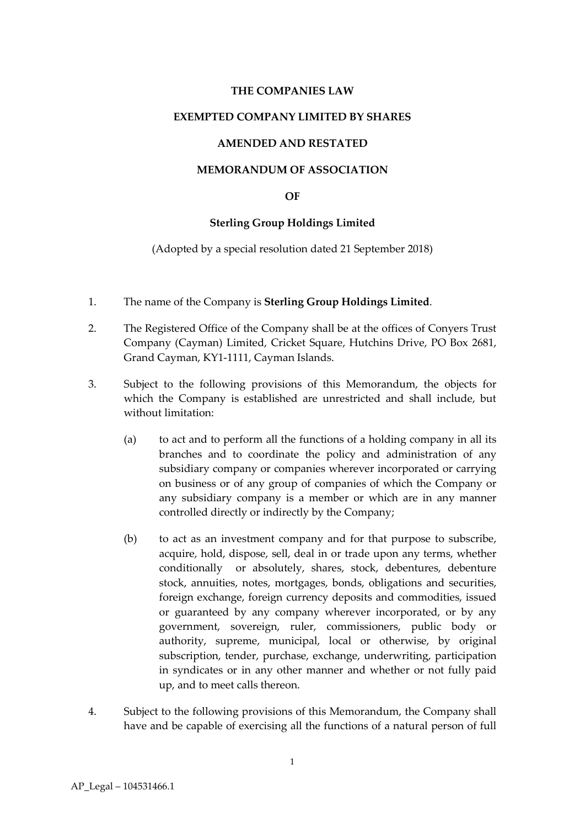## **THE COMPANIES LAW**

### **EXEMPTED COMPANY LIMITED BY SHARES**

## **AMENDED AND RESTATED**

## **MEMORANDUM OF ASSOCIATION**

### **OF**

# **Sterling Group Holdings Limited**

(Adopted by a special resolution dated 21 September 2018)

- 1. The name of the Company is **Sterling Group Holdings Limited**.
- 2. The Registered Office of the Company shall be at the offices of Conyers Trust Company (Cayman) Limited, Cricket Square, Hutchins Drive, PO Box 2681, Grand Cayman, KY1-1111, Cayman Islands.
- 3. Subject to the following provisions of this Memorandum, the objects for which the Company is established are unrestricted and shall include, but without limitation:
	- (a) to act and to perform all the functions of a holding company in all its branches and to coordinate the policy and administration of any subsidiary company or companies wherever incorporated or carrying on business or of any group of companies of which the Company or any subsidiary company is a member or which are in any manner controlled directly or indirectly by the Company;
	- (b) to act as an investment company and for that purpose to subscribe, acquire, hold, dispose, sell, deal in or trade upon any terms, whether conditionally or absolutely, shares, stock, debentures, debenture stock, annuities, notes, mortgages, bonds, obligations and securities, foreign exchange, foreign currency deposits and commodities, issued or guaranteed by any company wherever incorporated, or by any government, sovereign, ruler, commissioners, public body or authority, supreme, municipal, local or otherwise, by original subscription, tender, purchase, exchange, underwriting, participation in syndicates or in any other manner and whether or not fully paid up, and to meet calls thereon.
- 4. Subject to the following provisions of this Memorandum, the Company shall have and be capable of exercising all the functions of a natural person of full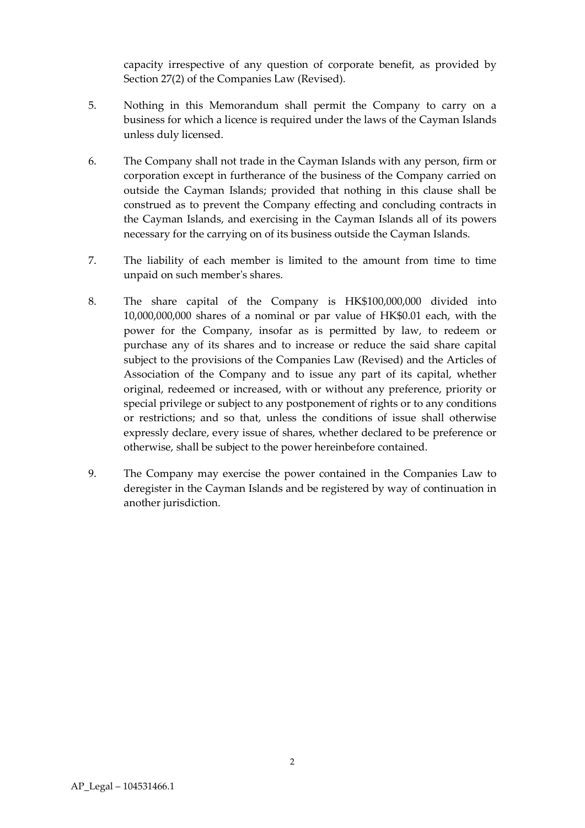capacity irrespective of any question of corporate benefit, as provided by Section 27(2) of the Companies Law (Revised).

- 5. Nothing in this Memorandum shall permit the Company to carry on a business for which a licence is required under the laws of the Cayman Islands unless duly licensed.
- 6. The Company shall not trade in the Cayman Islands with any person, firm or corporation except in furtherance of the business of the Company carried on outside the Cayman Islands; provided that nothing in this clause shall be construed as to prevent the Company effecting and concluding contracts in the Cayman Islands, and exercising in the Cayman Islands all of its powers necessary for the carrying on of its business outside the Cayman Islands.
- 7. The liability of each member is limited to the amount from time to time unpaid on such member's shares.
- 8. The share capital of the Company is HK\$100,000,000 divided into 10,000,000,000 shares of a nominal or par value of HK\$0.01 each, with the power for the Company, insofar as is permitted by law, to redeem or purchase any of its shares and to increase or reduce the said share capital subject to the provisions of the Companies Law (Revised) and the Articles of Association of the Company and to issue any part of its capital, whether original, redeemed or increased, with or without any preference, priority or special privilege or subject to any postponement of rights or to any conditions or restrictions; and so that, unless the conditions of issue shall otherwise expressly declare, every issue of shares, whether declared to be preference or otherwise, shall be subject to the power hereinbefore contained.
- 9. The Company may exercise the power contained in the Companies Law to deregister in the Cayman Islands and be registered by way of continuation in another jurisdiction.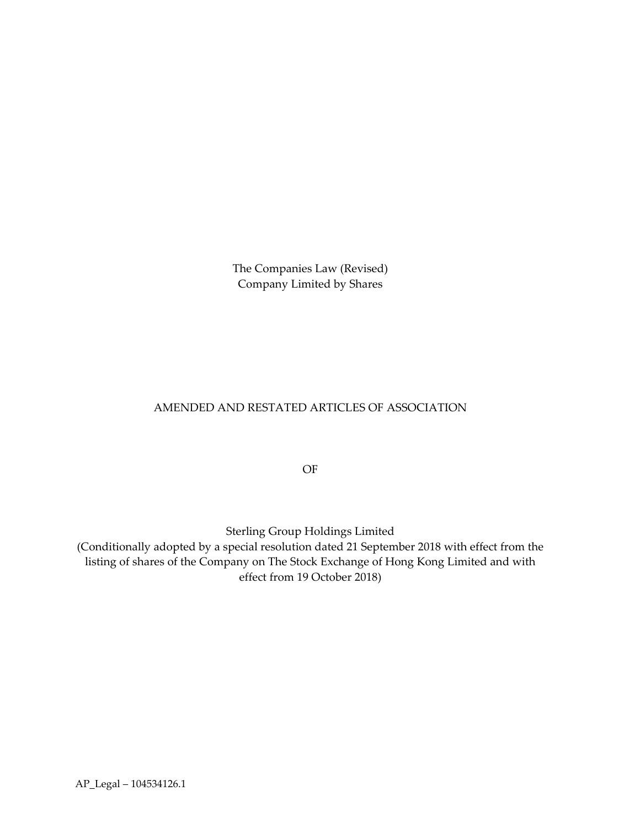The Companies Law (Revised) Company Limited by Shares

# AMENDED AND RESTATED ARTICLES OF ASSOCIATION

OF

Sterling Group Holdings Limited

(Conditionally adopted by a special resolution dated 21 September 2018 with effect from the listing of shares of the Company on The Stock Exchange of Hong Kong Limited and with effect from 19 October 2018)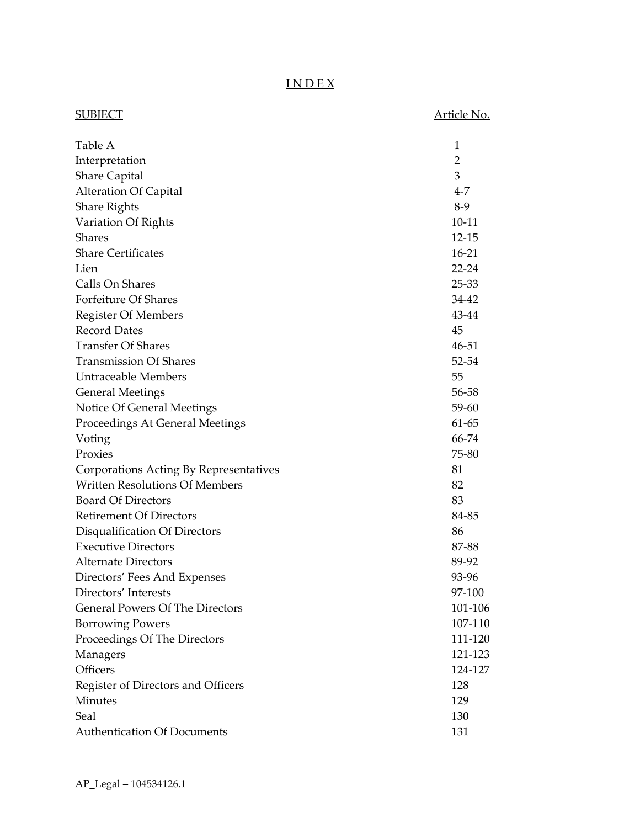# I N D E X

| <b>SUBJECT</b>                         | Article No.    |
|----------------------------------------|----------------|
| Table A                                | 1              |
| Interpretation                         | $\overline{2}$ |
| <b>Share Capital</b>                   | 3              |
| <b>Alteration Of Capital</b>           | $4 - 7$        |
| <b>Share Rights</b>                    | $8-9$          |
| Variation Of Rights                    | $10 - 11$      |
| <b>Shares</b>                          | $12 - 15$      |
| <b>Share Certificates</b>              | $16-21$        |
| Lien                                   | $22 - 24$      |
| Calls On Shares                        | 25-33          |
| Forfeiture Of Shares                   | 34-42          |
| <b>Register Of Members</b>             | 43-44          |
| <b>Record Dates</b>                    | 45             |
| <b>Transfer Of Shares</b>              | 46-51          |
| <b>Transmission Of Shares</b>          | 52-54          |
| <b>Untraceable Members</b>             | 55             |
| <b>General Meetings</b>                | 56-58          |
| Notice Of General Meetings             | 59-60          |
| Proceedings At General Meetings        | 61-65          |
| Voting                                 | 66-74          |
| Proxies                                | 75-80          |
| Corporations Acting By Representatives | 81             |
| <b>Written Resolutions Of Members</b>  | 82             |
| <b>Board Of Directors</b>              | 83             |
| <b>Retirement Of Directors</b>         | 84-85          |
| Disqualification Of Directors          | 86             |
| <b>Executive Directors</b>             | 87-88          |
| <b>Alternate Directors</b>             | 89-92          |
| Directors' Fees And Expenses           | 93-96          |
| Directors' Interests                   | 97-100         |
| <b>General Powers Of The Directors</b> | 101-106        |
| <b>Borrowing Powers</b>                | 107-110        |
| Proceedings Of The Directors           | 111-120        |
| Managers                               | 121-123        |
| Officers                               | 124-127        |
| Register of Directors and Officers     | 128            |
| Minutes                                | 129            |
| Seal                                   | 130            |
| <b>Authentication Of Documents</b>     | 131            |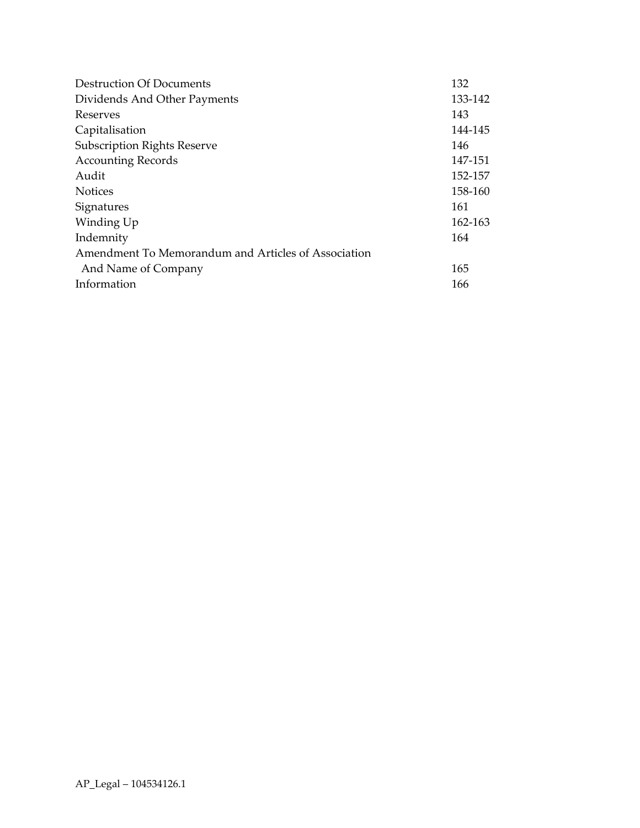| <b>Destruction Of Documents</b>                     | 132     |
|-----------------------------------------------------|---------|
| Dividends And Other Payments                        | 133-142 |
| Reserves                                            | 143     |
| Capitalisation                                      | 144-145 |
| <b>Subscription Rights Reserve</b>                  | 146     |
| <b>Accounting Records</b>                           | 147-151 |
| Audit                                               | 152-157 |
| <b>Notices</b>                                      | 158-160 |
| Signatures                                          | 161     |
| Winding Up                                          | 162-163 |
| Indemnity                                           | 164     |
| Amendment To Memorandum and Articles of Association |         |
| And Name of Company                                 | 165     |
| Information                                         | 166     |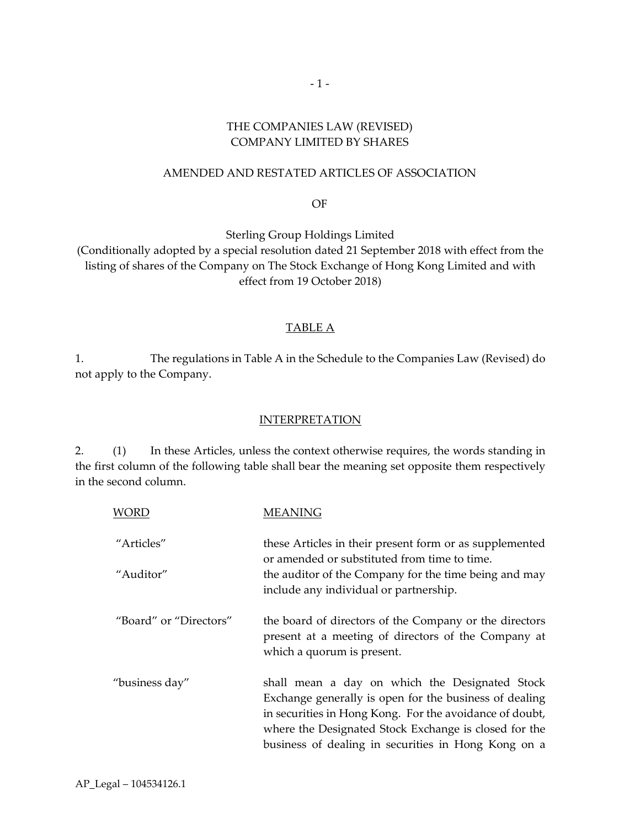# THE COMPANIES LAW (REVISED) COMPANY LIMITED BY SHARES

## AMENDED AND RESTATED ARTICLES OF ASSOCIATION

OF

Sterling Group Holdings Limited (Conditionally adopted by a special resolution dated 21 September 2018 with effect from the listing of shares of the Company on The Stock Exchange of Hong Kong Limited and with effect from 19 October 2018)

## TABLE A

1. The regulations in Table A in the Schedule to the Companies Law (Revised) do not apply to the Company.

#### INTERPRETATION

2. (1) In these Articles, unless the context otherwise requires, the words standing in the first column of the following table shall bear the meaning set opposite them respectively in the second column.

| <b>WORD</b>            | <b>MEANING</b>                                                                                                                                                                                                                                                                      |
|------------------------|-------------------------------------------------------------------------------------------------------------------------------------------------------------------------------------------------------------------------------------------------------------------------------------|
| "Articles"             | these Articles in their present form or as supplemented<br>or amended or substituted from time to time.                                                                                                                                                                             |
| "Auditor"              | the auditor of the Company for the time being and may<br>include any individual or partnership.                                                                                                                                                                                     |
| "Board" or "Directors" | the board of directors of the Company or the directors<br>present at a meeting of directors of the Company at<br>which a quorum is present.                                                                                                                                         |
| "business day"         | shall mean a day on which the Designated Stock<br>Exchange generally is open for the business of dealing<br>in securities in Hong Kong. For the avoidance of doubt,<br>where the Designated Stock Exchange is closed for the<br>business of dealing in securities in Hong Kong on a |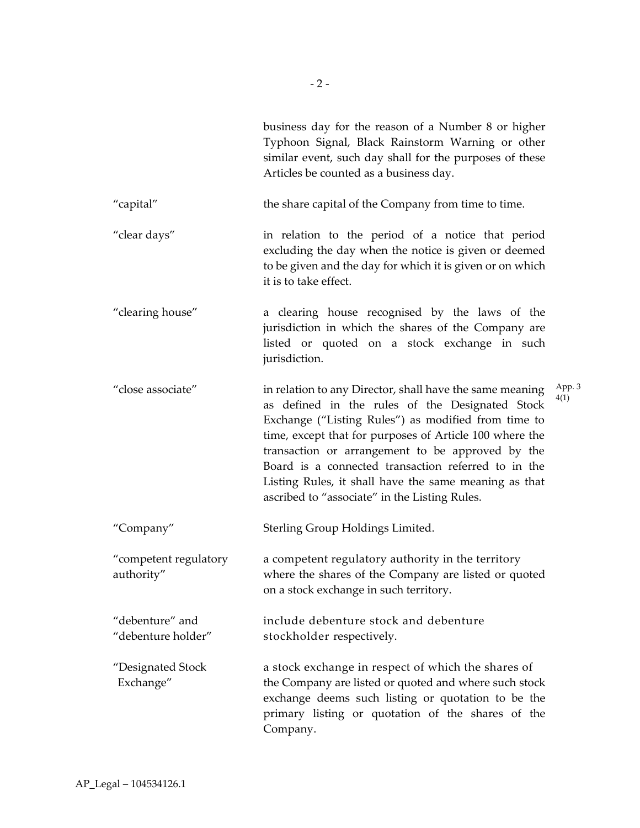|                                       | business day for the reason of a Number 8 or higher<br>Typhoon Signal, Black Rainstorm Warning or other<br>similar event, such day shall for the purposes of these<br>Articles be counted as a business day.                                                                                                                                                                                                                                       |                |
|---------------------------------------|----------------------------------------------------------------------------------------------------------------------------------------------------------------------------------------------------------------------------------------------------------------------------------------------------------------------------------------------------------------------------------------------------------------------------------------------------|----------------|
| "capital"                             | the share capital of the Company from time to time.                                                                                                                                                                                                                                                                                                                                                                                                |                |
| "clear days"                          | in relation to the period of a notice that period<br>excluding the day when the notice is given or deemed<br>to be given and the day for which it is given or on which<br>it is to take effect.                                                                                                                                                                                                                                                    |                |
| "clearing house"                      | a clearing house recognised by the laws of the<br>jurisdiction in which the shares of the Company are<br>listed or quoted on a stock exchange in such<br>jurisdiction.                                                                                                                                                                                                                                                                             |                |
| "close associate"                     | in relation to any Director, shall have the same meaning<br>as defined in the rules of the Designated Stock<br>Exchange ("Listing Rules") as modified from time to<br>time, except that for purposes of Article 100 where the<br>transaction or arrangement to be approved by the<br>Board is a connected transaction referred to in the<br>Listing Rules, it shall have the same meaning as that<br>ascribed to "associate" in the Listing Rules. | App. 3<br>4(1) |
| "Company"                             | Sterling Group Holdings Limited.                                                                                                                                                                                                                                                                                                                                                                                                                   |                |
| "competent regulatory<br>authority"   | a competent regulatory authority in the territory<br>where the shares of the Company are listed or quoted<br>on a stock exchange in such territory.                                                                                                                                                                                                                                                                                                |                |
| "debenture" and<br>"debenture holder" | include debenture stock and debenture<br>stockholder respectively.                                                                                                                                                                                                                                                                                                                                                                                 |                |
| "Designated Stock<br>Exchange"        | a stock exchange in respect of which the shares of<br>the Company are listed or quoted and where such stock<br>exchange deems such listing or quotation to be the<br>primary listing or quotation of the shares of the<br>Company.                                                                                                                                                                                                                 |                |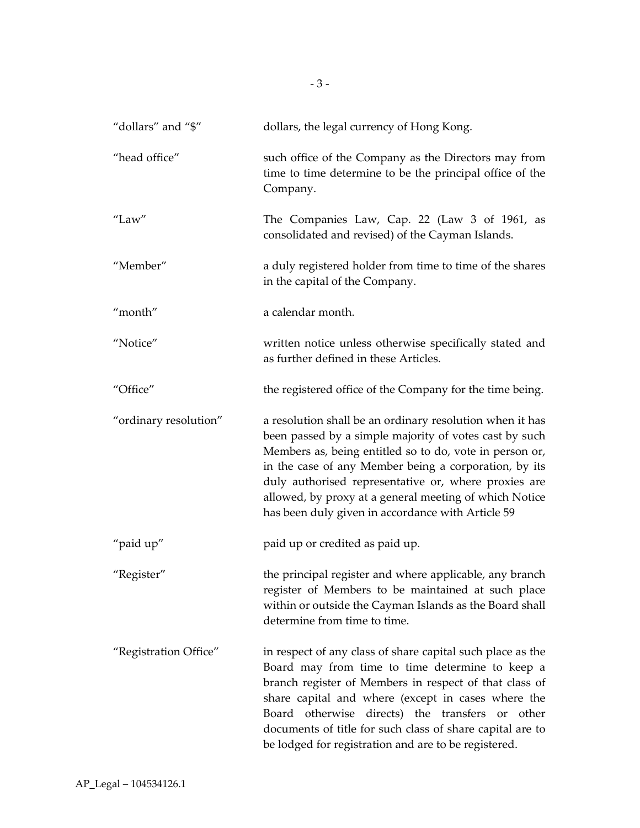| "dollars" and "\$"    | dollars, the legal currency of Hong Kong.                                                                                                                                                                                                                                                                                                                                                                     |
|-----------------------|---------------------------------------------------------------------------------------------------------------------------------------------------------------------------------------------------------------------------------------------------------------------------------------------------------------------------------------------------------------------------------------------------------------|
| "head office"         | such office of the Company as the Directors may from<br>time to time determine to be the principal office of the<br>Company.                                                                                                                                                                                                                                                                                  |
| "Law"                 | The Companies Law, Cap. 22 (Law 3 of 1961, as<br>consolidated and revised) of the Cayman Islands.                                                                                                                                                                                                                                                                                                             |
| "Member"              | a duly registered holder from time to time of the shares<br>in the capital of the Company.                                                                                                                                                                                                                                                                                                                    |
| "month"               | a calendar month.                                                                                                                                                                                                                                                                                                                                                                                             |
| "Notice"              | written notice unless otherwise specifically stated and<br>as further defined in these Articles.                                                                                                                                                                                                                                                                                                              |
| "Office"              | the registered office of the Company for the time being.                                                                                                                                                                                                                                                                                                                                                      |
| "ordinary resolution" | a resolution shall be an ordinary resolution when it has<br>been passed by a simple majority of votes cast by such<br>Members as, being entitled so to do, vote in person or,<br>in the case of any Member being a corporation, by its<br>duly authorised representative or, where proxies are<br>allowed, by proxy at a general meeting of which Notice<br>has been duly given in accordance with Article 59 |
| "paid up"             | paid up or credited as paid up.                                                                                                                                                                                                                                                                                                                                                                               |
| "Register"            | the principal register and where applicable, any branch<br>register of Members to be maintained at such place<br>within or outside the Cayman Islands as the Board shall<br>determine from time to time.                                                                                                                                                                                                      |
| "Registration Office" | in respect of any class of share capital such place as the<br>Board may from time to time determine to keep a<br>branch register of Members in respect of that class of<br>share capital and where (except in cases where the<br>Board otherwise directs) the transfers or<br>other<br>documents of title for such class of share capital are to<br>be lodged for registration and are to be registered.      |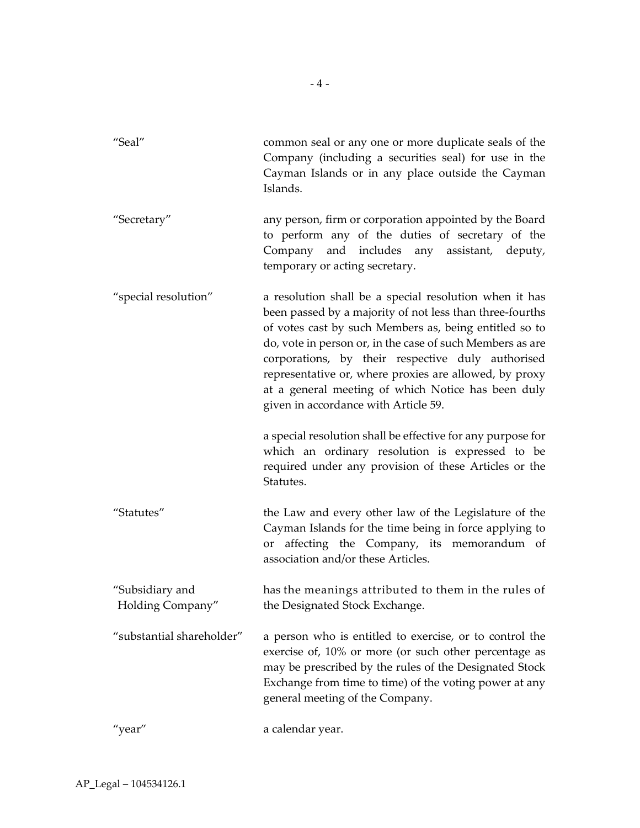| "Seal"                              | common seal or any one or more duplicate seals of the<br>Company (including a securities seal) for use in the<br>Cayman Islands or in any place outside the Cayman<br>Islands.                                                                                                                                                                                                                                                                         |
|-------------------------------------|--------------------------------------------------------------------------------------------------------------------------------------------------------------------------------------------------------------------------------------------------------------------------------------------------------------------------------------------------------------------------------------------------------------------------------------------------------|
| "Secretary"                         | any person, firm or corporation appointed by the Board<br>to perform any of the duties of secretary of the<br>Company and includes any assistant, deputy,<br>temporary or acting secretary.                                                                                                                                                                                                                                                            |
| "special resolution"                | a resolution shall be a special resolution when it has<br>been passed by a majority of not less than three-fourths<br>of votes cast by such Members as, being entitled so to<br>do, vote in person or, in the case of such Members as are<br>corporations, by their respective duly authorised<br>representative or, where proxies are allowed, by proxy<br>at a general meeting of which Notice has been duly<br>given in accordance with Article 59. |
|                                     | a special resolution shall be effective for any purpose for<br>which an ordinary resolution is expressed to be<br>required under any provision of these Articles or the<br>Statutes.                                                                                                                                                                                                                                                                   |
| "Statutes"                          | the Law and every other law of the Legislature of the<br>Cayman Islands for the time being in force applying to<br>or affecting the Company, its memorandum of<br>association and/or these Articles.                                                                                                                                                                                                                                                   |
| "Subsidiary and<br>Holding Company" | has the meanings attributed to them in the rules of<br>the Designated Stock Exchange.                                                                                                                                                                                                                                                                                                                                                                  |
| "substantial shareholder"           | a person who is entitled to exercise, or to control the<br>exercise of, 10% or more (or such other percentage as<br>may be prescribed by the rules of the Designated Stock<br>Exchange from time to time) of the voting power at any<br>general meeting of the Company.                                                                                                                                                                                |
| "year"                              | a calendar year.                                                                                                                                                                                                                                                                                                                                                                                                                                       |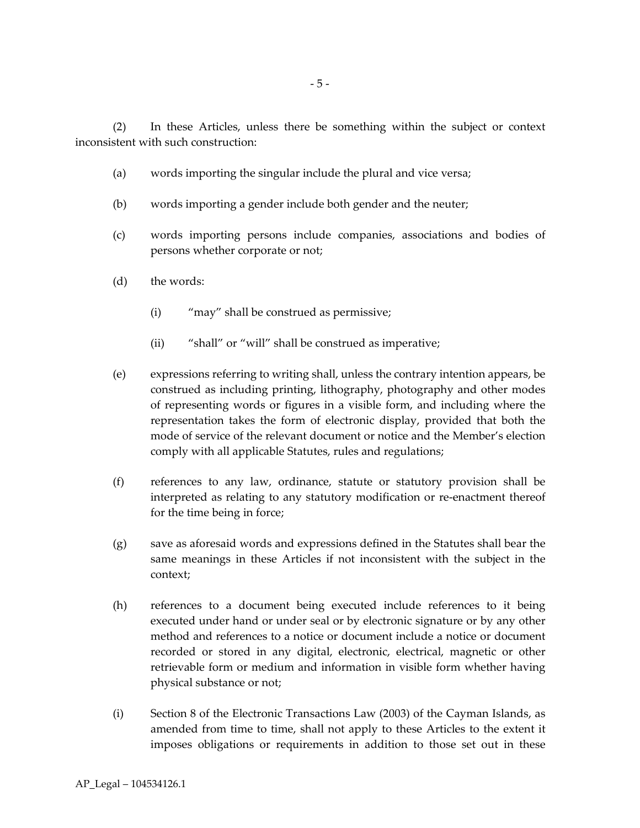(2) In these Articles, unless there be something within the subject or context inconsistent with such construction:

- (a) words importing the singular include the plural and vice versa;
- (b) words importing a gender include both gender and the neuter;
- (c) words importing persons include companies, associations and bodies of persons whether corporate or not;
- (d) the words:
	- (i) "may" shall be construed as permissive;
	- (ii) "shall" or "will" shall be construed as imperative;
- (e) expressions referring to writing shall, unless the contrary intention appears, be construed as including printing, lithography, photography and other modes of representing words or figures in a visible form, and including where the representation takes the form of electronic display, provided that both the mode of service of the relevant document or notice and the Member's election comply with all applicable Statutes, rules and regulations;
- (f) references to any law, ordinance, statute or statutory provision shall be interpreted as relating to any statutory modification or re-enactment thereof for the time being in force;
- (g) save as aforesaid words and expressions defined in the Statutes shall bear the same meanings in these Articles if not inconsistent with the subject in the context;
- (h) references to a document being executed include references to it being executed under hand or under seal or by electronic signature or by any other method and references to a notice or document include a notice or document recorded or stored in any digital, electronic, electrical, magnetic or other retrievable form or medium and information in visible form whether having physical substance or not;
- (i) Section 8 of the Electronic Transactions Law (2003) of the Cayman Islands, as amended from time to time, shall not apply to these Articles to the extent it imposes obligations or requirements in addition to those set out in these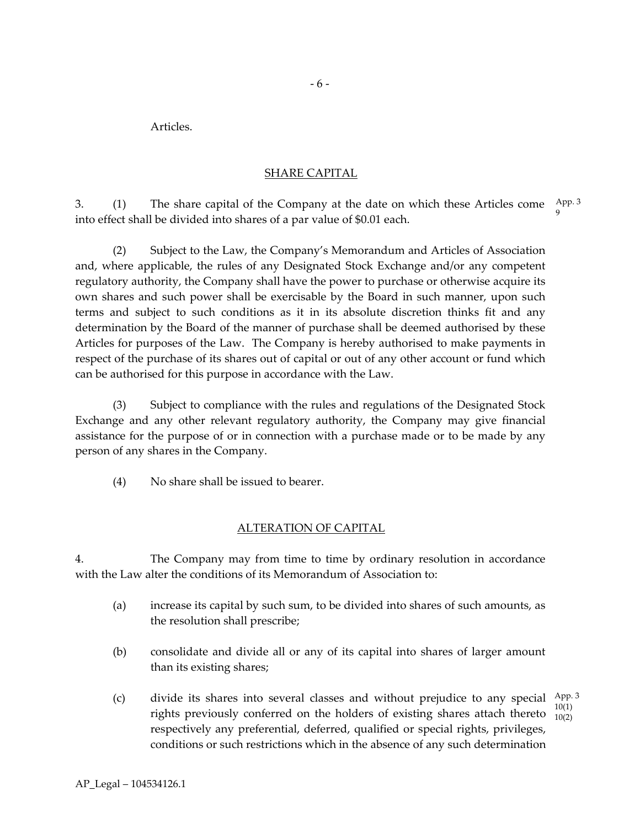Articles.

## SHARE CAPITAL

3. (1) The share capital of the Company at the date on which these Articles come App. 3 into effect shall be divided into shares of a par value of \$0.01 each. 9

(2) Subject to the Law, the Company's Memorandum and Articles of Association and, where applicable, the rules of any Designated Stock Exchange and/or any competent regulatory authority, the Company shall have the power to purchase or otherwise acquire its own shares and such power shall be exercisable by the Board in such manner, upon such terms and subject to such conditions as it in its absolute discretion thinks fit and any determination by the Board of the manner of purchase shall be deemed authorised by these Articles for purposes of the Law. The Company is hereby authorised to make payments in respect of the purchase of its shares out of capital or out of any other account or fund which can be authorised for this purpose in accordance with the Law.

(3) Subject to compliance with the rules and regulations of the Designated Stock Exchange and any other relevant regulatory authority, the Company may give financial assistance for the purpose of or in connection with a purchase made or to be made by any person of any shares in the Company.

(4) No share shall be issued to bearer.

# ALTERATION OF CAPITAL

4. The Company may from time to time by ordinary resolution in accordance with the Law alter the conditions of its Memorandum of Association to:

- (a) increase its capital by such sum, to be divided into shares of such amounts, as the resolution shall prescribe;
- (b) consolidate and divide all or any of its capital into shares of larger amount than its existing shares;
- (c) divide its shares into several classes and without prejudice to any special  $\frac{\text{App. 3}}{\text{App. 3}}$ rights previously conferred on the holders of existing shares attach thereto  $\frac{10(1)}{10(2)}$ respectively any preferential, deferred, qualified or special rights, privileges, conditions or such restrictions which in the absence of any such determination 10(1)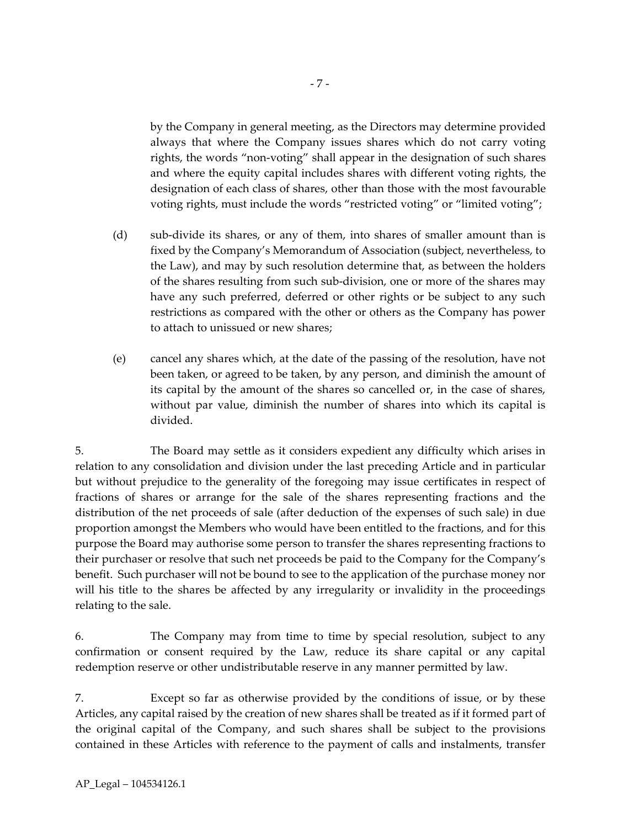by the Company in general meeting, as the Directors may determine provided always that where the Company issues shares which do not carry voting rights, the words "non-voting" shall appear in the designation of such shares and where the equity capital includes shares with different voting rights, the designation of each class of shares, other than those with the most favourable voting rights, must include the words "restricted voting" or "limited voting";

- (d) sub-divide its shares, or any of them, into shares of smaller amount than is fixed by the Company's Memorandum of Association (subject, nevertheless, to the Law), and may by such resolution determine that, as between the holders of the shares resulting from such sub-division, one or more of the shares may have any such preferred, deferred or other rights or be subject to any such restrictions as compared with the other or others as the Company has power to attach to unissued or new shares;
- (e) cancel any shares which, at the date of the passing of the resolution, have not been taken, or agreed to be taken, by any person, and diminish the amount of its capital by the amount of the shares so cancelled or, in the case of shares, without par value, diminish the number of shares into which its capital is divided.

5. The Board may settle as it considers expedient any difficulty which arises in relation to any consolidation and division under the last preceding Article and in particular but without prejudice to the generality of the foregoing may issue certificates in respect of fractions of shares or arrange for the sale of the shares representing fractions and the distribution of the net proceeds of sale (after deduction of the expenses of such sale) in due proportion amongst the Members who would have been entitled to the fractions, and for this purpose the Board may authorise some person to transfer the shares representing fractions to their purchaser or resolve that such net proceeds be paid to the Company for the Company's benefit. Such purchaser will not be bound to see to the application of the purchase money nor will his title to the shares be affected by any irregularity or invalidity in the proceedings relating to the sale.

6. The Company may from time to time by special resolution, subject to any confirmation or consent required by the Law, reduce its share capital or any capital redemption reserve or other undistributable reserve in any manner permitted by law.

7. Except so far as otherwise provided by the conditions of issue, or by these Articles, any capital raised by the creation of new shares shall be treated as if it formed part of the original capital of the Company, and such shares shall be subject to the provisions contained in these Articles with reference to the payment of calls and instalments, transfer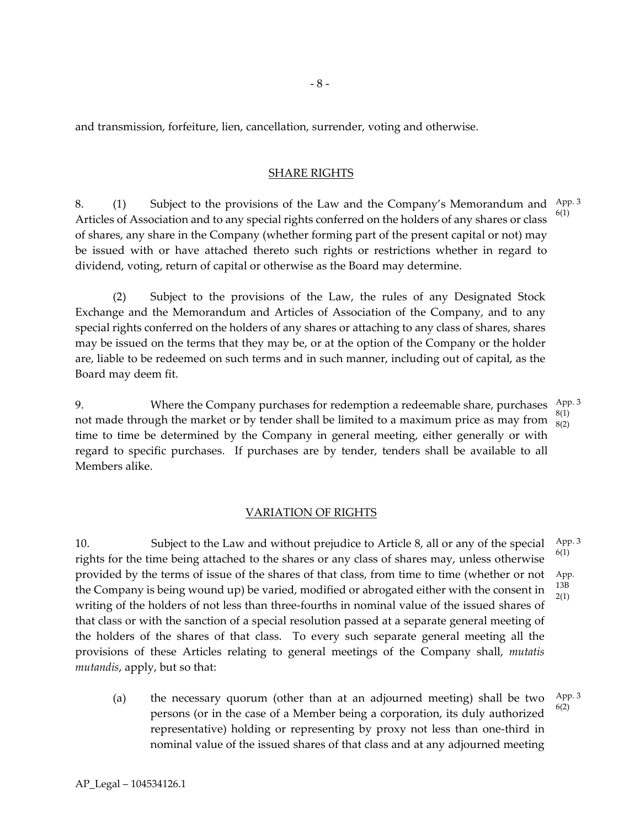and transmission, forfeiture, lien, cancellation, surrender, voting and otherwise.

#### SHARE RIGHTS

8. (1) Subject to the provisions of the Law and the Company's Memorandum and App. 3 Articles of Association and to any special rights conferred on the holders of any shares or class of shares, any share in the Company (whether forming part of the present capital or not) may be issued with or have attached thereto such rights or restrictions whether in regard to dividend, voting, return of capital or otherwise as the Board may determine.  $5(1)$ 

(2) Subject to the provisions of the Law, the rules of any Designated Stock Exchange and the Memorandum and Articles of Association of the Company, and to any special rights conferred on the holders of any shares or attaching to any class of shares, shares may be issued on the terms that they may be, or at the option of the Company or the holder are, liable to be redeemed on such terms and in such manner, including out of capital, as the Board may deem fit.

9. Where the Company purchases for redemption a redeemable share, purchases  $\frac{\text{App. 3}}{\text{app. 3}}$ not made through the market or by tender shall be limited to a maximum price as may from  $\frac{8(1)}{8(2)}$ time to time be determined by the Company in general meeting, either generally or with regard to specific purchases. If purchases are by tender, tenders shall be available to all Members alike. 8(2)

#### VARIATION OF RIGHTS

10. Subject to the Law and without prejudice to Article 8, all or any of the special rights for the time being attached to the shares or any class of shares may, unless otherwise provided by the terms of issue of the shares of that class, from time to time (whether or not the Company is being wound up) be varied, modified or abrogated either with the consent in writing of the holders of not less than three-fourths in nominal value of the issued shares of that class or with the sanction of a special resolution passed at a separate general meeting of the holders of the shares of that class. To every such separate general meeting all the provisions of these Articles relating to general meetings of the Company shall, *mutatis mutandis*, apply, but so that: App. 3 6(1) App. 13B 2(1)

(a) the necessary quorum (other than at an adjourned meeting) shall be two persons (or in the case of a Member being a corporation, its duly authorized representative) holding or representing by proxy not less than one-third in nominal value of the issued shares of that class and at any adjourned meeting App. 3 6(2)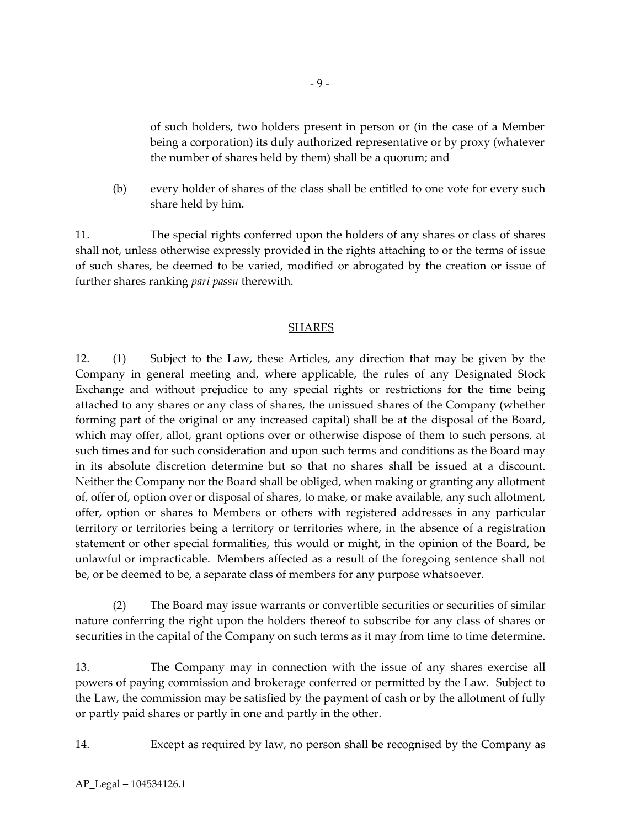of such holders, two holders present in person or (in the case of a Member being a corporation) its duly authorized representative or by proxy (whatever the number of shares held by them) shall be a quorum; and

(b) every holder of shares of the class shall be entitled to one vote for every such share held by him.

11. The special rights conferred upon the holders of any shares or class of shares shall not, unless otherwise expressly provided in the rights attaching to or the terms of issue of such shares, be deemed to be varied, modified or abrogated by the creation or issue of further shares ranking *pari passu* therewith.

#### SHARES

12. (1) Subject to the Law, these Articles, any direction that may be given by the Company in general meeting and, where applicable, the rules of any Designated Stock Exchange and without prejudice to any special rights or restrictions for the time being attached to any shares or any class of shares, the unissued shares of the Company (whether forming part of the original or any increased capital) shall be at the disposal of the Board, which may offer, allot, grant options over or otherwise dispose of them to such persons, at such times and for such consideration and upon such terms and conditions as the Board may in its absolute discretion determine but so that no shares shall be issued at a discount. Neither the Company nor the Board shall be obliged, when making or granting any allotment of, offer of, option over or disposal of shares, to make, or make available, any such allotment, offer, option or shares to Members or others with registered addresses in any particular territory or territories being a territory or territories where, in the absence of a registration statement or other special formalities, this would or might, in the opinion of the Board, be unlawful or impracticable. Members affected as a result of the foregoing sentence shall not be, or be deemed to be, a separate class of members for any purpose whatsoever.

(2) The Board may issue warrants or convertible securities or securities of similar nature conferring the right upon the holders thereof to subscribe for any class of shares or securities in the capital of the Company on such terms as it may from time to time determine.

13. The Company may in connection with the issue of any shares exercise all powers of paying commission and brokerage conferred or permitted by the Law. Subject to the Law, the commission may be satisfied by the payment of cash or by the allotment of fully or partly paid shares or partly in one and partly in the other.

14. Except as required by law, no person shall be recognised by the Company as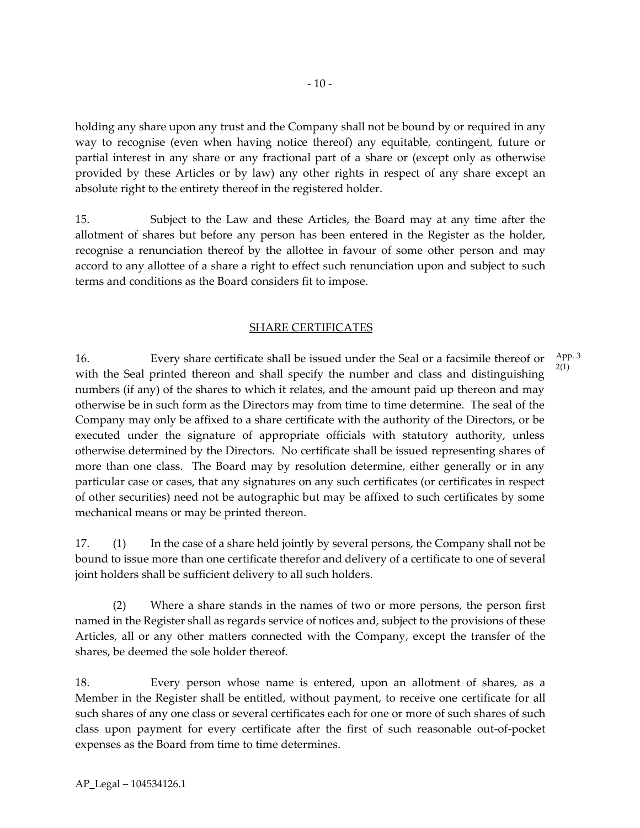holding any share upon any trust and the Company shall not be bound by or required in any way to recognise (even when having notice thereof) any equitable, contingent, future or partial interest in any share or any fractional part of a share or (except only as otherwise provided by these Articles or by law) any other rights in respect of any share except an absolute right to the entirety thereof in the registered holder.

15. Subject to the Law and these Articles, the Board may at any time after the allotment of shares but before any person has been entered in the Register as the holder, recognise a renunciation thereof by the allottee in favour of some other person and may accord to any allottee of a share a right to effect such renunciation upon and subject to such terms and conditions as the Board considers fit to impose.

# SHARE CERTIFICATES

16. Every share certificate shall be issued under the Seal or a facsimile thereof or with the Seal printed thereon and shall specify the number and class and distinguishing numbers (if any) of the shares to which it relates, and the amount paid up thereon and may otherwise be in such form as the Directors may from time to time determine. The seal of the Company may only be affixed to a share certificate with the authority of the Directors, or be executed under the signature of appropriate officials with statutory authority, unless otherwise determined by the Directors. No certificate shall be issued representing shares of more than one class. The Board may by resolution determine, either generally or in any particular case or cases, that any signatures on any such certificates (or certificates in respect of other securities) need not be autographic but may be affixed to such certificates by some mechanical means or may be printed thereon. App. 3 2(1)

17. (1) In the case of a share held jointly by several persons, the Company shall not be bound to issue more than one certificate therefor and delivery of a certificate to one of several joint holders shall be sufficient delivery to all such holders.

(2) Where a share stands in the names of two or more persons, the person first named in the Register shall as regards service of notices and, subject to the provisions of these Articles, all or any other matters connected with the Company, except the transfer of the shares, be deemed the sole holder thereof.

18. Every person whose name is entered, upon an allotment of shares, as a Member in the Register shall be entitled, without payment, to receive one certificate for all such shares of any one class or several certificates each for one or more of such shares of such class upon payment for every certificate after the first of such reasonable out-of-pocket expenses as the Board from time to time determines.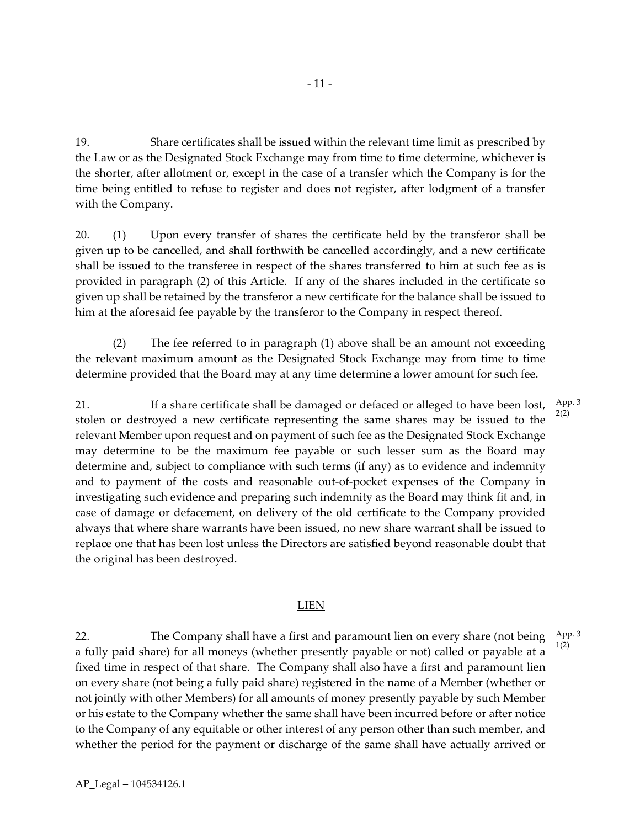19. Share certificates shall be issued within the relevant time limit as prescribed by the Law or as the Designated Stock Exchange may from time to time determine, whichever is the shorter, after allotment or, except in the case of a transfer which the Company is for the time being entitled to refuse to register and does not register, after lodgment of a transfer with the Company.

20. (1) Upon every transfer of shares the certificate held by the transferor shall be given up to be cancelled, and shall forthwith be cancelled accordingly, and a new certificate shall be issued to the transferee in respect of the shares transferred to him at such fee as is provided in paragraph (2) of this Article. If any of the shares included in the certificate so given up shall be retained by the transferor a new certificate for the balance shall be issued to him at the aforesaid fee payable by the transferor to the Company in respect thereof.

(2) The fee referred to in paragraph (1) above shall be an amount not exceeding the relevant maximum amount as the Designated Stock Exchange may from time to time determine provided that the Board may at any time determine a lower amount for such fee.

21. If a share certificate shall be damaged or defaced or alleged to have been lost, stolen or destroyed a new certificate representing the same shares may be issued to the relevant Member upon request and on payment of such fee as the Designated Stock Exchange may determine to be the maximum fee payable or such lesser sum as the Board may determine and, subject to compliance with such terms (if any) as to evidence and indemnity and to payment of the costs and reasonable out-of-pocket expenses of the Company in investigating such evidence and preparing such indemnity as the Board may think fit and, in case of damage or defacement, on delivery of the old certificate to the Company provided always that where share warrants have been issued, no new share warrant shall be issued to replace one that has been lost unless the Directors are satisfied beyond reasonable doubt that the original has been destroyed.

#### LIEN

22. The Company shall have a first and paramount lien on every share (not being a fully paid share) for all moneys (whether presently payable or not) called or payable at a fixed time in respect of that share. The Company shall also have a first and paramount lien on every share (not being a fully paid share) registered in the name of a Member (whether or not jointly with other Members) for all amounts of money presently payable by such Member or his estate to the Company whether the same shall have been incurred before or after notice to the Company of any equitable or other interest of any person other than such member, and whether the period for the payment or discharge of the same shall have actually arrived or App. 3 1(2)

App. 3 2(2)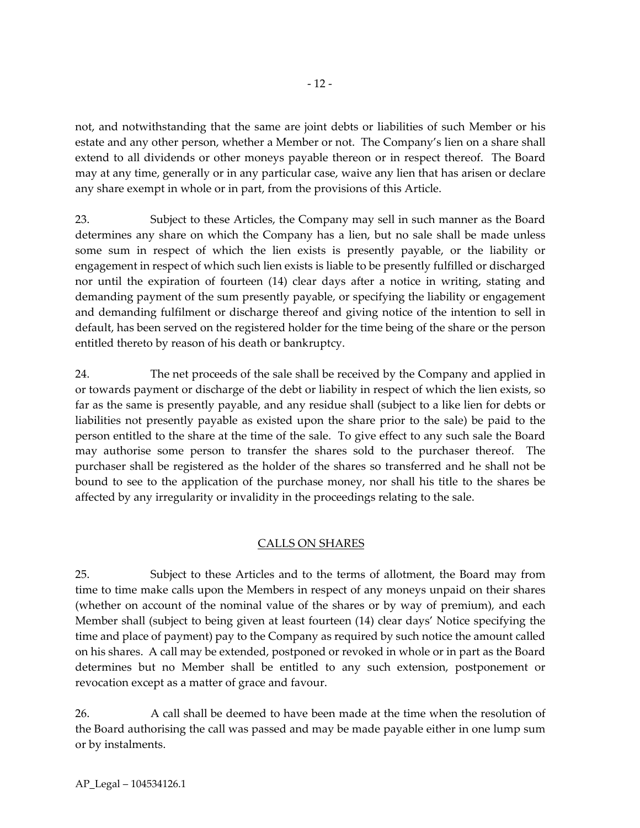not, and notwithstanding that the same are joint debts or liabilities of such Member or his estate and any other person, whether a Member or not. The Company's lien on a share shall extend to all dividends or other moneys payable thereon or in respect thereof. The Board may at any time, generally or in any particular case, waive any lien that has arisen or declare any share exempt in whole or in part, from the provisions of this Article.

23. Subject to these Articles, the Company may sell in such manner as the Board determines any share on which the Company has a lien, but no sale shall be made unless some sum in respect of which the lien exists is presently payable, or the liability or engagement in respect of which such lien exists is liable to be presently fulfilled or discharged nor until the expiration of fourteen (14) clear days after a notice in writing, stating and demanding payment of the sum presently payable, or specifying the liability or engagement and demanding fulfilment or discharge thereof and giving notice of the intention to sell in default, has been served on the registered holder for the time being of the share or the person entitled thereto by reason of his death or bankruptcy.

24. The net proceeds of the sale shall be received by the Company and applied in or towards payment or discharge of the debt or liability in respect of which the lien exists, so far as the same is presently payable, and any residue shall (subject to a like lien for debts or liabilities not presently payable as existed upon the share prior to the sale) be paid to the person entitled to the share at the time of the sale. To give effect to any such sale the Board may authorise some person to transfer the shares sold to the purchaser thereof. The purchaser shall be registered as the holder of the shares so transferred and he shall not be bound to see to the application of the purchase money, nor shall his title to the shares be affected by any irregularity or invalidity in the proceedings relating to the sale.

# CALLS ON SHARES

25. Subject to these Articles and to the terms of allotment, the Board may from time to time make calls upon the Members in respect of any moneys unpaid on their shares (whether on account of the nominal value of the shares or by way of premium), and each Member shall (subject to being given at least fourteen (14) clear days' Notice specifying the time and place of payment) pay to the Company as required by such notice the amount called on his shares. A call may be extended, postponed or revoked in whole or in part as the Board determines but no Member shall be entitled to any such extension, postponement or revocation except as a matter of grace and favour.

26. A call shall be deemed to have been made at the time when the resolution of the Board authorising the call was passed and may be made payable either in one lump sum or by instalments.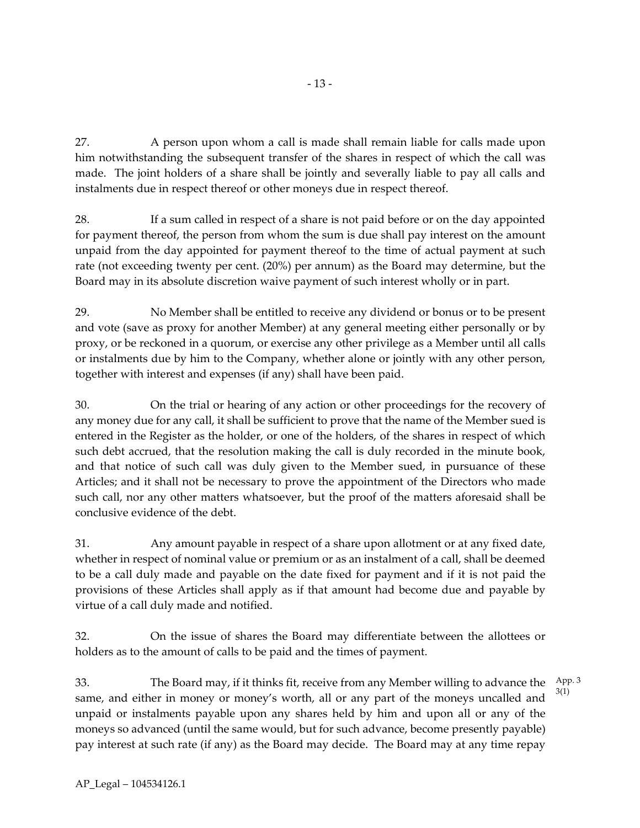- 13 -

27. A person upon whom a call is made shall remain liable for calls made upon him notwithstanding the subsequent transfer of the shares in respect of which the call was made. The joint holders of a share shall be jointly and severally liable to pay all calls and instalments due in respect thereof or other moneys due in respect thereof.

28. If a sum called in respect of a share is not paid before or on the day appointed for payment thereof, the person from whom the sum is due shall pay interest on the amount unpaid from the day appointed for payment thereof to the time of actual payment at such rate (not exceeding twenty per cent. (20%) per annum) as the Board may determine, but the Board may in its absolute discretion waive payment of such interest wholly or in part.

29. No Member shall be entitled to receive any dividend or bonus or to be present and vote (save as proxy for another Member) at any general meeting either personally or by proxy, or be reckoned in a quorum, or exercise any other privilege as a Member until all calls or instalments due by him to the Company, whether alone or jointly with any other person, together with interest and expenses (if any) shall have been paid.

30. On the trial or hearing of any action or other proceedings for the recovery of any money due for any call, it shall be sufficient to prove that the name of the Member sued is entered in the Register as the holder, or one of the holders, of the shares in respect of which such debt accrued, that the resolution making the call is duly recorded in the minute book, and that notice of such call was duly given to the Member sued, in pursuance of these Articles; and it shall not be necessary to prove the appointment of the Directors who made such call, nor any other matters whatsoever, but the proof of the matters aforesaid shall be conclusive evidence of the debt.

31. Any amount payable in respect of a share upon allotment or at any fixed date, whether in respect of nominal value or premium or as an instalment of a call, shall be deemed to be a call duly made and payable on the date fixed for payment and if it is not paid the provisions of these Articles shall apply as if that amount had become due and payable by virtue of a call duly made and notified.

32. On the issue of shares the Board may differentiate between the allottees or holders as to the amount of calls to be paid and the times of payment.

33. The Board may, if it thinks fit, receive from any Member willing to advance the same, and either in money or money's worth, all or any part of the moneys uncalled and unpaid or instalments payable upon any shares held by him and upon all or any of the moneys so advanced (until the same would, but for such advance, become presently payable) pay interest at such rate (if any) as the Board may decide. The Board may at any time repay App. 3 3(1)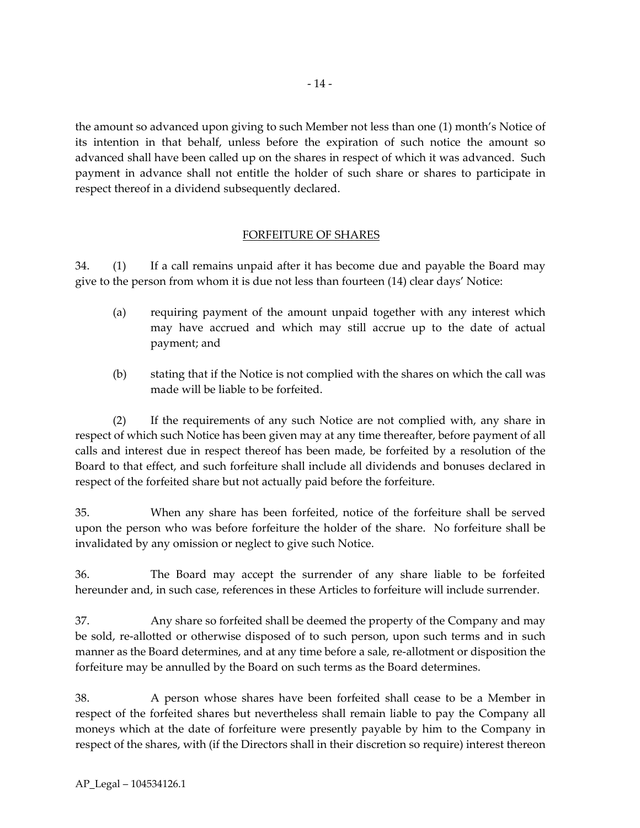the amount so advanced upon giving to such Member not less than one (1) month's Notice of its intention in that behalf, unless before the expiration of such notice the amount so advanced shall have been called up on the shares in respect of which it was advanced. Such payment in advance shall not entitle the holder of such share or shares to participate in respect thereof in a dividend subsequently declared.

# FORFEITURE OF SHARES

34. (1) If a call remains unpaid after it has become due and payable the Board may give to the person from whom it is due not less than fourteen (14) clear days' Notice:

- (a) requiring payment of the amount unpaid together with any interest which may have accrued and which may still accrue up to the date of actual payment; and
- (b) stating that if the Notice is not complied with the shares on which the call was made will be liable to be forfeited.

(2) If the requirements of any such Notice are not complied with, any share in respect of which such Notice has been given may at any time thereafter, before payment of all calls and interest due in respect thereof has been made, be forfeited by a resolution of the Board to that effect, and such forfeiture shall include all dividends and bonuses declared in respect of the forfeited share but not actually paid before the forfeiture.

35. When any share has been forfeited, notice of the forfeiture shall be served upon the person who was before forfeiture the holder of the share. No forfeiture shall be invalidated by any omission or neglect to give such Notice.

36. The Board may accept the surrender of any share liable to be forfeited hereunder and, in such case, references in these Articles to forfeiture will include surrender.

37. Any share so forfeited shall be deemed the property of the Company and may be sold, re-allotted or otherwise disposed of to such person, upon such terms and in such manner as the Board determines, and at any time before a sale, re-allotment or disposition the forfeiture may be annulled by the Board on such terms as the Board determines.

38. A person whose shares have been forfeited shall cease to be a Member in respect of the forfeited shares but nevertheless shall remain liable to pay the Company all moneys which at the date of forfeiture were presently payable by him to the Company in respect of the shares, with (if the Directors shall in their discretion so require) interest thereon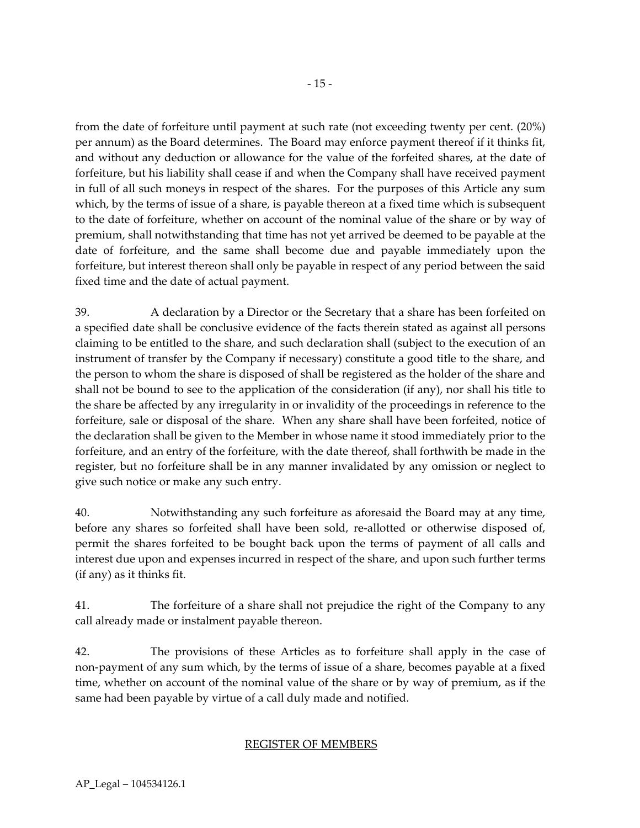from the date of forfeiture until payment at such rate (not exceeding twenty per cent. (20%) per annum) as the Board determines. The Board may enforce payment thereof if it thinks fit, and without any deduction or allowance for the value of the forfeited shares, at the date of forfeiture, but his liability shall cease if and when the Company shall have received payment in full of all such moneys in respect of the shares. For the purposes of this Article any sum which, by the terms of issue of a share, is payable thereon at a fixed time which is subsequent to the date of forfeiture, whether on account of the nominal value of the share or by way of premium, shall notwithstanding that time has not yet arrived be deemed to be payable at the date of forfeiture, and the same shall become due and payable immediately upon the forfeiture, but interest thereon shall only be payable in respect of any period between the said fixed time and the date of actual payment.

39. A declaration by a Director or the Secretary that a share has been forfeited on a specified date shall be conclusive evidence of the facts therein stated as against all persons claiming to be entitled to the share, and such declaration shall (subject to the execution of an instrument of transfer by the Company if necessary) constitute a good title to the share, and the person to whom the share is disposed of shall be registered as the holder of the share and shall not be bound to see to the application of the consideration (if any), nor shall his title to the share be affected by any irregularity in or invalidity of the proceedings in reference to the forfeiture, sale or disposal of the share. When any share shall have been forfeited, notice of the declaration shall be given to the Member in whose name it stood immediately prior to the forfeiture, and an entry of the forfeiture, with the date thereof, shall forthwith be made in the register, but no forfeiture shall be in any manner invalidated by any omission or neglect to give such notice or make any such entry.

40. Notwithstanding any such forfeiture as aforesaid the Board may at any time, before any shares so forfeited shall have been sold, re-allotted or otherwise disposed of, permit the shares forfeited to be bought back upon the terms of payment of all calls and interest due upon and expenses incurred in respect of the share, and upon such further terms (if any) as it thinks fit.

41. The forfeiture of a share shall not prejudice the right of the Company to any call already made or instalment payable thereon.

42. The provisions of these Articles as to forfeiture shall apply in the case of non-payment of any sum which, by the terms of issue of a share, becomes payable at a fixed time, whether on account of the nominal value of the share or by way of premium, as if the same had been payable by virtue of a call duly made and notified.

# REGISTER OF MEMBERS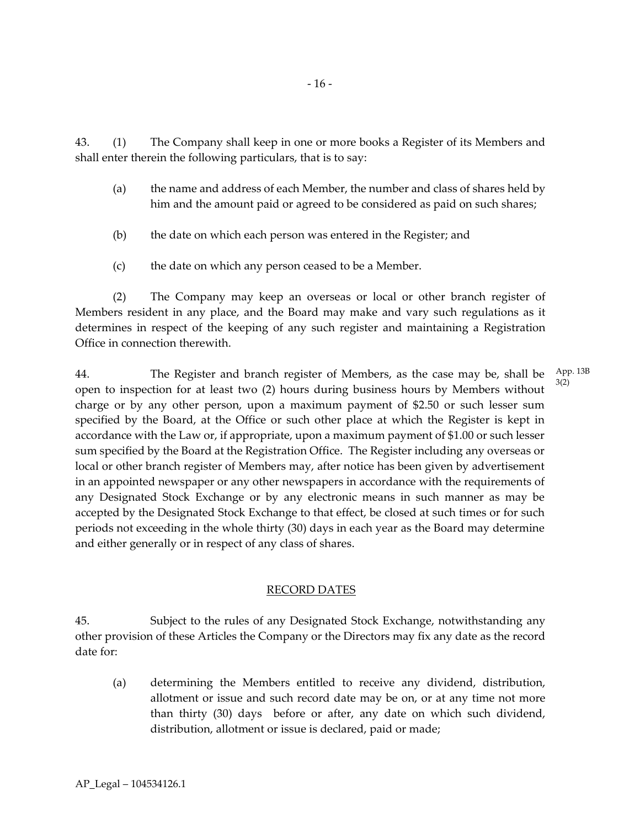43. (1) The Company shall keep in one or more books a Register of its Members and shall enter therein the following particulars, that is to say:

- (a) the name and address of each Member, the number and class of shares held by him and the amount paid or agreed to be considered as paid on such shares;
- (b) the date on which each person was entered in the Register; and
- (c) the date on which any person ceased to be a Member.

(2) The Company may keep an overseas or local or other branch register of Members resident in any place, and the Board may make and vary such regulations as it determines in respect of the keeping of any such register and maintaining a Registration Office in connection therewith.

44. The Register and branch register of Members, as the case may be, shall be open to inspection for at least two (2) hours during business hours by Members without charge or by any other person, upon a maximum payment of \$2.50 or such lesser sum specified by the Board, at the Office or such other place at which the Register is kept in accordance with the Law or, if appropriate, upon a maximum payment of \$1.00 or such lesser sum specified by the Board at the Registration Office. The Register including any overseas or local or other branch register of Members may, after notice has been given by advertisement in an appointed newspaper or any other newspapers in accordance with the requirements of any Designated Stock Exchange or by any electronic means in such manner as may be accepted by the Designated Stock Exchange to that effect, be closed at such times or for such periods not exceeding in the whole thirty (30) days in each year as the Board may determine and either generally or in respect of any class of shares. App. 13B 3(2)

#### RECORD DATES

45. Subject to the rules of any Designated Stock Exchange, notwithstanding any other provision of these Articles the Company or the Directors may fix any date as the record date for:

(a) determining the Members entitled to receive any dividend, distribution, allotment or issue and such record date may be on, or at any time not more than thirty (30) days before or after, any date on which such dividend, distribution, allotment or issue is declared, paid or made;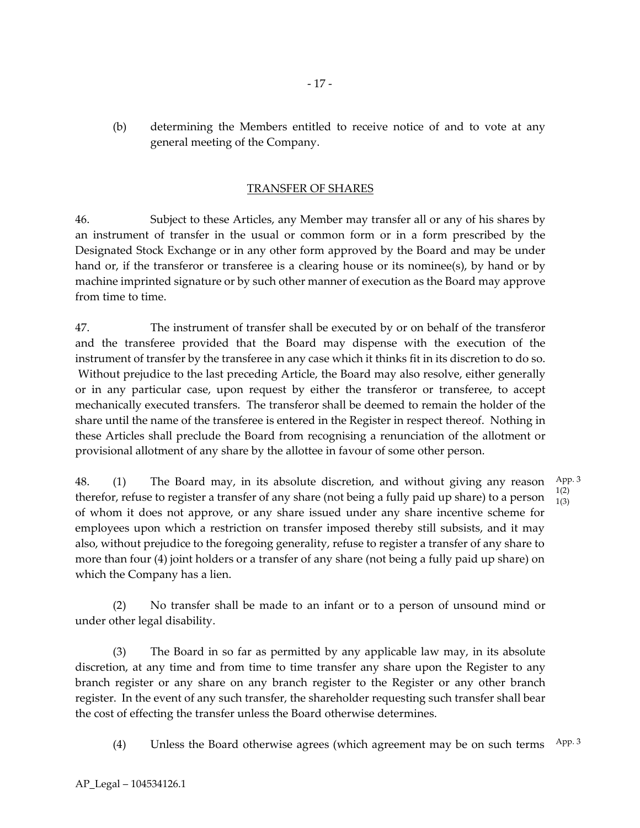(b) determining the Members entitled to receive notice of and to vote at any general meeting of the Company.

#### TRANSFER OF SHARES

46. Subject to these Articles, any Member may transfer all or any of his shares by an instrument of transfer in the usual or common form or in a form prescribed by the Designated Stock Exchange or in any other form approved by the Board and may be under hand or, if the transferor or transferee is a clearing house or its nominee(s), by hand or by machine imprinted signature or by such other manner of execution as the Board may approve from time to time.

47. The instrument of transfer shall be executed by or on behalf of the transferor and the transferee provided that the Board may dispense with the execution of the instrument of transfer by the transferee in any case which it thinks fit in its discretion to do so. Without prejudice to the last preceding Article, the Board may also resolve, either generally or in any particular case, upon request by either the transferor or transferee, to accept mechanically executed transfers. The transferor shall be deemed to remain the holder of the share until the name of the transferee is entered in the Register in respect thereof. Nothing in these Articles shall preclude the Board from recognising a renunciation of the allotment or provisional allotment of any share by the allottee in favour of some other person.

48. (1) The Board may, in its absolute discretion, and without giving any reason therefor, refuse to register a transfer of any share (not being a fully paid up share) to a person of whom it does not approve, or any share issued under any share incentive scheme for employees upon which a restriction on transfer imposed thereby still subsists, and it may also, without prejudice to the foregoing generality, refuse to register a transfer of any share to more than four (4) joint holders or a transfer of any share (not being a fully paid up share) on which the Company has a lien. App. 3 1(2) 1(3)

(2) No transfer shall be made to an infant or to a person of unsound mind or under other legal disability.

(3) The Board in so far as permitted by any applicable law may, in its absolute discretion, at any time and from time to time transfer any share upon the Register to any branch register or any share on any branch register to the Register or any other branch register. In the event of any such transfer, the shareholder requesting such transfer shall bear the cost of effecting the transfer unless the Board otherwise determines.

(4) Unless the Board otherwise agrees (which agreement may be on such terms  $\frac{App.3}{2}$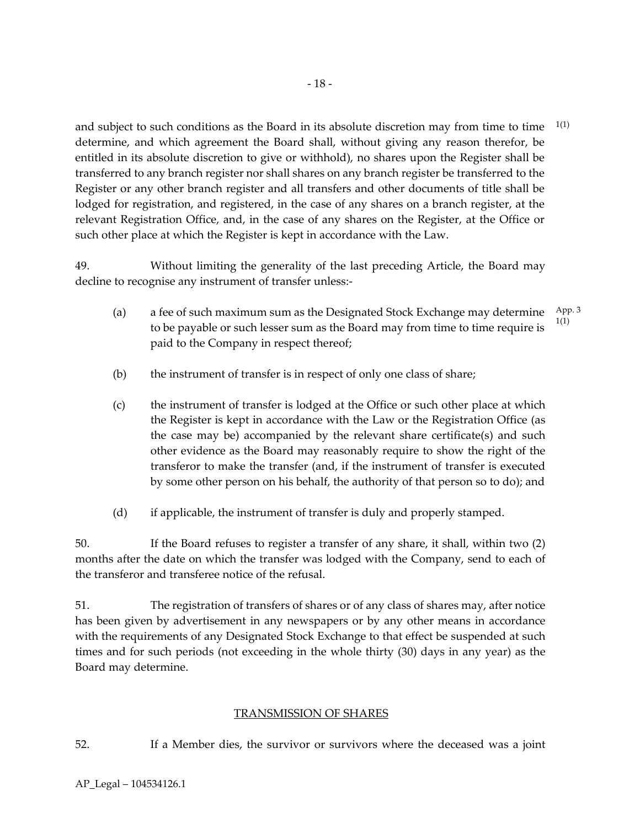and subject to such conditions as the Board in its absolute discretion may from time to time determine, and which agreement the Board shall, without giving any reason therefor, be entitled in its absolute discretion to give or withhold), no shares upon the Register shall be transferred to any branch register nor shall shares on any branch register be transferred to the Register or any other branch register and all transfers and other documents of title shall be lodged for registration, and registered, in the case of any shares on a branch register, at the relevant Registration Office, and, in the case of any shares on the Register, at the Office or such other place at which the Register is kept in accordance with the Law. 1(1)

49. Without limiting the generality of the last preceding Article, the Board may decline to recognise any instrument of transfer unless:-

- (a) a fee of such maximum sum as the Designated Stock Exchange may determine to be payable or such lesser sum as the Board may from time to time require is paid to the Company in respect thereof; App. 3 1(1)
- (b) the instrument of transfer is in respect of only one class of share;
- (c) the instrument of transfer is lodged at the Office or such other place at which the Register is kept in accordance with the Law or the Registration Office (as the case may be) accompanied by the relevant share certificate(s) and such other evidence as the Board may reasonably require to show the right of the transferor to make the transfer (and, if the instrument of transfer is executed by some other person on his behalf, the authority of that person so to do); and
- (d) if applicable, the instrument of transfer is duly and properly stamped.

50. If the Board refuses to register a transfer of any share, it shall, within two (2) months after the date on which the transfer was lodged with the Company, send to each of the transferor and transferee notice of the refusal.

51. The registration of transfers of shares or of any class of shares may, after notice has been given by advertisement in any newspapers or by any other means in accordance with the requirements of any Designated Stock Exchange to that effect be suspended at such times and for such periods (not exceeding in the whole thirty (30) days in any year) as the Board may determine.

# TRANSMISSION OF SHARES

52. If a Member dies, the survivor or survivors where the deceased was a joint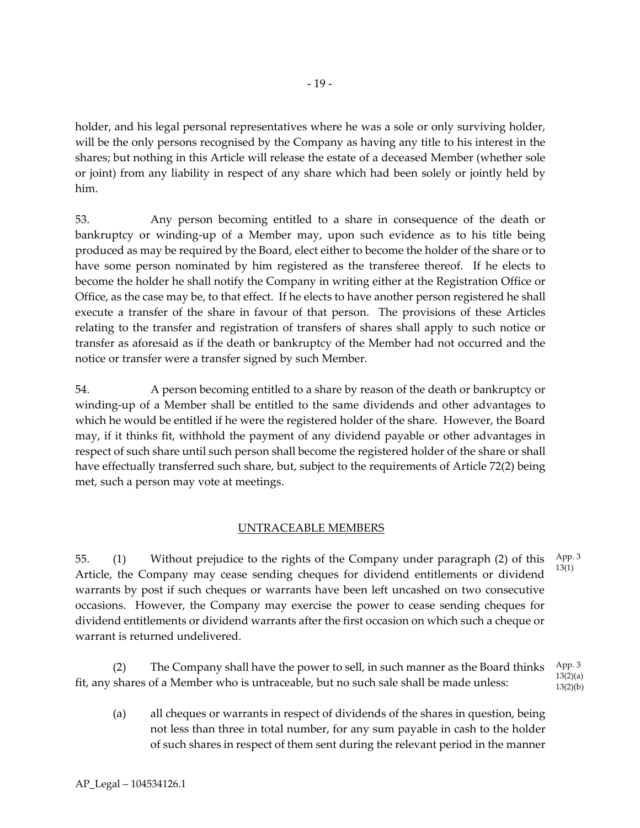holder, and his legal personal representatives where he was a sole or only surviving holder, will be the only persons recognised by the Company as having any title to his interest in the shares; but nothing in this Article will release the estate of a deceased Member (whether sole or joint) from any liability in respect of any share which had been solely or jointly held by him.

53. Any person becoming entitled to a share in consequence of the death or bankruptcy or winding-up of a Member may, upon such evidence as to his title being produced as may be required by the Board, elect either to become the holder of the share or to have some person nominated by him registered as the transferee thereof. If he elects to become the holder he shall notify the Company in writing either at the Registration Office or Office, as the case may be, to that effect. If he elects to have another person registered he shall execute a transfer of the share in favour of that person. The provisions of these Articles relating to the transfer and registration of transfers of shares shall apply to such notice or transfer as aforesaid as if the death or bankruptcy of the Member had not occurred and the notice or transfer were a transfer signed by such Member.

54. A person becoming entitled to a share by reason of the death or bankruptcy or winding-up of a Member shall be entitled to the same dividends and other advantages to which he would be entitled if he were the registered holder of the share. However, the Board may, if it thinks fit, withhold the payment of any dividend payable or other advantages in respect of such share until such person shall become the registered holder of the share or shall have effectually transferred such share, but, subject to the requirements of Article 72(2) being met, such a person may vote at meetings.

# UNTRACEABLE MEMBERS

55. (1) Without prejudice to the rights of the Company under paragraph (2) of this Article, the Company may cease sending cheques for dividend entitlements or dividend warrants by post if such cheques or warrants have been left uncashed on two consecutive occasions. However, the Company may exercise the power to cease sending cheques for dividend entitlements or dividend warrants after the first occasion on which such a cheque or warrant is returned undelivered. App. 3 13(1)

(2) The Company shall have the power to sell, in such manner as the Board thinks fit, any shares of a Member who is untraceable, but no such sale shall be made unless: App. 3  $13(2)(a)$  $13(2)(b)$ 

(a) all cheques or warrants in respect of dividends of the shares in question, being not less than three in total number, for any sum payable in cash to the holder of such shares in respect of them sent during the relevant period in the manner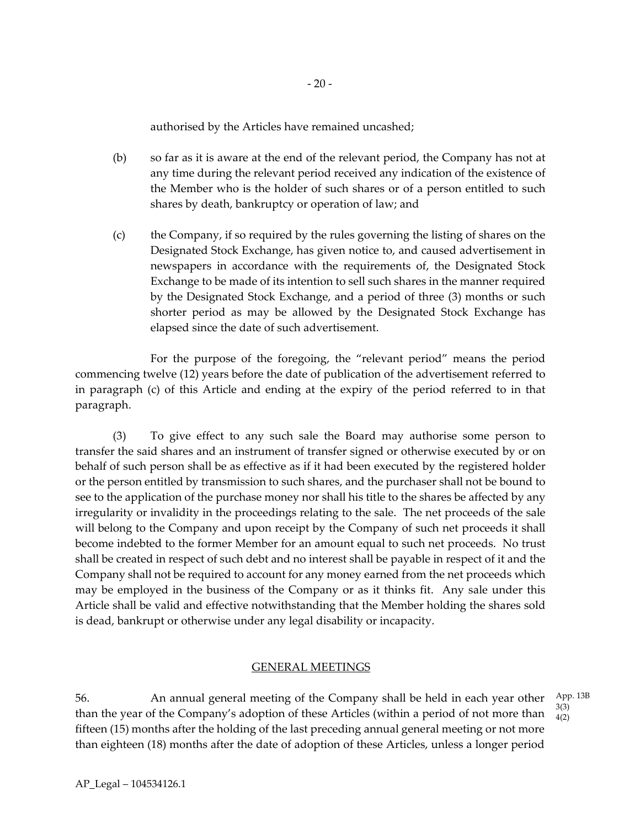authorised by the Articles have remained uncashed;

- (b) so far as it is aware at the end of the relevant period, the Company has not at any time during the relevant period received any indication of the existence of the Member who is the holder of such shares or of a person entitled to such shares by death, bankruptcy or operation of law; and
- (c) the Company, if so required by the rules governing the listing of shares on the Designated Stock Exchange, has given notice to, and caused advertisement in newspapers in accordance with the requirements of, the Designated Stock Exchange to be made of its intention to sell such shares in the manner required by the Designated Stock Exchange, and a period of three (3) months or such shorter period as may be allowed by the Designated Stock Exchange has elapsed since the date of such advertisement.

For the purpose of the foregoing, the "relevant period" means the period commencing twelve (12) years before the date of publication of the advertisement referred to in paragraph (c) of this Article and ending at the expiry of the period referred to in that paragraph.

(3) To give effect to any such sale the Board may authorise some person to transfer the said shares and an instrument of transfer signed or otherwise executed by or on behalf of such person shall be as effective as if it had been executed by the registered holder or the person entitled by transmission to such shares, and the purchaser shall not be bound to see to the application of the purchase money nor shall his title to the shares be affected by any irregularity or invalidity in the proceedings relating to the sale. The net proceeds of the sale will belong to the Company and upon receipt by the Company of such net proceeds it shall become indebted to the former Member for an amount equal to such net proceeds. No trust shall be created in respect of such debt and no interest shall be payable in respect of it and the Company shall not be required to account for any money earned from the net proceeds which may be employed in the business of the Company or as it thinks fit. Any sale under this Article shall be valid and effective notwithstanding that the Member holding the shares sold is dead, bankrupt or otherwise under any legal disability or incapacity.

#### GENERAL MEETINGS

56. An annual general meeting of the Company shall be held in each year other than the year of the Company's adoption of these Articles (within a period of not more than fifteen (15) months after the holding of the last preceding annual general meeting or not more than eighteen (18) months after the date of adoption of these Articles, unless a longer period App. 13B 3(3) 4(2)

AP\_Legal – 104534126.1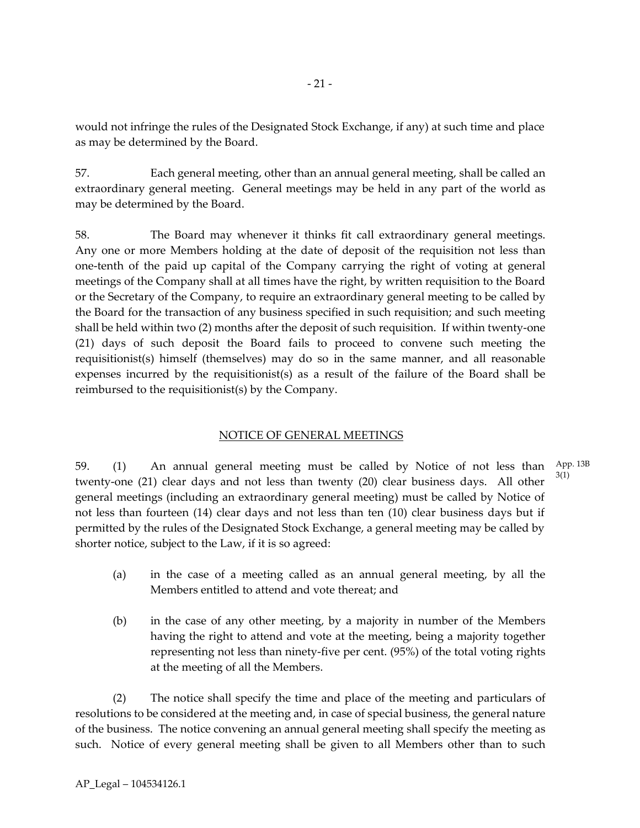would not infringe the rules of the Designated Stock Exchange, if any) at such time and place as may be determined by the Board.

57. Each general meeting, other than an annual general meeting, shall be called an extraordinary general meeting. General meetings may be held in any part of the world as may be determined by the Board.

58. The Board may whenever it thinks fit call extraordinary general meetings. Any one or more Members holding at the date of deposit of the requisition not less than one-tenth of the paid up capital of the Company carrying the right of voting at general meetings of the Company shall at all times have the right, by written requisition to the Board or the Secretary of the Company, to require an extraordinary general meeting to be called by the Board for the transaction of any business specified in such requisition; and such meeting shall be held within two (2) months after the deposit of such requisition. If within twenty-one (21) days of such deposit the Board fails to proceed to convene such meeting the requisitionist(s) himself (themselves) may do so in the same manner, and all reasonable expenses incurred by the requisitionist(s) as a result of the failure of the Board shall be reimbursed to the requisitionist(s) by the Company.

# NOTICE OF GENERAL MEETINGS

59. (1) An annual general meeting must be called by Notice of not less than twenty-one (21) clear days and not less than twenty (20) clear business days. All other general meetings (including an extraordinary general meeting) must be called by Notice of not less than fourteen (14) clear days and not less than ten (10) clear business days but if permitted by the rules of the Designated Stock Exchange, a general meeting may be called by shorter notice, subject to the Law, if it is so agreed: App. 13B 3(1)

- (a) in the case of a meeting called as an annual general meeting, by all the Members entitled to attend and vote thereat; and
- (b) in the case of any other meeting, by a majority in number of the Members having the right to attend and vote at the meeting, being a majority together representing not less than ninety-five per cent. (95%) of the total voting rights at the meeting of all the Members.

(2) The notice shall specify the time and place of the meeting and particulars of resolutions to be considered at the meeting and, in case of special business, the general nature of the business. The notice convening an annual general meeting shall specify the meeting as such. Notice of every general meeting shall be given to all Members other than to such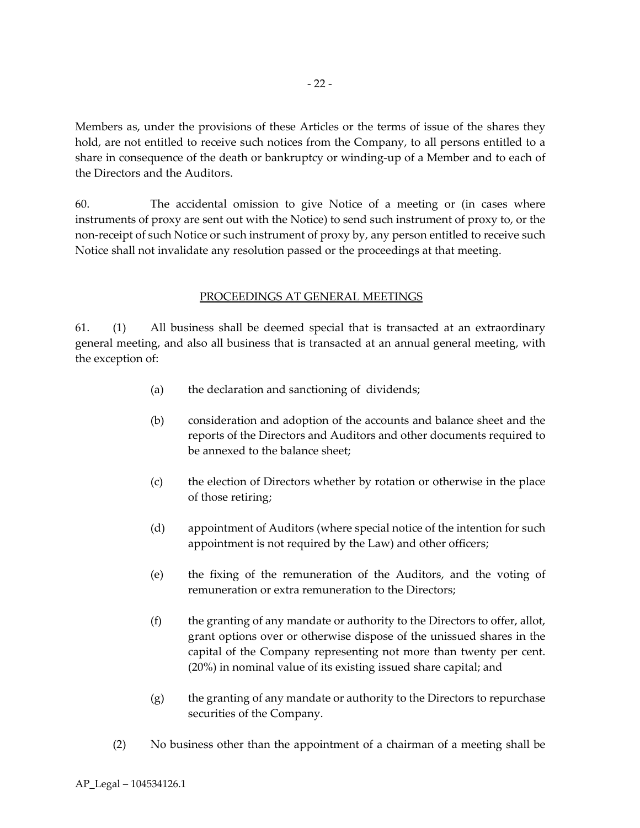Members as, under the provisions of these Articles or the terms of issue of the shares they hold, are not entitled to receive such notices from the Company, to all persons entitled to a share in consequence of the death or bankruptcy or winding-up of a Member and to each of the Directors and the Auditors.

60. The accidental omission to give Notice of a meeting or (in cases where instruments of proxy are sent out with the Notice) to send such instrument of proxy to, or the non-receipt of such Notice or such instrument of proxy by, any person entitled to receive such Notice shall not invalidate any resolution passed or the proceedings at that meeting.

## PROCEEDINGS AT GENERAL MEETINGS

61. (1) All business shall be deemed special that is transacted at an extraordinary general meeting, and also all business that is transacted at an annual general meeting, with the exception of:

- (a) the declaration and sanctioning of dividends;
- (b) consideration and adoption of the accounts and balance sheet and the reports of the Directors and Auditors and other documents required to be annexed to the balance sheet;
- (c) the election of Directors whether by rotation or otherwise in the place of those retiring;
- (d) appointment of Auditors (where special notice of the intention for such appointment is not required by the Law) and other officers;
- (e) the fixing of the remuneration of the Auditors, and the voting of remuneration or extra remuneration to the Directors;
- (f) the granting of any mandate or authority to the Directors to offer, allot, grant options over or otherwise dispose of the unissued shares in the capital of the Company representing not more than twenty per cent. (20%) in nominal value of its existing issued share capital; and
- (g) the granting of any mandate or authority to the Directors to repurchase securities of the Company.
- (2) No business other than the appointment of a chairman of a meeting shall be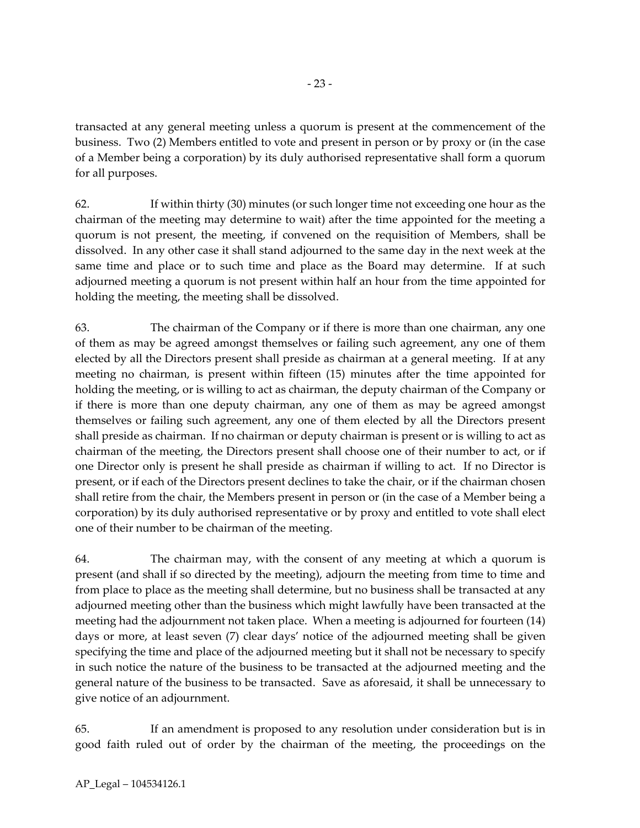transacted at any general meeting unless a quorum is present at the commencement of the business. Two (2) Members entitled to vote and present in person or by proxy or (in the case of a Member being a corporation) by its duly authorised representative shall form a quorum for all purposes.

62. If within thirty (30) minutes (or such longer time not exceeding one hour as the chairman of the meeting may determine to wait) after the time appointed for the meeting a quorum is not present, the meeting, if convened on the requisition of Members, shall be dissolved. In any other case it shall stand adjourned to the same day in the next week at the same time and place or to such time and place as the Board may determine. If at such adjourned meeting a quorum is not present within half an hour from the time appointed for holding the meeting, the meeting shall be dissolved.

63. The chairman of the Company or if there is more than one chairman, any one of them as may be agreed amongst themselves or failing such agreement, any one of them elected by all the Directors present shall preside as chairman at a general meeting. If at any meeting no chairman, is present within fifteen (15) minutes after the time appointed for holding the meeting, or is willing to act as chairman, the deputy chairman of the Company or if there is more than one deputy chairman, any one of them as may be agreed amongst themselves or failing such agreement, any one of them elected by all the Directors present shall preside as chairman. If no chairman or deputy chairman is present or is willing to act as chairman of the meeting, the Directors present shall choose one of their number to act, or if one Director only is present he shall preside as chairman if willing to act. If no Director is present, or if each of the Directors present declines to take the chair, or if the chairman chosen shall retire from the chair, the Members present in person or (in the case of a Member being a corporation) by its duly authorised representative or by proxy and entitled to vote shall elect one of their number to be chairman of the meeting.

64. The chairman may, with the consent of any meeting at which a quorum is present (and shall if so directed by the meeting), adjourn the meeting from time to time and from place to place as the meeting shall determine, but no business shall be transacted at any adjourned meeting other than the business which might lawfully have been transacted at the meeting had the adjournment not taken place. When a meeting is adjourned for fourteen (14) days or more, at least seven (7) clear days' notice of the adjourned meeting shall be given specifying the time and place of the adjourned meeting but it shall not be necessary to specify in such notice the nature of the business to be transacted at the adjourned meeting and the general nature of the business to be transacted. Save as aforesaid, it shall be unnecessary to give notice of an adjournment.

65. If an amendment is proposed to any resolution under consideration but is in good faith ruled out of order by the chairman of the meeting, the proceedings on the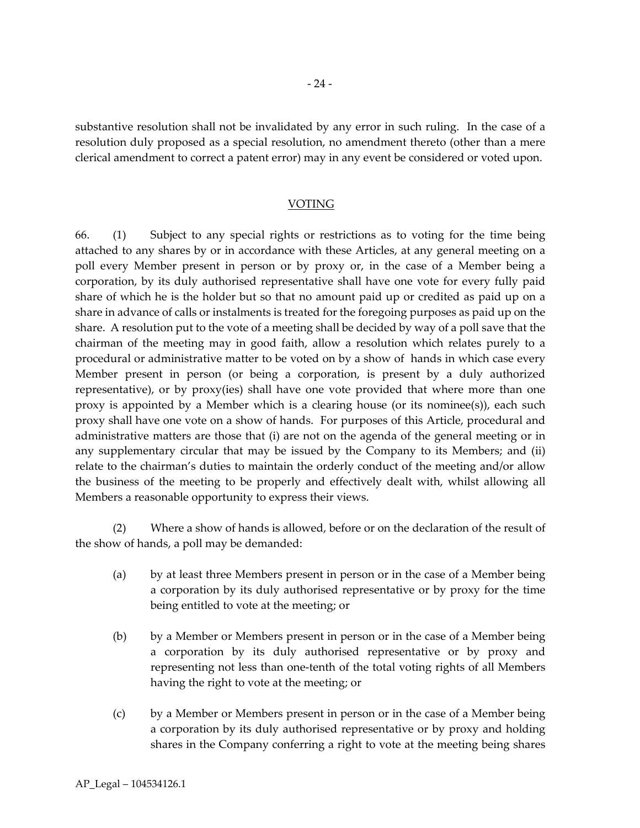substantive resolution shall not be invalidated by any error in such ruling. In the case of a resolution duly proposed as a special resolution, no amendment thereto (other than a mere clerical amendment to correct a patent error) may in any event be considered or voted upon.

#### VOTING

66. (1) Subject to any special rights or restrictions as to voting for the time being attached to any shares by or in accordance with these Articles, at any general meeting on a poll every Member present in person or by proxy or, in the case of a Member being a corporation, by its duly authorised representative shall have one vote for every fully paid share of which he is the holder but so that no amount paid up or credited as paid up on a share in advance of calls or instalments is treated for the foregoing purposes as paid up on the share. A resolution put to the vote of a meeting shall be decided by way of a poll save that the chairman of the meeting may in good faith, allow a resolution which relates purely to a procedural or administrative matter to be voted on by a show of hands in which case every Member present in person (or being a corporation, is present by a duly authorized representative), or by proxy(ies) shall have one vote provided that where more than one proxy is appointed by a Member which is a clearing house (or its nominee(s)), each such proxy shall have one vote on a show of hands. For purposes of this Article, procedural and administrative matters are those that (i) are not on the agenda of the general meeting or in any supplementary circular that may be issued by the Company to its Members; and (ii) relate to the chairman's duties to maintain the orderly conduct of the meeting and/or allow the business of the meeting to be properly and effectively dealt with, whilst allowing all Members a reasonable opportunity to express their views.

(2) Where a show of hands is allowed, before or on the declaration of the result of the show of hands, a poll may be demanded:

- (a) by at least three Members present in person or in the case of a Member being a corporation by its duly authorised representative or by proxy for the time being entitled to vote at the meeting; or
- (b) by a Member or Members present in person or in the case of a Member being a corporation by its duly authorised representative or by proxy and representing not less than one-tenth of the total voting rights of all Members having the right to vote at the meeting; or
- (c) by a Member or Members present in person or in the case of a Member being a corporation by its duly authorised representative or by proxy and holding shares in the Company conferring a right to vote at the meeting being shares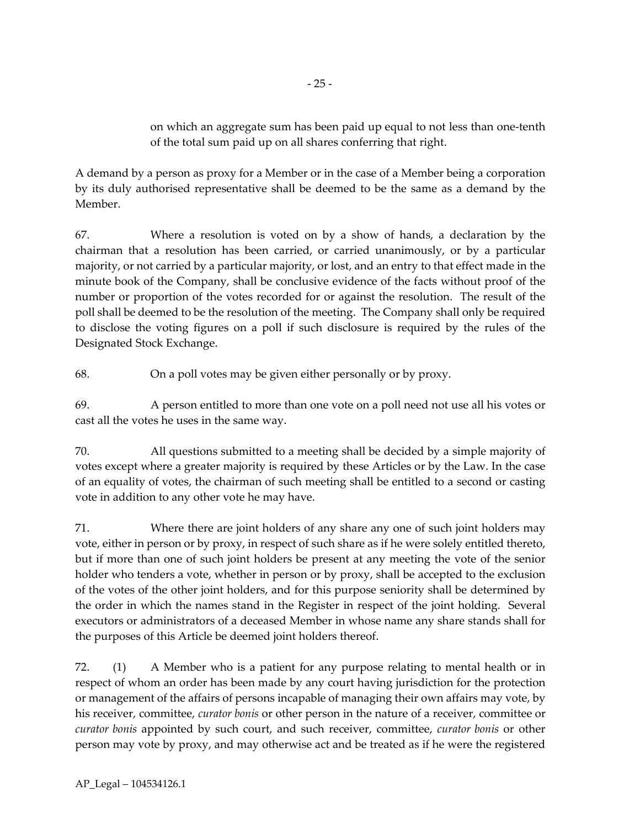on which an aggregate sum has been paid up equal to not less than one-tenth of the total sum paid up on all shares conferring that right.

A demand by a person as proxy for a Member or in the case of a Member being a corporation by its duly authorised representative shall be deemed to be the same as a demand by the Member.

67. Where a resolution is voted on by a show of hands, a declaration by the chairman that a resolution has been carried, or carried unanimously, or by a particular majority, or not carried by a particular majority, or lost, and an entry to that effect made in the minute book of the Company, shall be conclusive evidence of the facts without proof of the number or proportion of the votes recorded for or against the resolution. The result of the poll shall be deemed to be the resolution of the meeting. The Company shall only be required to disclose the voting figures on a poll if such disclosure is required by the rules of the Designated Stock Exchange.

68. On a poll votes may be given either personally or by proxy.

69. A person entitled to more than one vote on a poll need not use all his votes or cast all the votes he uses in the same way.

70. All questions submitted to a meeting shall be decided by a simple majority of votes except where a greater majority is required by these Articles or by the Law. In the case of an equality of votes, the chairman of such meeting shall be entitled to a second or casting vote in addition to any other vote he may have.

71. Where there are joint holders of any share any one of such joint holders may vote, either in person or by proxy, in respect of such share as if he were solely entitled thereto, but if more than one of such joint holders be present at any meeting the vote of the senior holder who tenders a vote, whether in person or by proxy, shall be accepted to the exclusion of the votes of the other joint holders, and for this purpose seniority shall be determined by the order in which the names stand in the Register in respect of the joint holding. Several executors or administrators of a deceased Member in whose name any share stands shall for the purposes of this Article be deemed joint holders thereof.

72. (1) A Member who is a patient for any purpose relating to mental health or in respect of whom an order has been made by any court having jurisdiction for the protection or management of the affairs of persons incapable of managing their own affairs may vote, by his receiver, committee, *curator bonis* or other person in the nature of a receiver, committee or *curator bonis* appointed by such court, and such receiver, committee, *curator bonis* or other person may vote by proxy, and may otherwise act and be treated as if he were the registered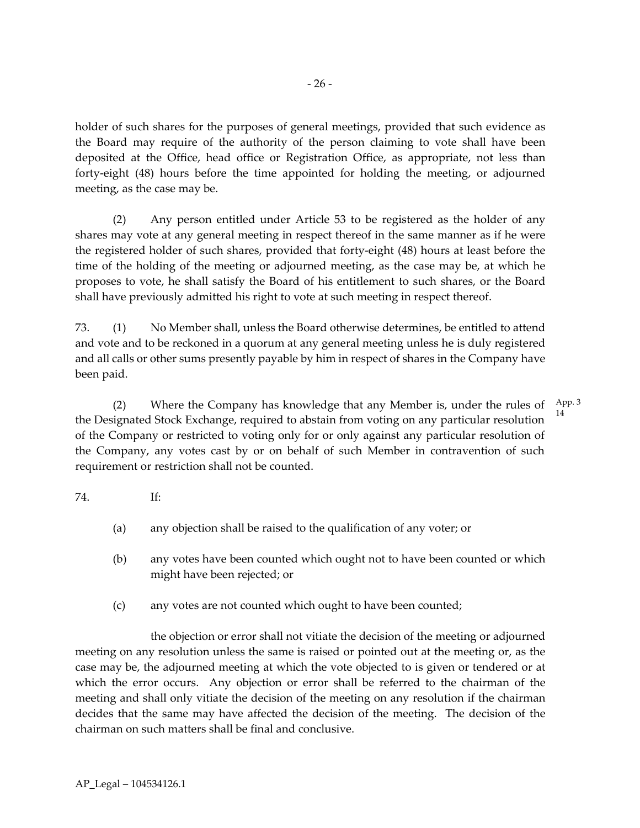holder of such shares for the purposes of general meetings, provided that such evidence as the Board may require of the authority of the person claiming to vote shall have been deposited at the Office, head office or Registration Office, as appropriate, not less than forty-eight (48) hours before the time appointed for holding the meeting, or adjourned meeting, as the case may be.

(2) Any person entitled under Article 53 to be registered as the holder of any shares may vote at any general meeting in respect thereof in the same manner as if he were the registered holder of such shares, provided that forty-eight (48) hours at least before the time of the holding of the meeting or adjourned meeting, as the case may be, at which he proposes to vote, he shall satisfy the Board of his entitlement to such shares, or the Board shall have previously admitted his right to vote at such meeting in respect thereof.

73. (1) No Member shall, unless the Board otherwise determines, be entitled to attend and vote and to be reckoned in a quorum at any general meeting unless he is duly registered and all calls or other sums presently payable by him in respect of shares in the Company have been paid.

(2) Where the Company has knowledge that any Member is, under the rules of  $\frac{App.3}{2}$ the Designated Stock Exchange, required to abstain from voting on any particular resolution of the Company or restricted to voting only for or only against any particular resolution of the Company, any votes cast by or on behalf of such Member in contravention of such requirement or restriction shall not be counted. 14

# 74. If:

- (a) any objection shall be raised to the qualification of any voter; or
- (b) any votes have been counted which ought not to have been counted or which might have been rejected; or
- (c) any votes are not counted which ought to have been counted;

the objection or error shall not vitiate the decision of the meeting or adjourned meeting on any resolution unless the same is raised or pointed out at the meeting or, as the case may be, the adjourned meeting at which the vote objected to is given or tendered or at which the error occurs. Any objection or error shall be referred to the chairman of the meeting and shall only vitiate the decision of the meeting on any resolution if the chairman decides that the same may have affected the decision of the meeting. The decision of the chairman on such matters shall be final and conclusive.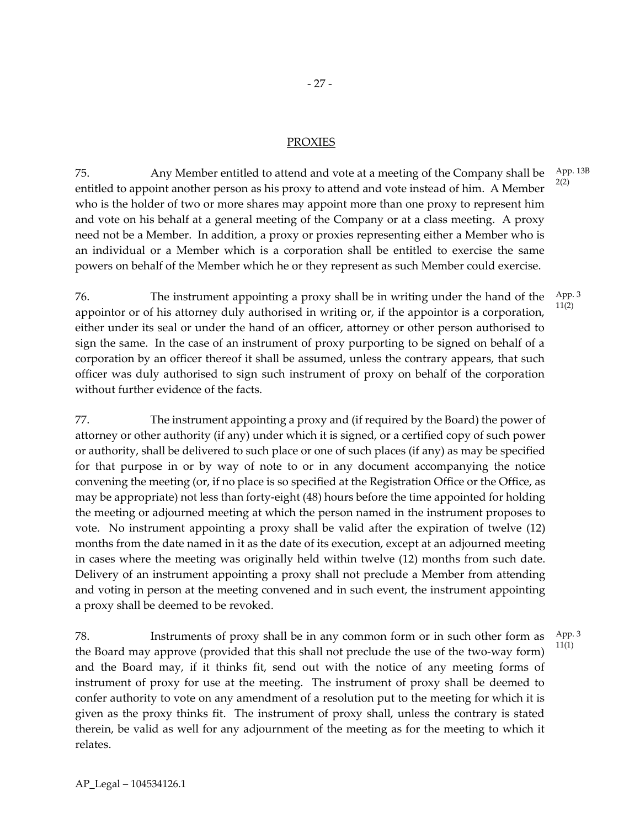# - 27 -

### PROXIES

75. Any Member entitled to attend and vote at a meeting of the Company shall be entitled to appoint another person as his proxy to attend and vote instead of him. A Member who is the holder of two or more shares may appoint more than one proxy to represent him and vote on his behalf at a general meeting of the Company or at a class meeting. A proxy need not be a Member. In addition, a proxy or proxies representing either a Member who is an individual or a Member which is a corporation shall be entitled to exercise the same powers on behalf of the Member which he or they represent as such Member could exercise. 2(2)

76. The instrument appointing a proxy shall be in writing under the hand of the appointor or of his attorney duly authorised in writing or, if the appointor is a corporation, either under its seal or under the hand of an officer, attorney or other person authorised to sign the same. In the case of an instrument of proxy purporting to be signed on behalf of a corporation by an officer thereof it shall be assumed, unless the contrary appears, that such officer was duly authorised to sign such instrument of proxy on behalf of the corporation without further evidence of the facts. App. 3 11(2)

77. The instrument appointing a proxy and (if required by the Board) the power of attorney or other authority (if any) under which it is signed, or a certified copy of such power or authority, shall be delivered to such place or one of such places (if any) as may be specified for that purpose in or by way of note to or in any document accompanying the notice convening the meeting (or, if no place is so specified at the Registration Office or the Office, as may be appropriate) not less than forty-eight (48) hours before the time appointed for holding the meeting or adjourned meeting at which the person named in the instrument proposes to vote. No instrument appointing a proxy shall be valid after the expiration of twelve (12) months from the date named in it as the date of its execution, except at an adjourned meeting in cases where the meeting was originally held within twelve (12) months from such date. Delivery of an instrument appointing a proxy shall not preclude a Member from attending and voting in person at the meeting convened and in such event, the instrument appointing a proxy shall be deemed to be revoked.

78. Instruments of proxy shall be in any common form or in such other form as the Board may approve (provided that this shall not preclude the use of the two-way form) and the Board may, if it thinks fit, send out with the notice of any meeting forms of instrument of proxy for use at the meeting. The instrument of proxy shall be deemed to confer authority to vote on any amendment of a resolution put to the meeting for which it is given as the proxy thinks fit. The instrument of proxy shall, unless the contrary is stated therein, be valid as well for any adjournment of the meeting as for the meeting to which it relates. App. 3 11(1)

App. 13B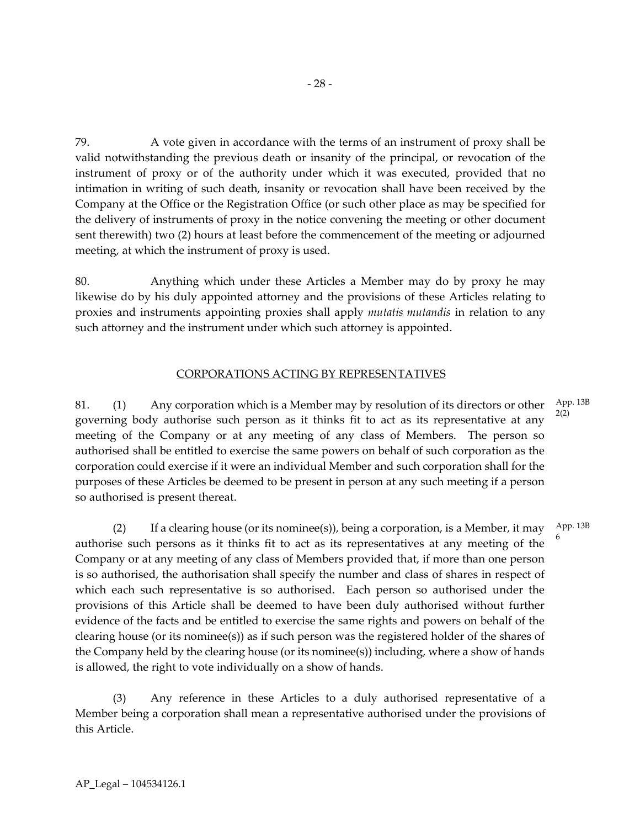79. A vote given in accordance with the terms of an instrument of proxy shall be valid notwithstanding the previous death or insanity of the principal, or revocation of the instrument of proxy or of the authority under which it was executed, provided that no intimation in writing of such death, insanity or revocation shall have been received by the Company at the Office or the Registration Office (or such other place as may be specified for the delivery of instruments of proxy in the notice convening the meeting or other document sent therewith) two (2) hours at least before the commencement of the meeting or adjourned meeting, at which the instrument of proxy is used.

80. Anything which under these Articles a Member may do by proxy he may likewise do by his duly appointed attorney and the provisions of these Articles relating to proxies and instruments appointing proxies shall apply *mutatis mutandis* in relation to any such attorney and the instrument under which such attorney is appointed.

# CORPORATIONS ACTING BY REPRESENTATIVES

81. (1) Any corporation which is a Member may by resolution of its directors or other governing body authorise such person as it thinks fit to act as its representative at any meeting of the Company or at any meeting of any class of Members. The person so authorised shall be entitled to exercise the same powers on behalf of such corporation as the corporation could exercise if it were an individual Member and such corporation shall for the purposes of these Articles be deemed to be present in person at any such meeting if a person so authorised is present thereat. App. 13B 2(2)

(2) If a clearing house (or its nominee(s)), being a corporation, is a Member, it may authorise such persons as it thinks fit to act as its representatives at any meeting of the Company or at any meeting of any class of Members provided that, if more than one person is so authorised, the authorisation shall specify the number and class of shares in respect of which each such representative is so authorised. Each person so authorised under the provisions of this Article shall be deemed to have been duly authorised without further evidence of the facts and be entitled to exercise the same rights and powers on behalf of the clearing house (or its nominee(s)) as if such person was the registered holder of the shares of the Company held by the clearing house (or its nominee(s)) including, where a show of hands is allowed, the right to vote individually on a show of hands. App. 13B 6

(3) Any reference in these Articles to a duly authorised representative of a Member being a corporation shall mean a representative authorised under the provisions of this Article.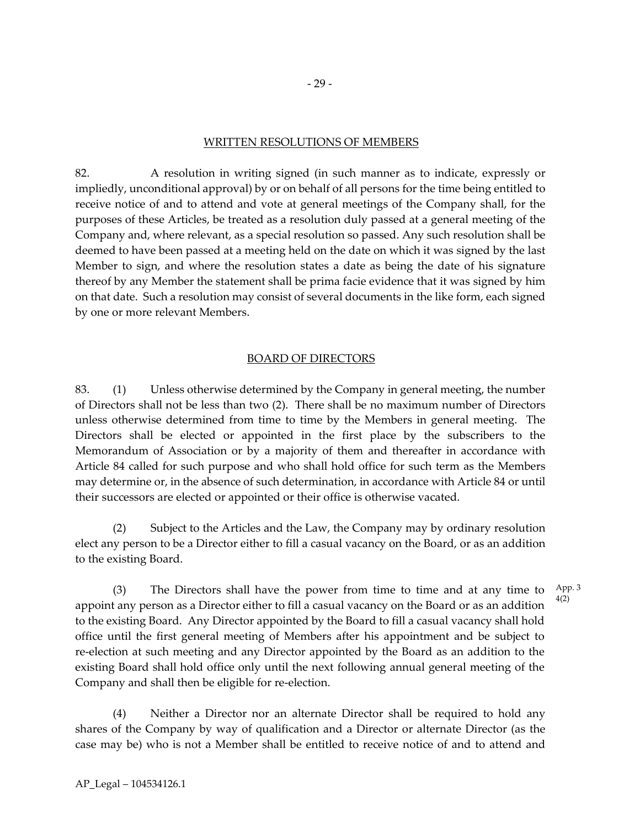### WRITTEN RESOLUTIONS OF MEMBERS

82. A resolution in writing signed (in such manner as to indicate, expressly or impliedly, unconditional approval) by or on behalf of all persons for the time being entitled to receive notice of and to attend and vote at general meetings of the Company shall, for the purposes of these Articles, be treated as a resolution duly passed at a general meeting of the Company and, where relevant, as a special resolution so passed. Any such resolution shall be deemed to have been passed at a meeting held on the date on which it was signed by the last Member to sign, and where the resolution states a date as being the date of his signature thereof by any Member the statement shall be prima facie evidence that it was signed by him on that date. Such a resolution may consist of several documents in the like form, each signed by one or more relevant Members.

#### BOARD OF DIRECTORS

83. (1) Unless otherwise determined by the Company in general meeting, the number of Directors shall not be less than two (2). There shall be no maximum number of Directors unless otherwise determined from time to time by the Members in general meeting. The Directors shall be elected or appointed in the first place by the subscribers to the Memorandum of Association or by a majority of them and thereafter in accordance with Article 84 called for such purpose and who shall hold office for such term as the Members may determine or, in the absence of such determination, in accordance with Article 84 or until their successors are elected or appointed or their office is otherwise vacated.

(2) Subject to the Articles and the Law, the Company may by ordinary resolution elect any person to be a Director either to fill a casual vacancy on the Board, or as an addition to the existing Board.

(3) The Directors shall have the power from time to time and at any time to appoint any person as a Director either to fill a casual vacancy on the Board or as an addition to the existing Board. Any Director appointed by the Board to fill a casual vacancy shall hold office until the first general meeting of Members after his appointment and be subject to re-election at such meeting and any Director appointed by the Board as an addition to the existing Board shall hold office only until the next following annual general meeting of the Company and shall then be eligible for re-election. App. 3 4(2)

(4) Neither a Director nor an alternate Director shall be required to hold any shares of the Company by way of qualification and a Director or alternate Director (as the case may be) who is not a Member shall be entitled to receive notice of and to attend and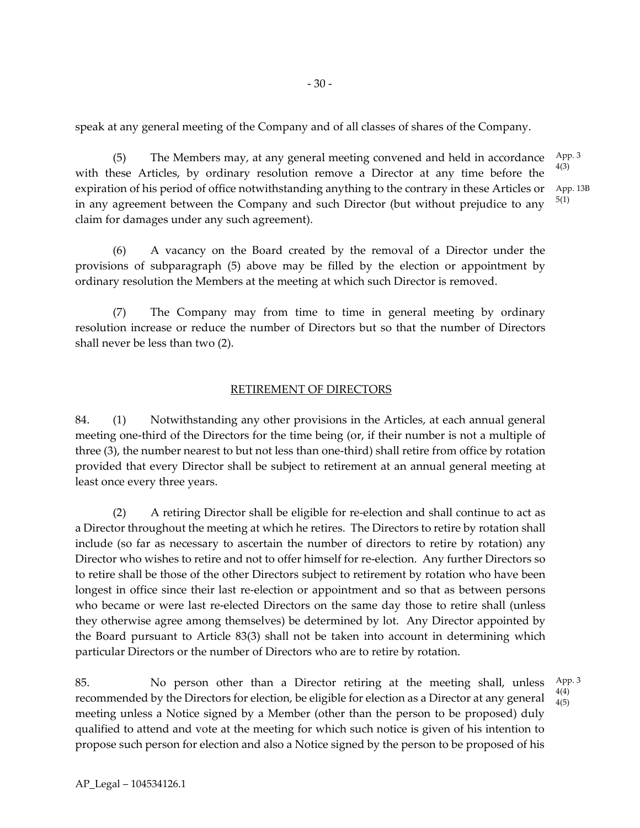speak at any general meeting of the Company and of all classes of shares of the Company.

- 30 -

(5) The Members may, at any general meeting convened and held in accordance with these Articles, by ordinary resolution remove a Director at any time before the expiration of his period of office notwithstanding anything to the contrary in these Articles or in any agreement between the Company and such Director (but without prejudice to any claim for damages under any such agreement). App. 3 4(3) App. 13B 5(1)

(6) A vacancy on the Board created by the removal of a Director under the provisions of subparagraph (5) above may be filled by the election or appointment by ordinary resolution the Members at the meeting at which such Director is removed.

(7) The Company may from time to time in general meeting by ordinary resolution increase or reduce the number of Directors but so that the number of Directors shall never be less than two (2).

## RETIREMENT OF DIRECTORS

84. (1) Notwithstanding any other provisions in the Articles, at each annual general meeting one-third of the Directors for the time being (or, if their number is not a multiple of three (3), the number nearest to but not less than one-third) shall retire from office by rotation provided that every Director shall be subject to retirement at an annual general meeting at least once every three years.

(2) A retiring Director shall be eligible for re-election and shall continue to act as a Director throughout the meeting at which he retires. The Directors to retire by rotation shall include (so far as necessary to ascertain the number of directors to retire by rotation) any Director who wishes to retire and not to offer himself for re-election. Any further Directors so to retire shall be those of the other Directors subject to retirement by rotation who have been longest in office since their last re-election or appointment and so that as between persons who became or were last re-elected Directors on the same day those to retire shall (unless they otherwise agree among themselves) be determined by lot. Any Director appointed by the Board pursuant to Article 83(3) shall not be taken into account in determining which particular Directors or the number of Directors who are to retire by rotation.

85. No person other than a Director retiring at the meeting shall, unless recommended by the Directors for election, be eligible for election as a Director at any general meeting unless a Notice signed by a Member (other than the person to be proposed) duly qualified to attend and vote at the meeting for which such notice is given of his intention to propose such person for election and also a Notice signed by the person to be proposed of his 4(4) 4(5)

AP\_Legal – 104534126.1

App. 3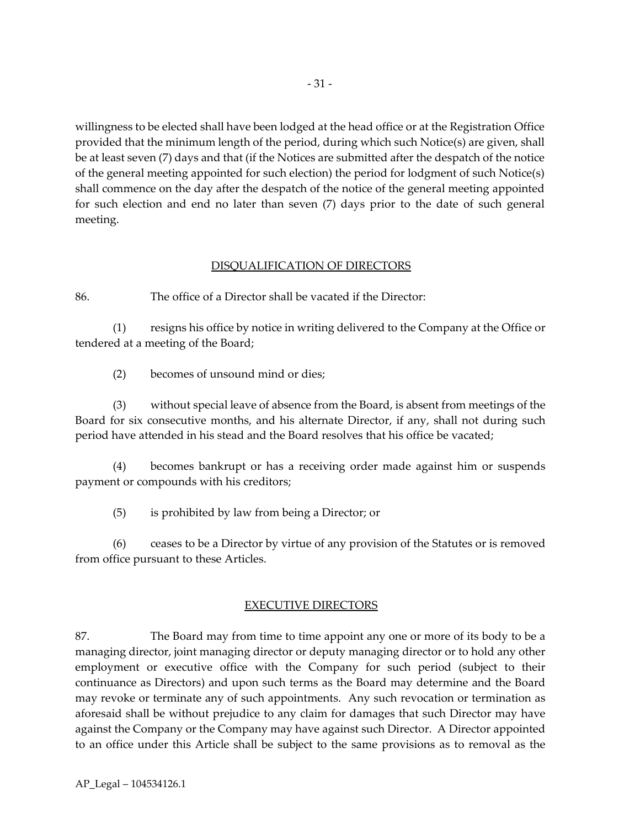willingness to be elected shall have been lodged at the head office or at the Registration Office provided that the minimum length of the period, during which such Notice(s) are given, shall be at least seven (7) days and that (if the Notices are submitted after the despatch of the notice of the general meeting appointed for such election) the period for lodgment of such Notice(s) shall commence on the day after the despatch of the notice of the general meeting appointed for such election and end no later than seven (7) days prior to the date of such general meeting.

## DISQUALIFICATION OF DIRECTORS

86. The office of a Director shall be vacated if the Director:

(1) resigns his office by notice in writing delivered to the Company at the Office or tendered at a meeting of the Board;

(2) becomes of unsound mind or dies;

(3) without special leave of absence from the Board, is absent from meetings of the Board for six consecutive months, and his alternate Director, if any, shall not during such period have attended in his stead and the Board resolves that his office be vacated;

(4) becomes bankrupt or has a receiving order made against him or suspends payment or compounds with his creditors;

(5) is prohibited by law from being a Director; or

(6) ceases to be a Director by virtue of any provision of the Statutes or is removed from office pursuant to these Articles.

# EXECUTIVE DIRECTORS

87. The Board may from time to time appoint any one or more of its body to be a managing director, joint managing director or deputy managing director or to hold any other employment or executive office with the Company for such period (subject to their continuance as Directors) and upon such terms as the Board may determine and the Board may revoke or terminate any of such appointments. Any such revocation or termination as aforesaid shall be without prejudice to any claim for damages that such Director may have against the Company or the Company may have against such Director. A Director appointed to an office under this Article shall be subject to the same provisions as to removal as the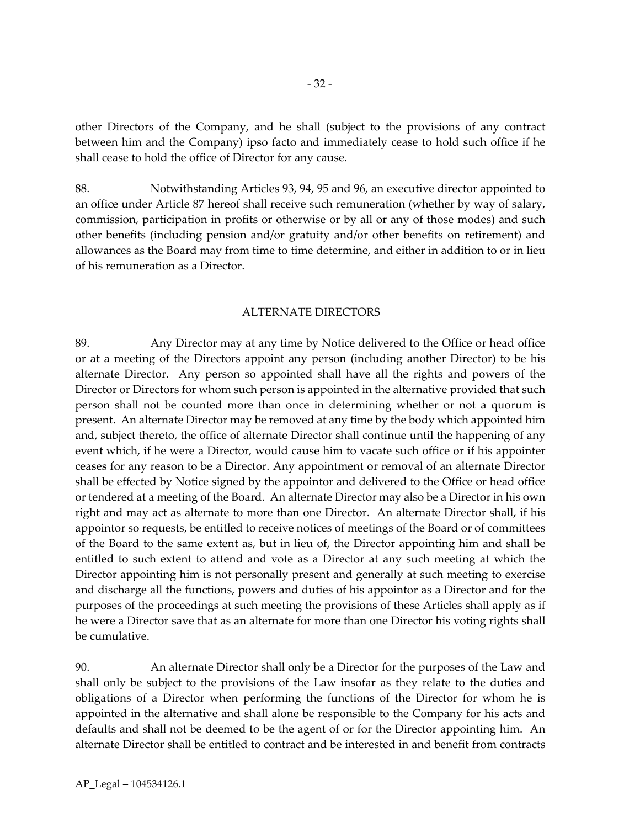other Directors of the Company, and he shall (subject to the provisions of any contract between him and the Company) ipso facto and immediately cease to hold such office if he shall cease to hold the office of Director for any cause.

88. Notwithstanding Articles 93, 94, 95 and 96, an executive director appointed to an office under Article 87 hereof shall receive such remuneration (whether by way of salary, commission, participation in profits or otherwise or by all or any of those modes) and such other benefits (including pension and/or gratuity and/or other benefits on retirement) and allowances as the Board may from time to time determine, and either in addition to or in lieu of his remuneration as a Director.

#### ALTERNATE DIRECTORS

89. Any Director may at any time by Notice delivered to the Office or head office or at a meeting of the Directors appoint any person (including another Director) to be his alternate Director. Any person so appointed shall have all the rights and powers of the Director or Directors for whom such person is appointed in the alternative provided that such person shall not be counted more than once in determining whether or not a quorum is present. An alternate Director may be removed at any time by the body which appointed him and, subject thereto, the office of alternate Director shall continue until the happening of any event which, if he were a Director, would cause him to vacate such office or if his appointer ceases for any reason to be a Director. Any appointment or removal of an alternate Director shall be effected by Notice signed by the appointor and delivered to the Office or head office or tendered at a meeting of the Board. An alternate Director may also be a Director in his own right and may act as alternate to more than one Director. An alternate Director shall, if his appointor so requests, be entitled to receive notices of meetings of the Board or of committees of the Board to the same extent as, but in lieu of, the Director appointing him and shall be entitled to such extent to attend and vote as a Director at any such meeting at which the Director appointing him is not personally present and generally at such meeting to exercise and discharge all the functions, powers and duties of his appointor as a Director and for the purposes of the proceedings at such meeting the provisions of these Articles shall apply as if he were a Director save that as an alternate for more than one Director his voting rights shall be cumulative.

90. An alternate Director shall only be a Director for the purposes of the Law and shall only be subject to the provisions of the Law insofar as they relate to the duties and obligations of a Director when performing the functions of the Director for whom he is appointed in the alternative and shall alone be responsible to the Company for his acts and defaults and shall not be deemed to be the agent of or for the Director appointing him. An alternate Director shall be entitled to contract and be interested in and benefit from contracts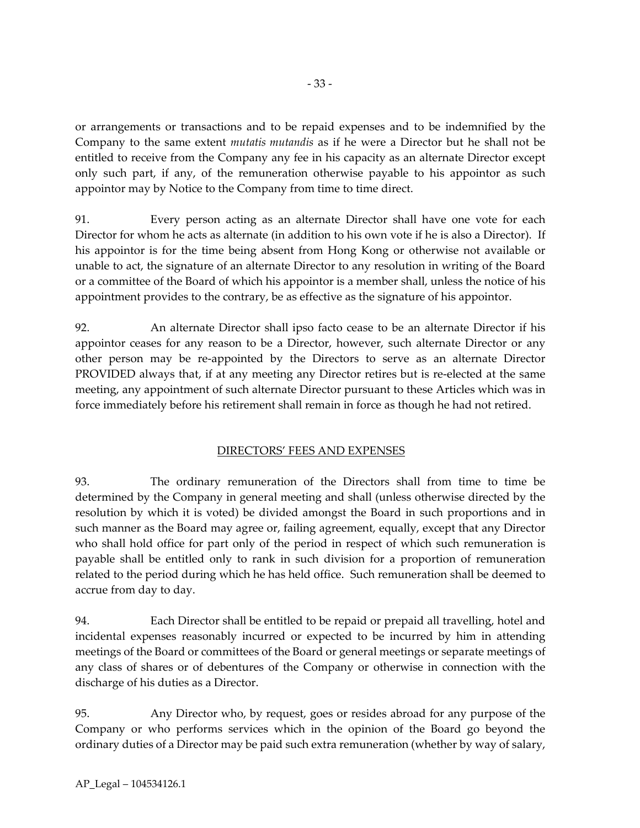or arrangements or transactions and to be repaid expenses and to be indemnified by the Company to the same extent *mutatis mutandis* as if he were a Director but he shall not be entitled to receive from the Company any fee in his capacity as an alternate Director except only such part, if any, of the remuneration otherwise payable to his appointor as such appointor may by Notice to the Company from time to time direct.

91. Every person acting as an alternate Director shall have one vote for each Director for whom he acts as alternate (in addition to his own vote if he is also a Director). If his appointor is for the time being absent from Hong Kong or otherwise not available or unable to act, the signature of an alternate Director to any resolution in writing of the Board or a committee of the Board of which his appointor is a member shall, unless the notice of his appointment provides to the contrary, be as effective as the signature of his appointor.

92. An alternate Director shall ipso facto cease to be an alternate Director if his appointor ceases for any reason to be a Director, however, such alternate Director or any other person may be re-appointed by the Directors to serve as an alternate Director PROVIDED always that, if at any meeting any Director retires but is re-elected at the same meeting, any appointment of such alternate Director pursuant to these Articles which was in force immediately before his retirement shall remain in force as though he had not retired.

# DIRECTORS' FEES AND EXPENSES

93. The ordinary remuneration of the Directors shall from time to time be determined by the Company in general meeting and shall (unless otherwise directed by the resolution by which it is voted) be divided amongst the Board in such proportions and in such manner as the Board may agree or, failing agreement, equally, except that any Director who shall hold office for part only of the period in respect of which such remuneration is payable shall be entitled only to rank in such division for a proportion of remuneration related to the period during which he has held office. Such remuneration shall be deemed to accrue from day to day.

94. Each Director shall be entitled to be repaid or prepaid all travelling, hotel and incidental expenses reasonably incurred or expected to be incurred by him in attending meetings of the Board or committees of the Board or general meetings or separate meetings of any class of shares or of debentures of the Company or otherwise in connection with the discharge of his duties as a Director.

95. Any Director who, by request, goes or resides abroad for any purpose of the Company or who performs services which in the opinion of the Board go beyond the ordinary duties of a Director may be paid such extra remuneration (whether by way of salary,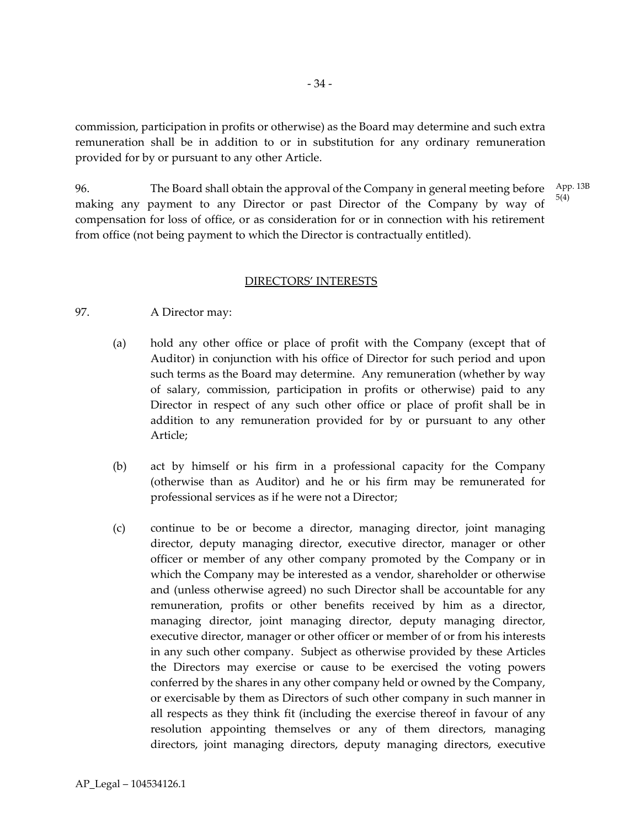commission, participation in profits or otherwise) as the Board may determine and such extra remuneration shall be in addition to or in substitution for any ordinary remuneration provided for by or pursuant to any other Article.

96. The Board shall obtain the approval of the Company in general meeting before making any payment to any Director or past Director of the Company by way of compensation for loss of office, or as consideration for or in connection with his retirement from office (not being payment to which the Director is contractually entitled). App. 13B 5(4)

#### DIRECTORS' INTERESTS

#### 97. A Director may:

- (a) hold any other office or place of profit with the Company (except that of Auditor) in conjunction with his office of Director for such period and upon such terms as the Board may determine. Any remuneration (whether by way of salary, commission, participation in profits or otherwise) paid to any Director in respect of any such other office or place of profit shall be in addition to any remuneration provided for by or pursuant to any other Article;
- (b) act by himself or his firm in a professional capacity for the Company (otherwise than as Auditor) and he or his firm may be remunerated for professional services as if he were not a Director;
- (c) continue to be or become a director, managing director, joint managing director, deputy managing director, executive director, manager or other officer or member of any other company promoted by the Company or in which the Company may be interested as a vendor, shareholder or otherwise and (unless otherwise agreed) no such Director shall be accountable for any remuneration, profits or other benefits received by him as a director, managing director, joint managing director, deputy managing director, executive director, manager or other officer or member of or from his interests in any such other company. Subject as otherwise provided by these Articles the Directors may exercise or cause to be exercised the voting powers conferred by the shares in any other company held or owned by the Company, or exercisable by them as Directors of such other company in such manner in all respects as they think fit (including the exercise thereof in favour of any resolution appointing themselves or any of them directors, managing directors, joint managing directors, deputy managing directors, executive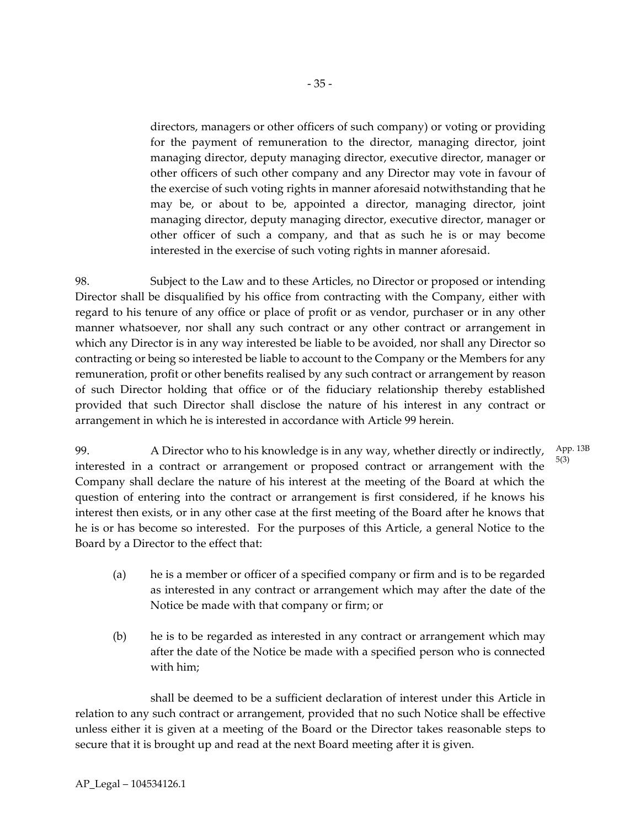directors, managers or other officers of such company) or voting or providing for the payment of remuneration to the director, managing director, joint managing director, deputy managing director, executive director, manager or other officers of such other company and any Director may vote in favour of the exercise of such voting rights in manner aforesaid notwithstanding that he may be, or about to be, appointed a director, managing director, joint managing director, deputy managing director, executive director, manager or other officer of such a company, and that as such he is or may become interested in the exercise of such voting rights in manner aforesaid.

98. Subject to the Law and to these Articles, no Director or proposed or intending Director shall be disqualified by his office from contracting with the Company, either with regard to his tenure of any office or place of profit or as vendor, purchaser or in any other manner whatsoever, nor shall any such contract or any other contract or arrangement in which any Director is in any way interested be liable to be avoided, nor shall any Director so contracting or being so interested be liable to account to the Company or the Members for any remuneration, profit or other benefits realised by any such contract or arrangement by reason of such Director holding that office or of the fiduciary relationship thereby established provided that such Director shall disclose the nature of his interest in any contract or arrangement in which he is interested in accordance with Article 99 herein.

99. A Director who to his knowledge is in any way, whether directly or indirectly, interested in a contract or arrangement or proposed contract or arrangement with the Company shall declare the nature of his interest at the meeting of the Board at which the question of entering into the contract or arrangement is first considered, if he knows his interest then exists, or in any other case at the first meeting of the Board after he knows that he is or has become so interested. For the purposes of this Article, a general Notice to the Board by a Director to the effect that: App. 13B 5(3)

- (a) he is a member or officer of a specified company or firm and is to be regarded as interested in any contract or arrangement which may after the date of the Notice be made with that company or firm; or
- (b) he is to be regarded as interested in any contract or arrangement which may after the date of the Notice be made with a specified person who is connected with him;

shall be deemed to be a sufficient declaration of interest under this Article in relation to any such contract or arrangement, provided that no such Notice shall be effective unless either it is given at a meeting of the Board or the Director takes reasonable steps to secure that it is brought up and read at the next Board meeting after it is given.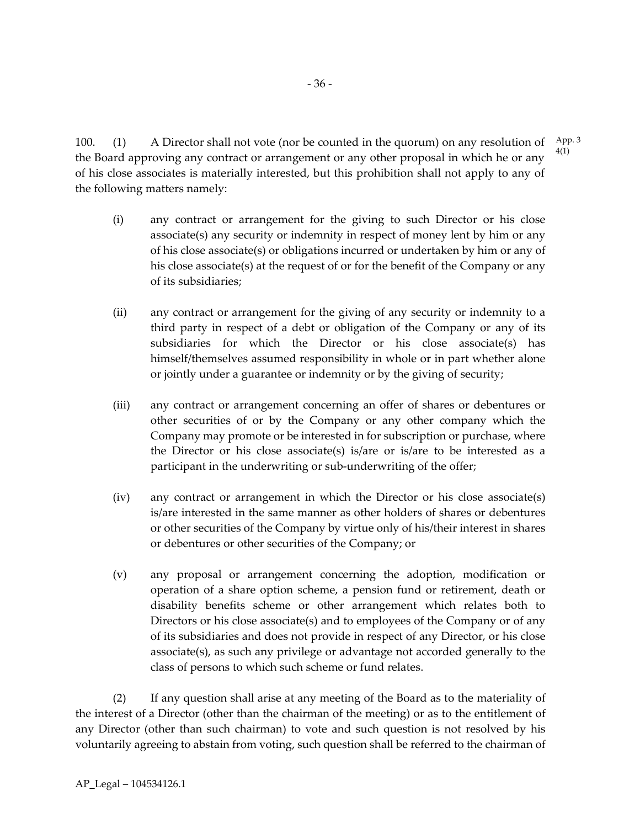100. (1) A Director shall not vote (nor be counted in the quorum) on any resolution of the Board approving any contract or arrangement or any other proposal in which he or any of his close associates is materially interested, but this prohibition shall not apply to any of the following matters namely: App. 3 4(1)

- (i) any contract or arrangement for the giving to such Director or his close associate(s) any security or indemnity in respect of money lent by him or any of his close associate(s) or obligations incurred or undertaken by him or any of his close associate(s) at the request of or for the benefit of the Company or any of its subsidiaries;
- (ii) any contract or arrangement for the giving of any security or indemnity to a third party in respect of a debt or obligation of the Company or any of its subsidiaries for which the Director or his close associate(s) has himself/themselves assumed responsibility in whole or in part whether alone or jointly under a guarantee or indemnity or by the giving of security;
- (iii) any contract or arrangement concerning an offer of shares or debentures or other securities of or by the Company or any other company which the Company may promote or be interested in for subscription or purchase, where the Director or his close associate(s) is/are or is/are to be interested as a participant in the underwriting or sub-underwriting of the offer;
- (iv) any contract or arrangement in which the Director or his close associate(s) is/are interested in the same manner as other holders of shares or debentures or other securities of the Company by virtue only of his/their interest in shares or debentures or other securities of the Company; or
- (v) any proposal or arrangement concerning the adoption, modification or operation of a share option scheme, a pension fund or retirement, death or disability benefits scheme or other arrangement which relates both to Directors or his close associate(s) and to employees of the Company or of any of its subsidiaries and does not provide in respect of any Director, or his close associate(s), as such any privilege or advantage not accorded generally to the class of persons to which such scheme or fund relates.

(2) If any question shall arise at any meeting of the Board as to the materiality of the interest of a Director (other than the chairman of the meeting) or as to the entitlement of any Director (other than such chairman) to vote and such question is not resolved by his voluntarily agreeing to abstain from voting, such question shall be referred to the chairman of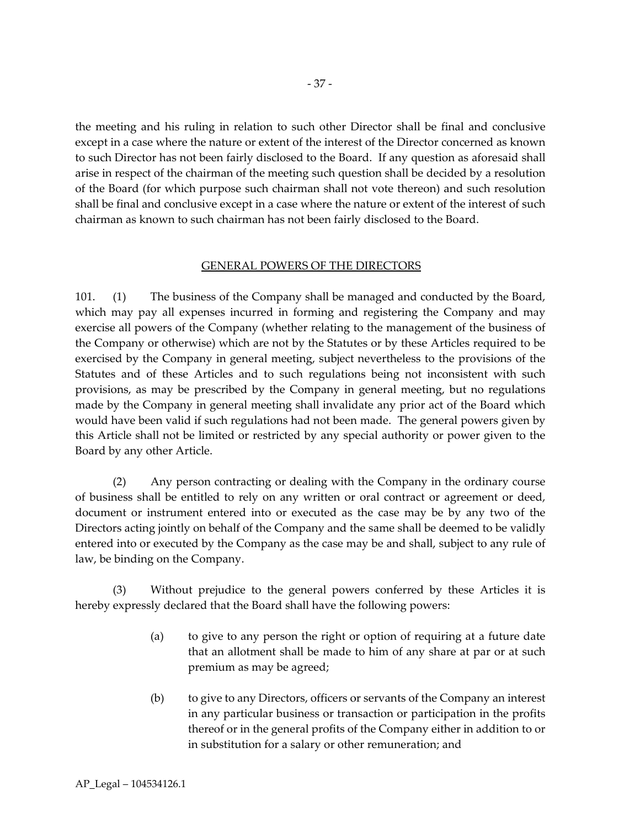the meeting and his ruling in relation to such other Director shall be final and conclusive except in a case where the nature or extent of the interest of the Director concerned as known to such Director has not been fairly disclosed to the Board. If any question as aforesaid shall arise in respect of the chairman of the meeting such question shall be decided by a resolution of the Board (for which purpose such chairman shall not vote thereon) and such resolution shall be final and conclusive except in a case where the nature or extent of the interest of such chairman as known to such chairman has not been fairly disclosed to the Board.

#### GENERAL POWERS OF THE DIRECTORS

101. (1) The business of the Company shall be managed and conducted by the Board, which may pay all expenses incurred in forming and registering the Company and may exercise all powers of the Company (whether relating to the management of the business of the Company or otherwise) which are not by the Statutes or by these Articles required to be exercised by the Company in general meeting, subject nevertheless to the provisions of the Statutes and of these Articles and to such regulations being not inconsistent with such provisions, as may be prescribed by the Company in general meeting, but no regulations made by the Company in general meeting shall invalidate any prior act of the Board which would have been valid if such regulations had not been made. The general powers given by this Article shall not be limited or restricted by any special authority or power given to the Board by any other Article.

(2) Any person contracting or dealing with the Company in the ordinary course of business shall be entitled to rely on any written or oral contract or agreement or deed, document or instrument entered into or executed as the case may be by any two of the Directors acting jointly on behalf of the Company and the same shall be deemed to be validly entered into or executed by the Company as the case may be and shall, subject to any rule of law, be binding on the Company.

(3) Without prejudice to the general powers conferred by these Articles it is hereby expressly declared that the Board shall have the following powers:

- (a) to give to any person the right or option of requiring at a future date that an allotment shall be made to him of any share at par or at such premium as may be agreed;
- (b) to give to any Directors, officers or servants of the Company an interest in any particular business or transaction or participation in the profits thereof or in the general profits of the Company either in addition to or in substitution for a salary or other remuneration; and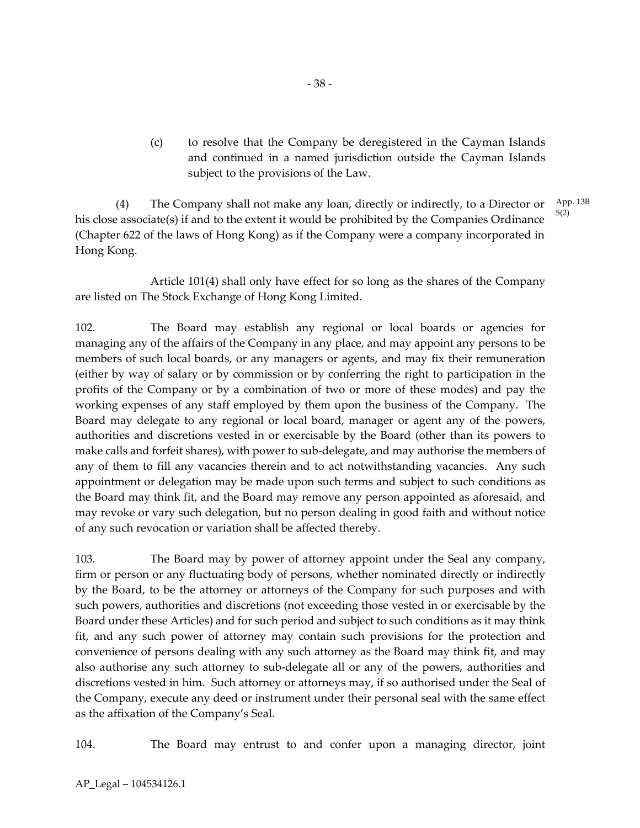(c) to resolve that the Company be deregistered in the Cayman Islands and continued in a named jurisdiction outside the Cayman Islands subject to the provisions of the Law.

(4) The Company shall not make any loan, directly or indirectly, to a Director or his close associate(s) if and to the extent it would be prohibited by the Companies Ordinance (Chapter 622 of the laws of Hong Kong) as if the Company were a company incorporated in Hong Kong. App. 13B 5(2)

Article 101(4) shall only have effect for so long as the shares of the Company are listed on The Stock Exchange of Hong Kong Limited.

102. The Board may establish any regional or local boards or agencies for managing any of the affairs of the Company in any place, and may appoint any persons to be members of such local boards, or any managers or agents, and may fix their remuneration (either by way of salary or by commission or by conferring the right to participation in the profits of the Company or by a combination of two or more of these modes) and pay the working expenses of any staff employed by them upon the business of the Company. The Board may delegate to any regional or local board, manager or agent any of the powers, authorities and discretions vested in or exercisable by the Board (other than its powers to make calls and forfeit shares), with power to sub-delegate, and may authorise the members of any of them to fill any vacancies therein and to act notwithstanding vacancies. Any such appointment or delegation may be made upon such terms and subject to such conditions as the Board may think fit, and the Board may remove any person appointed as aforesaid, and may revoke or vary such delegation, but no person dealing in good faith and without notice of any such revocation or variation shall be affected thereby.

103. The Board may by power of attorney appoint under the Seal any company, firm or person or any fluctuating body of persons, whether nominated directly or indirectly by the Board, to be the attorney or attorneys of the Company for such purposes and with such powers, authorities and discretions (not exceeding those vested in or exercisable by the Board under these Articles) and for such period and subject to such conditions as it may think fit, and any such power of attorney may contain such provisions for the protection and convenience of persons dealing with any such attorney as the Board may think fit, and may also authorise any such attorney to sub-delegate all or any of the powers, authorities and discretions vested in him. Such attorney or attorneys may, if so authorised under the Seal of the Company, execute any deed or instrument under their personal seal with the same effect as the affixation of the Company's Seal.

104. The Board may entrust to and confer upon a managing director, joint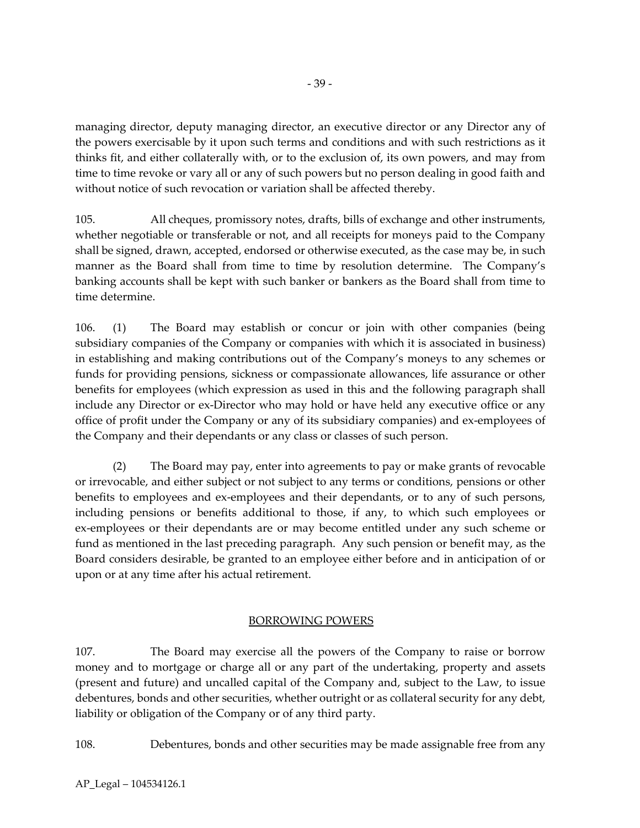managing director, deputy managing director, an executive director or any Director any of the powers exercisable by it upon such terms and conditions and with such restrictions as it thinks fit, and either collaterally with, or to the exclusion of, its own powers, and may from time to time revoke or vary all or any of such powers but no person dealing in good faith and without notice of such revocation or variation shall be affected thereby.

105. All cheques, promissory notes, drafts, bills of exchange and other instruments, whether negotiable or transferable or not, and all receipts for moneys paid to the Company shall be signed, drawn, accepted, endorsed or otherwise executed, as the case may be, in such manner as the Board shall from time to time by resolution determine. The Company's banking accounts shall be kept with such banker or bankers as the Board shall from time to time determine.

106. (1) The Board may establish or concur or join with other companies (being subsidiary companies of the Company or companies with which it is associated in business) in establishing and making contributions out of the Company's moneys to any schemes or funds for providing pensions, sickness or compassionate allowances, life assurance or other benefits for employees (which expression as used in this and the following paragraph shall include any Director or ex-Director who may hold or have held any executive office or any office of profit under the Company or any of its subsidiary companies) and ex-employees of the Company and their dependants or any class or classes of such person.

(2) The Board may pay, enter into agreements to pay or make grants of revocable or irrevocable, and either subject or not subject to any terms or conditions, pensions or other benefits to employees and ex-employees and their dependants, or to any of such persons, including pensions or benefits additional to those, if any, to which such employees or ex-employees or their dependants are or may become entitled under any such scheme or fund as mentioned in the last preceding paragraph. Any such pension or benefit may, as the Board considers desirable, be granted to an employee either before and in anticipation of or upon or at any time after his actual retirement.

# BORROWING POWERS

107. The Board may exercise all the powers of the Company to raise or borrow money and to mortgage or charge all or any part of the undertaking, property and assets (present and future) and uncalled capital of the Company and, subject to the Law, to issue debentures, bonds and other securities, whether outright or as collateral security for any debt, liability or obligation of the Company or of any third party.

108. Debentures, bonds and other securities may be made assignable free from any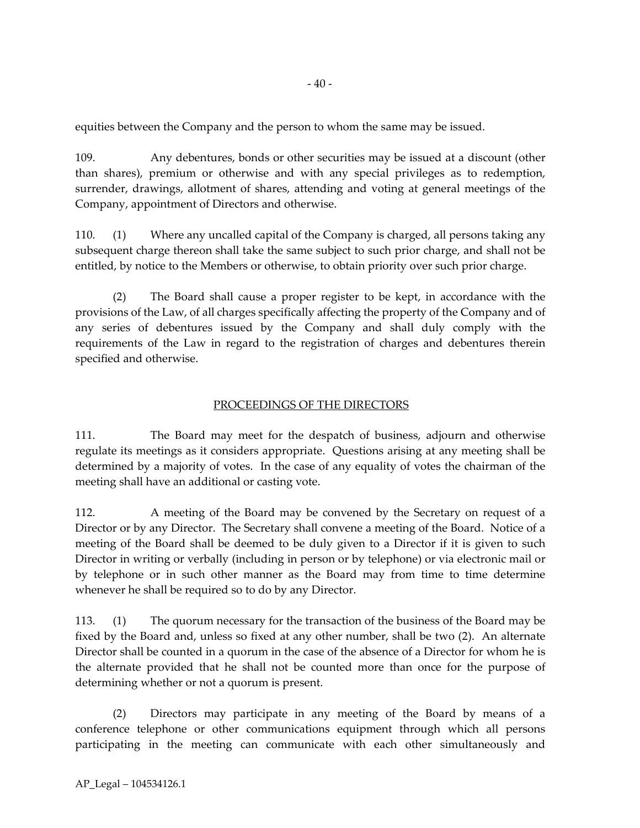equities between the Company and the person to whom the same may be issued.

109. Any debentures, bonds or other securities may be issued at a discount (other than shares), premium or otherwise and with any special privileges as to redemption, surrender, drawings, allotment of shares, attending and voting at general meetings of the Company, appointment of Directors and otherwise.

110. (1) Where any uncalled capital of the Company is charged, all persons taking any subsequent charge thereon shall take the same subject to such prior charge, and shall not be entitled, by notice to the Members or otherwise, to obtain priority over such prior charge.

(2) The Board shall cause a proper register to be kept, in accordance with the provisions of the Law, of all charges specifically affecting the property of the Company and of any series of debentures issued by the Company and shall duly comply with the requirements of the Law in regard to the registration of charges and debentures therein specified and otherwise.

# PROCEEDINGS OF THE DIRECTORS

111. The Board may meet for the despatch of business, adjourn and otherwise regulate its meetings as it considers appropriate. Questions arising at any meeting shall be determined by a majority of votes. In the case of any equality of votes the chairman of the meeting shall have an additional or casting vote.

112. A meeting of the Board may be convened by the Secretary on request of a Director or by any Director. The Secretary shall convene a meeting of the Board. Notice of a meeting of the Board shall be deemed to be duly given to a Director if it is given to such Director in writing or verbally (including in person or by telephone) or via electronic mail or by telephone or in such other manner as the Board may from time to time determine whenever he shall be required so to do by any Director.

113. (1) The quorum necessary for the transaction of the business of the Board may be fixed by the Board and, unless so fixed at any other number, shall be two (2). An alternate Director shall be counted in a quorum in the case of the absence of a Director for whom he is the alternate provided that he shall not be counted more than once for the purpose of determining whether or not a quorum is present.

(2) Directors may participate in any meeting of the Board by means of a conference telephone or other communications equipment through which all persons participating in the meeting can communicate with each other simultaneously and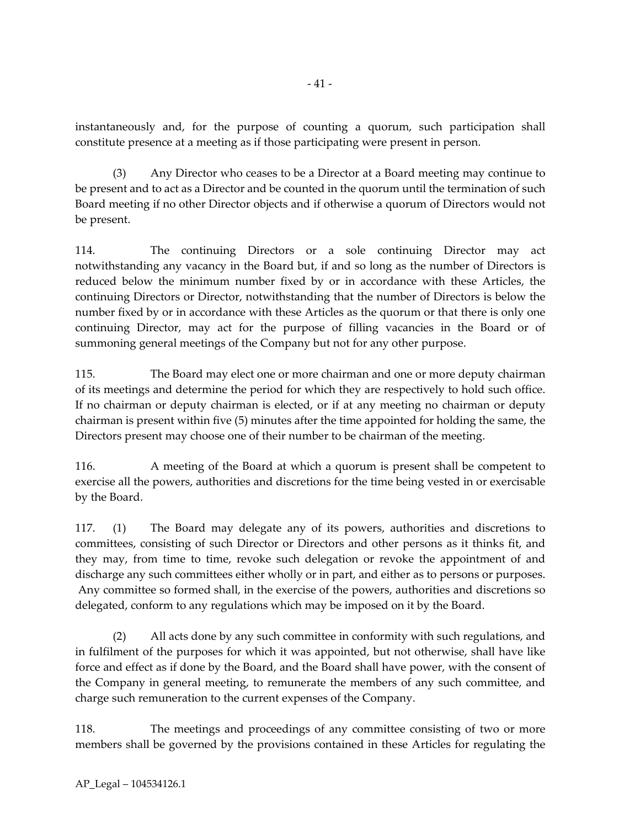instantaneously and, for the purpose of counting a quorum, such participation shall constitute presence at a meeting as if those participating were present in person.

(3) Any Director who ceases to be a Director at a Board meeting may continue to be present and to act as a Director and be counted in the quorum until the termination of such Board meeting if no other Director objects and if otherwise a quorum of Directors would not be present.

114. The continuing Directors or a sole continuing Director may act notwithstanding any vacancy in the Board but, if and so long as the number of Directors is reduced below the minimum number fixed by or in accordance with these Articles, the continuing Directors or Director, notwithstanding that the number of Directors is below the number fixed by or in accordance with these Articles as the quorum or that there is only one continuing Director, may act for the purpose of filling vacancies in the Board or of summoning general meetings of the Company but not for any other purpose.

115. The Board may elect one or more chairman and one or more deputy chairman of its meetings and determine the period for which they are respectively to hold such office. If no chairman or deputy chairman is elected, or if at any meeting no chairman or deputy chairman is present within five (5) minutes after the time appointed for holding the same, the Directors present may choose one of their number to be chairman of the meeting.

116. A meeting of the Board at which a quorum is present shall be competent to exercise all the powers, authorities and discretions for the time being vested in or exercisable by the Board.

117. (1) The Board may delegate any of its powers, authorities and discretions to committees, consisting of such Director or Directors and other persons as it thinks fit, and they may, from time to time, revoke such delegation or revoke the appointment of and discharge any such committees either wholly or in part, and either as to persons or purposes. Any committee so formed shall, in the exercise of the powers, authorities and discretions so delegated, conform to any regulations which may be imposed on it by the Board.

(2) All acts done by any such committee in conformity with such regulations, and in fulfilment of the purposes for which it was appointed, but not otherwise, shall have like force and effect as if done by the Board, and the Board shall have power, with the consent of the Company in general meeting, to remunerate the members of any such committee, and charge such remuneration to the current expenses of the Company.

118. The meetings and proceedings of any committee consisting of two or more members shall be governed by the provisions contained in these Articles for regulating the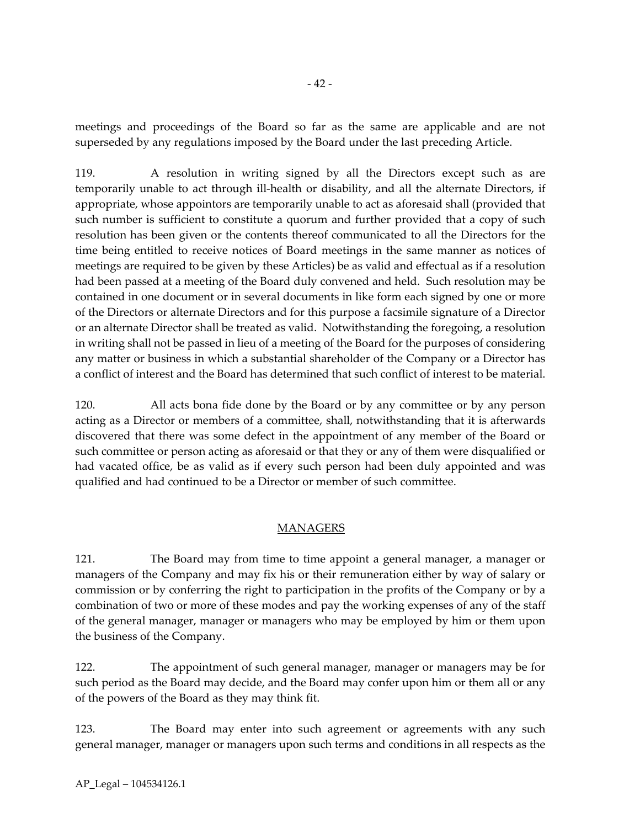meetings and proceedings of the Board so far as the same are applicable and are not superseded by any regulations imposed by the Board under the last preceding Article.

119. A resolution in writing signed by all the Directors except such as are temporarily unable to act through ill-health or disability, and all the alternate Directors, if appropriate, whose appointors are temporarily unable to act as aforesaid shall (provided that such number is sufficient to constitute a quorum and further provided that a copy of such resolution has been given or the contents thereof communicated to all the Directors for the time being entitled to receive notices of Board meetings in the same manner as notices of meetings are required to be given by these Articles) be as valid and effectual as if a resolution had been passed at a meeting of the Board duly convened and held. Such resolution may be contained in one document or in several documents in like form each signed by one or more of the Directors or alternate Directors and for this purpose a facsimile signature of a Director or an alternate Director shall be treated as valid. Notwithstanding the foregoing, a resolution in writing shall not be passed in lieu of a meeting of the Board for the purposes of considering any matter or business in which a substantial shareholder of the Company or a Director has a conflict of interest and the Board has determined that such conflict of interest to be material.

120. All acts bona fide done by the Board or by any committee or by any person acting as a Director or members of a committee, shall, notwithstanding that it is afterwards discovered that there was some defect in the appointment of any member of the Board or such committee or person acting as aforesaid or that they or any of them were disqualified or had vacated office, be as valid as if every such person had been duly appointed and was qualified and had continued to be a Director or member of such committee.

# MANAGERS

121. The Board may from time to time appoint a general manager, a manager or managers of the Company and may fix his or their remuneration either by way of salary or commission or by conferring the right to participation in the profits of the Company or by a combination of two or more of these modes and pay the working expenses of any of the staff of the general manager, manager or managers who may be employed by him or them upon the business of the Company.

122. The appointment of such general manager, manager or managers may be for such period as the Board may decide, and the Board may confer upon him or them all or any of the powers of the Board as they may think fit.

123. The Board may enter into such agreement or agreements with any such general manager, manager or managers upon such terms and conditions in all respects as the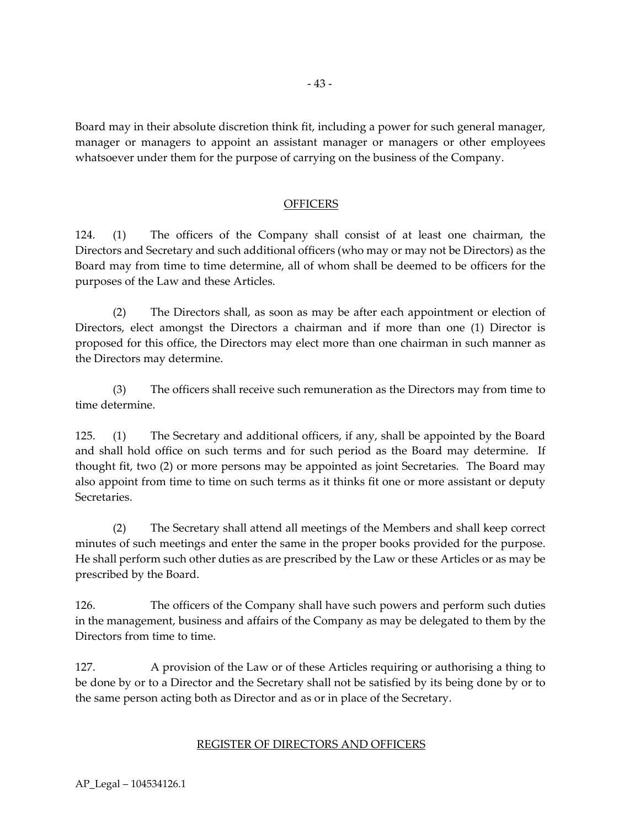Board may in their absolute discretion think fit, including a power for such general manager, manager or managers to appoint an assistant manager or managers or other employees whatsoever under them for the purpose of carrying on the business of the Company.

## OFFICERS

124. (1) The officers of the Company shall consist of at least one chairman, the Directors and Secretary and such additional officers (who may or may not be Directors) as the Board may from time to time determine, all of whom shall be deemed to be officers for the purposes of the Law and these Articles.

(2) The Directors shall, as soon as may be after each appointment or election of Directors, elect amongst the Directors a chairman and if more than one (1) Director is proposed for this office, the Directors may elect more than one chairman in such manner as the Directors may determine.

(3) The officers shall receive such remuneration as the Directors may from time to time determine.

125. (1) The Secretary and additional officers, if any, shall be appointed by the Board and shall hold office on such terms and for such period as the Board may determine. If thought fit, two (2) or more persons may be appointed as joint Secretaries. The Board may also appoint from time to time on such terms as it thinks fit one or more assistant or deputy Secretaries.

(2) The Secretary shall attend all meetings of the Members and shall keep correct minutes of such meetings and enter the same in the proper books provided for the purpose. He shall perform such other duties as are prescribed by the Law or these Articles or as may be prescribed by the Board.

126. The officers of the Company shall have such powers and perform such duties in the management, business and affairs of the Company as may be delegated to them by the Directors from time to time.

127. A provision of the Law or of these Articles requiring or authorising a thing to be done by or to a Director and the Secretary shall not be satisfied by its being done by or to the same person acting both as Director and as or in place of the Secretary.

#### REGISTER OF DIRECTORS AND OFFICERS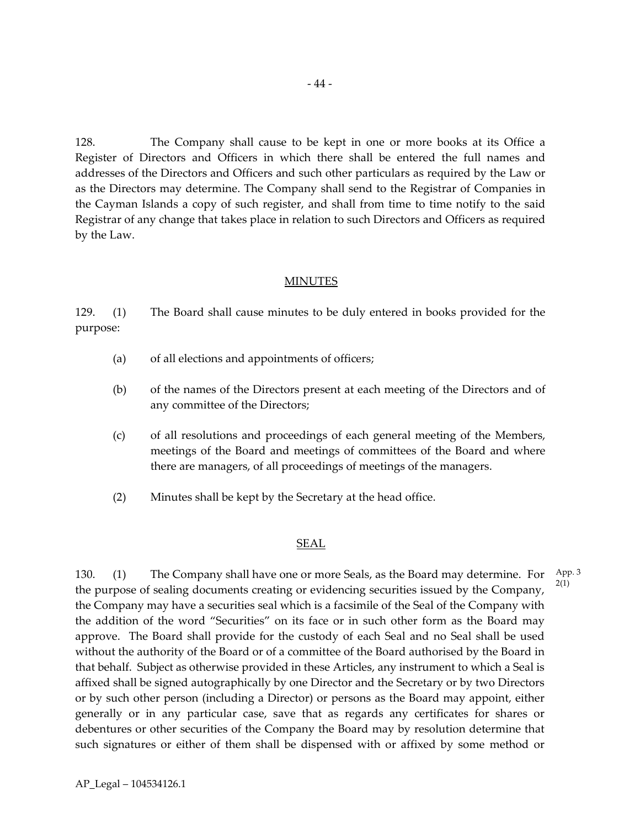128. The Company shall cause to be kept in one or more books at its Office a Register of Directors and Officers in which there shall be entered the full names and addresses of the Directors and Officers and such other particulars as required by the Law or as the Directors may determine. The Company shall send to the Registrar of Companies in the Cayman Islands a copy of such register, and shall from time to time notify to the said Registrar of any change that takes place in relation to such Directors and Officers as required by the Law.

## MINUTES

129. (1) The Board shall cause minutes to be duly entered in books provided for the purpose:

- (a) of all elections and appointments of officers;
- (b) of the names of the Directors present at each meeting of the Directors and of any committee of the Directors;
- (c) of all resolutions and proceedings of each general meeting of the Members, meetings of the Board and meetings of committees of the Board and where there are managers, of all proceedings of meetings of the managers.
- (2) Minutes shall be kept by the Secretary at the head office.

#### SEAL

130. (1) The Company shall have one or more Seals, as the Board may determine. For the purpose of sealing documents creating or evidencing securities issued by the Company, the Company may have a securities seal which is a facsimile of the Seal of the Company with the addition of the word "Securities" on its face or in such other form as the Board may approve. The Board shall provide for the custody of each Seal and no Seal shall be used without the authority of the Board or of a committee of the Board authorised by the Board in that behalf. Subject as otherwise provided in these Articles, any instrument to which a Seal is affixed shall be signed autographically by one Director and the Secretary or by two Directors or by such other person (including a Director) or persons as the Board may appoint, either generally or in any particular case, save that as regards any certificates for shares or debentures or other securities of the Company the Board may by resolution determine that such signatures or either of them shall be dispensed with or affixed by some method or App. 3 2(1)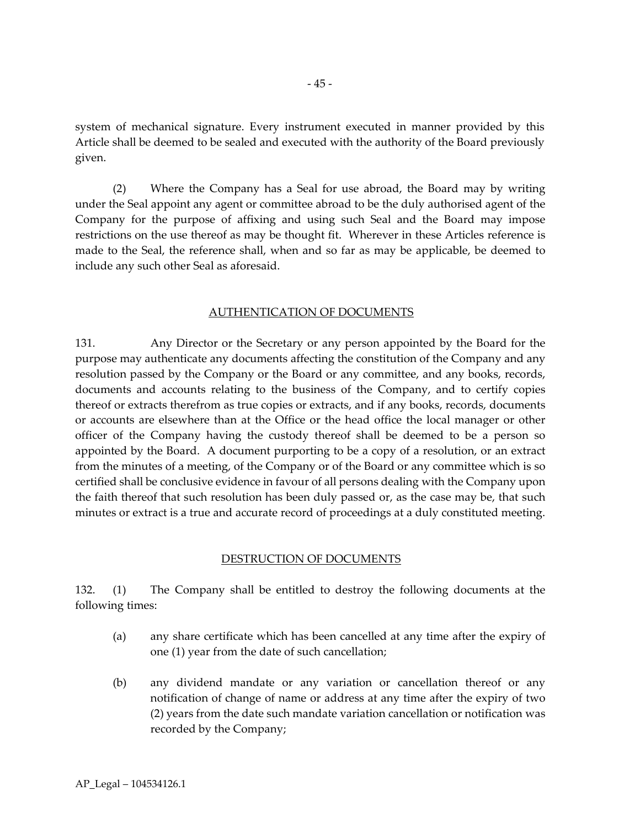system of mechanical signature. Every instrument executed in manner provided by this Article shall be deemed to be sealed and executed with the authority of the Board previously given.

(2) Where the Company has a Seal for use abroad, the Board may by writing under the Seal appoint any agent or committee abroad to be the duly authorised agent of the Company for the purpose of affixing and using such Seal and the Board may impose restrictions on the use thereof as may be thought fit. Wherever in these Articles reference is made to the Seal, the reference shall, when and so far as may be applicable, be deemed to include any such other Seal as aforesaid.

#### AUTHENTICATION OF DOCUMENTS

131. Any Director or the Secretary or any person appointed by the Board for the purpose may authenticate any documents affecting the constitution of the Company and any resolution passed by the Company or the Board or any committee, and any books, records, documents and accounts relating to the business of the Company, and to certify copies thereof or extracts therefrom as true copies or extracts, and if any books, records, documents or accounts are elsewhere than at the Office or the head office the local manager or other officer of the Company having the custody thereof shall be deemed to be a person so appointed by the Board. A document purporting to be a copy of a resolution, or an extract from the minutes of a meeting, of the Company or of the Board or any committee which is so certified shall be conclusive evidence in favour of all persons dealing with the Company upon the faith thereof that such resolution has been duly passed or, as the case may be, that such minutes or extract is a true and accurate record of proceedings at a duly constituted meeting.

#### DESTRUCTION OF DOCUMENTS

132. (1) The Company shall be entitled to destroy the following documents at the following times:

- (a) any share certificate which has been cancelled at any time after the expiry of one (1) year from the date of such cancellation;
- (b) any dividend mandate or any variation or cancellation thereof or any notification of change of name or address at any time after the expiry of two (2) years from the date such mandate variation cancellation or notification was recorded by the Company;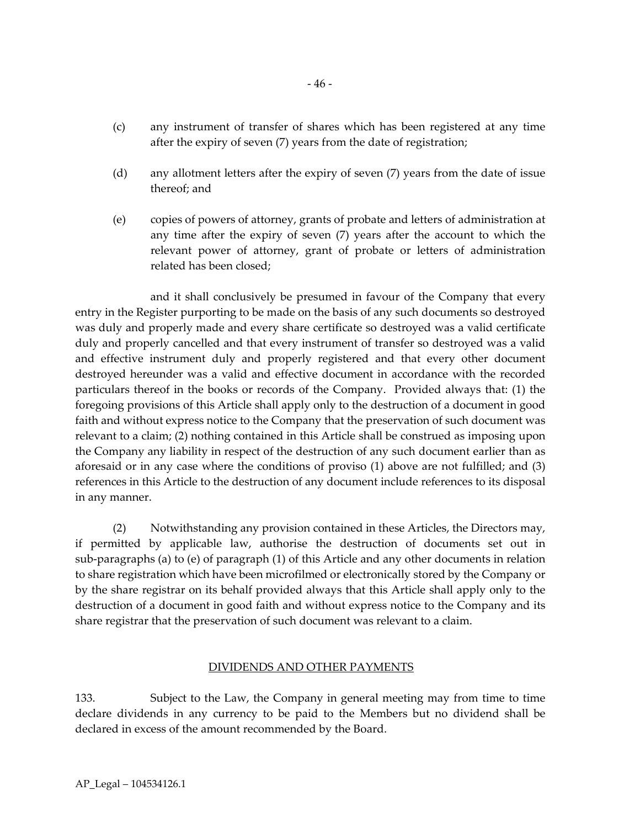- (c) any instrument of transfer of shares which has been registered at any time after the expiry of seven (7) years from the date of registration;
- (d) any allotment letters after the expiry of seven (7) years from the date of issue thereof; and
- (e) copies of powers of attorney, grants of probate and letters of administration at any time after the expiry of seven (7) years after the account to which the relevant power of attorney, grant of probate or letters of administration related has been closed;

and it shall conclusively be presumed in favour of the Company that every entry in the Register purporting to be made on the basis of any such documents so destroyed was duly and properly made and every share certificate so destroyed was a valid certificate duly and properly cancelled and that every instrument of transfer so destroyed was a valid and effective instrument duly and properly registered and that every other document destroyed hereunder was a valid and effective document in accordance with the recorded particulars thereof in the books or records of the Company. Provided always that: (1) the foregoing provisions of this Article shall apply only to the destruction of a document in good faith and without express notice to the Company that the preservation of such document was relevant to a claim; (2) nothing contained in this Article shall be construed as imposing upon the Company any liability in respect of the destruction of any such document earlier than as aforesaid or in any case where the conditions of proviso (1) above are not fulfilled; and (3) references in this Article to the destruction of any document include references to its disposal in any manner.

(2) Notwithstanding any provision contained in these Articles, the Directors may, if permitted by applicable law, authorise the destruction of documents set out in sub-paragraphs (a) to (e) of paragraph (1) of this Article and any other documents in relation to share registration which have been microfilmed or electronically stored by the Company or by the share registrar on its behalf provided always that this Article shall apply only to the destruction of a document in good faith and without express notice to the Company and its share registrar that the preservation of such document was relevant to a claim.

# DIVIDENDS AND OTHER PAYMENTS

133. Subject to the Law, the Company in general meeting may from time to time declare dividends in any currency to be paid to the Members but no dividend shall be declared in excess of the amount recommended by the Board.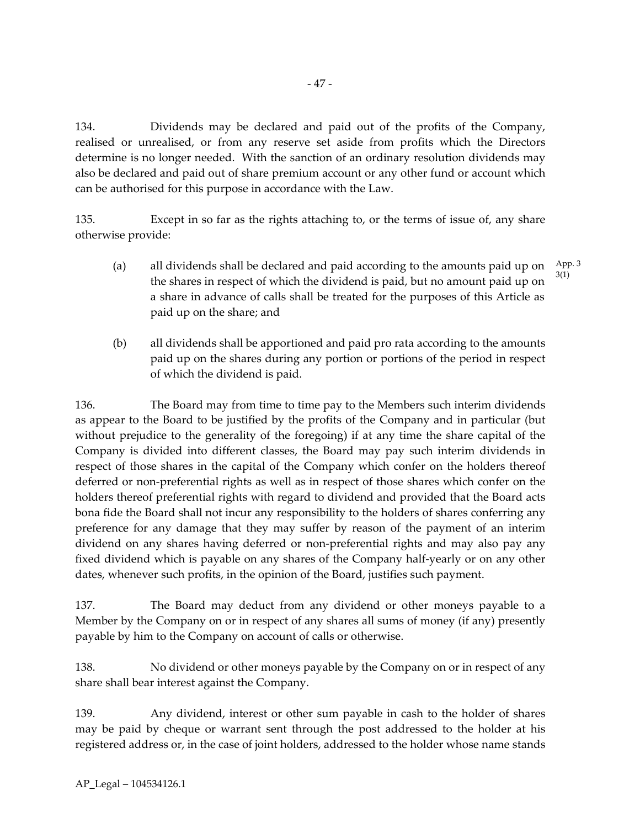134. Dividends may be declared and paid out of the profits of the Company, realised or unrealised, or from any reserve set aside from profits which the Directors determine is no longer needed. With the sanction of an ordinary resolution dividends may also be declared and paid out of share premium account or any other fund or account which can be authorised for this purpose in accordance with the Law.

135. Except in so far as the rights attaching to, or the terms of issue of, any share otherwise provide:

- (a) all dividends shall be declared and paid according to the amounts paid up on the shares in respect of which the dividend is paid, but no amount paid up on a share in advance of calls shall be treated for the purposes of this Article as paid up on the share; and App. 3 3(1)
- (b) all dividends shall be apportioned and paid pro rata according to the amounts paid up on the shares during any portion or portions of the period in respect of which the dividend is paid.

136. The Board may from time to time pay to the Members such interim dividends as appear to the Board to be justified by the profits of the Company and in particular (but without prejudice to the generality of the foregoing) if at any time the share capital of the Company is divided into different classes, the Board may pay such interim dividends in respect of those shares in the capital of the Company which confer on the holders thereof deferred or non-preferential rights as well as in respect of those shares which confer on the holders thereof preferential rights with regard to dividend and provided that the Board acts bona fide the Board shall not incur any responsibility to the holders of shares conferring any preference for any damage that they may suffer by reason of the payment of an interim dividend on any shares having deferred or non-preferential rights and may also pay any fixed dividend which is payable on any shares of the Company half-yearly or on any other dates, whenever such profits, in the opinion of the Board, justifies such payment.

137. The Board may deduct from any dividend or other moneys payable to a Member by the Company on or in respect of any shares all sums of money (if any) presently payable by him to the Company on account of calls or otherwise.

138. No dividend or other moneys payable by the Company on or in respect of any share shall bear interest against the Company.

139. Any dividend, interest or other sum payable in cash to the holder of shares may be paid by cheque or warrant sent through the post addressed to the holder at his registered address or, in the case of joint holders, addressed to the holder whose name stands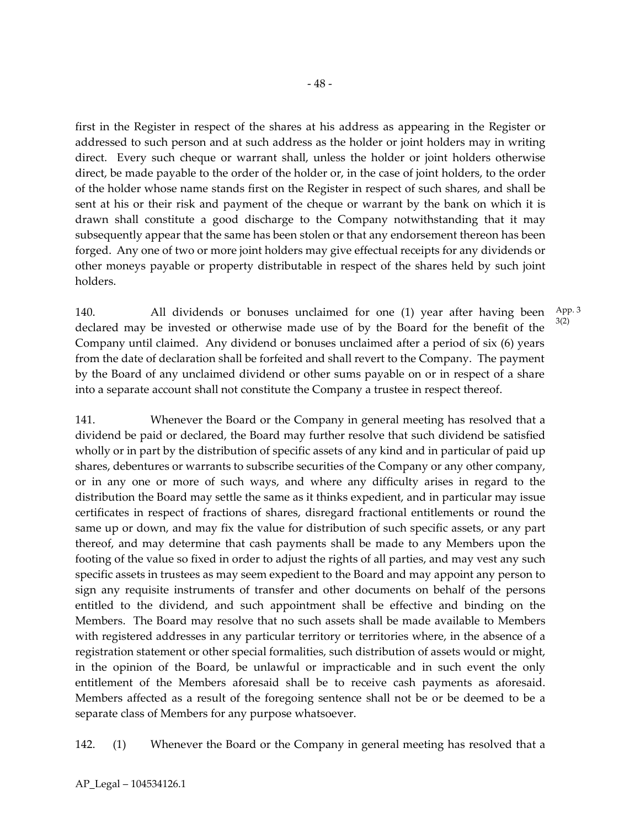first in the Register in respect of the shares at his address as appearing in the Register or addressed to such person and at such address as the holder or joint holders may in writing direct. Every such cheque or warrant shall, unless the holder or joint holders otherwise direct, be made payable to the order of the holder or, in the case of joint holders, to the order of the holder whose name stands first on the Register in respect of such shares, and shall be sent at his or their risk and payment of the cheque or warrant by the bank on which it is drawn shall constitute a good discharge to the Company notwithstanding that it may subsequently appear that the same has been stolen or that any endorsement thereon has been forged. Any one of two or more joint holders may give effectual receipts for any dividends or other moneys payable or property distributable in respect of the shares held by such joint holders.

140. All dividends or bonuses unclaimed for one (1) year after having been declared may be invested or otherwise made use of by the Board for the benefit of the Company until claimed. Any dividend or bonuses unclaimed after a period of six (6) years from the date of declaration shall be forfeited and shall revert to the Company. The payment by the Board of any unclaimed dividend or other sums payable on or in respect of a share into a separate account shall not constitute the Company a trustee in respect thereof. App. 3 3(2)

141. Whenever the Board or the Company in general meeting has resolved that a dividend be paid or declared, the Board may further resolve that such dividend be satisfied wholly or in part by the distribution of specific assets of any kind and in particular of paid up shares, debentures or warrants to subscribe securities of the Company or any other company, or in any one or more of such ways, and where any difficulty arises in regard to the distribution the Board may settle the same as it thinks expedient, and in particular may issue certificates in respect of fractions of shares, disregard fractional entitlements or round the same up or down, and may fix the value for distribution of such specific assets, or any part thereof, and may determine that cash payments shall be made to any Members upon the footing of the value so fixed in order to adjust the rights of all parties, and may vest any such specific assets in trustees as may seem expedient to the Board and may appoint any person to sign any requisite instruments of transfer and other documents on behalf of the persons entitled to the dividend, and such appointment shall be effective and binding on the Members. The Board may resolve that no such assets shall be made available to Members with registered addresses in any particular territory or territories where, in the absence of a registration statement or other special formalities, such distribution of assets would or might, in the opinion of the Board, be unlawful or impracticable and in such event the only entitlement of the Members aforesaid shall be to receive cash payments as aforesaid. Members affected as a result of the foregoing sentence shall not be or be deemed to be a separate class of Members for any purpose whatsoever.

142. (1) Whenever the Board or the Company in general meeting has resolved that a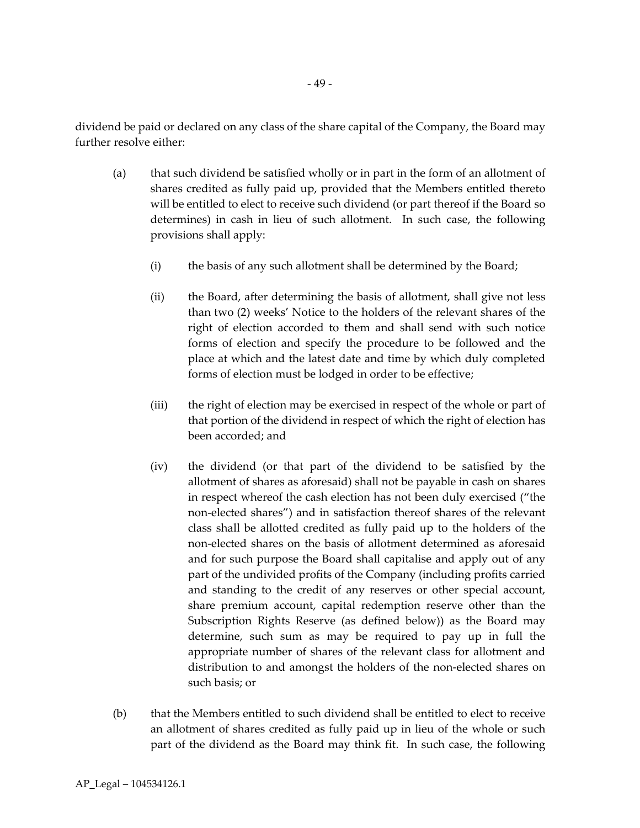dividend be paid or declared on any class of the share capital of the Company, the Board may further resolve either:

- (a) that such dividend be satisfied wholly or in part in the form of an allotment of shares credited as fully paid up, provided that the Members entitled thereto will be entitled to elect to receive such dividend (or part thereof if the Board so determines) in cash in lieu of such allotment. In such case, the following provisions shall apply:
	- (i) the basis of any such allotment shall be determined by the Board;
	- (ii) the Board, after determining the basis of allotment, shall give not less than two (2) weeks' Notice to the holders of the relevant shares of the right of election accorded to them and shall send with such notice forms of election and specify the procedure to be followed and the place at which and the latest date and time by which duly completed forms of election must be lodged in order to be effective;
	- (iii) the right of election may be exercised in respect of the whole or part of that portion of the dividend in respect of which the right of election has been accorded; and
	- (iv) the dividend (or that part of the dividend to be satisfied by the allotment of shares as aforesaid) shall not be payable in cash on shares in respect whereof the cash election has not been duly exercised ("the non-elected shares") and in satisfaction thereof shares of the relevant class shall be allotted credited as fully paid up to the holders of the non-elected shares on the basis of allotment determined as aforesaid and for such purpose the Board shall capitalise and apply out of any part of the undivided profits of the Company (including profits carried and standing to the credit of any reserves or other special account, share premium account, capital redemption reserve other than the Subscription Rights Reserve (as defined below)) as the Board may determine, such sum as may be required to pay up in full the appropriate number of shares of the relevant class for allotment and distribution to and amongst the holders of the non-elected shares on such basis; or
- (b) that the Members entitled to such dividend shall be entitled to elect to receive an allotment of shares credited as fully paid up in lieu of the whole or such part of the dividend as the Board may think fit. In such case, the following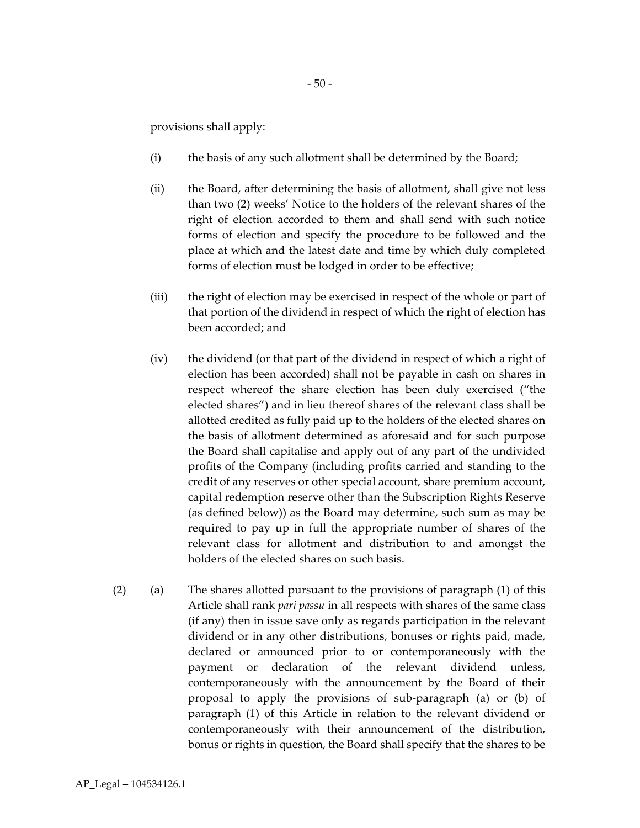provisions shall apply:

- (i) the basis of any such allotment shall be determined by the Board;
- (ii) the Board, after determining the basis of allotment, shall give not less than two (2) weeks' Notice to the holders of the relevant shares of the right of election accorded to them and shall send with such notice forms of election and specify the procedure to be followed and the place at which and the latest date and time by which duly completed forms of election must be lodged in order to be effective;
- (iii) the right of election may be exercised in respect of the whole or part of that portion of the dividend in respect of which the right of election has been accorded; and
- (iv) the dividend (or that part of the dividend in respect of which a right of election has been accorded) shall not be payable in cash on shares in respect whereof the share election has been duly exercised ("the elected shares") and in lieu thereof shares of the relevant class shall be allotted credited as fully paid up to the holders of the elected shares on the basis of allotment determined as aforesaid and for such purpose the Board shall capitalise and apply out of any part of the undivided profits of the Company (including profits carried and standing to the credit of any reserves or other special account, share premium account, capital redemption reserve other than the Subscription Rights Reserve (as defined below)) as the Board may determine, such sum as may be required to pay up in full the appropriate number of shares of the relevant class for allotment and distribution to and amongst the holders of the elected shares on such basis.
- (2) (a) The shares allotted pursuant to the provisions of paragraph (1) of this Article shall rank *pari passu* in all respects with shares of the same class (if any) then in issue save only as regards participation in the relevant dividend or in any other distributions, bonuses or rights paid, made, declared or announced prior to or contemporaneously with the payment or declaration of the relevant dividend unless, contemporaneously with the announcement by the Board of their proposal to apply the provisions of sub-paragraph (a) or (b) of paragraph (1) of this Article in relation to the relevant dividend or contemporaneously with their announcement of the distribution, bonus or rights in question, the Board shall specify that the shares to be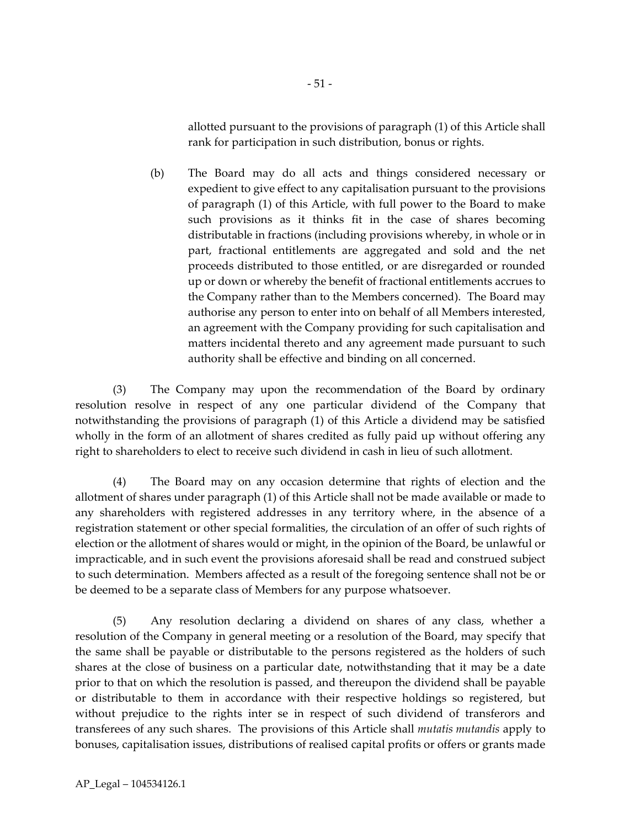allotted pursuant to the provisions of paragraph (1) of this Article shall rank for participation in such distribution, bonus or rights.

(b) The Board may do all acts and things considered necessary or expedient to give effect to any capitalisation pursuant to the provisions of paragraph (1) of this Article, with full power to the Board to make such provisions as it thinks fit in the case of shares becoming distributable in fractions (including provisions whereby, in whole or in part, fractional entitlements are aggregated and sold and the net proceeds distributed to those entitled, or are disregarded or rounded up or down or whereby the benefit of fractional entitlements accrues to the Company rather than to the Members concerned). The Board may authorise any person to enter into on behalf of all Members interested, an agreement with the Company providing for such capitalisation and matters incidental thereto and any agreement made pursuant to such authority shall be effective and binding on all concerned.

(3) The Company may upon the recommendation of the Board by ordinary resolution resolve in respect of any one particular dividend of the Company that notwithstanding the provisions of paragraph (1) of this Article a dividend may be satisfied wholly in the form of an allotment of shares credited as fully paid up without offering any right to shareholders to elect to receive such dividend in cash in lieu of such allotment.

(4) The Board may on any occasion determine that rights of election and the allotment of shares under paragraph (1) of this Article shall not be made available or made to any shareholders with registered addresses in any territory where, in the absence of a registration statement or other special formalities, the circulation of an offer of such rights of election or the allotment of shares would or might, in the opinion of the Board, be unlawful or impracticable, and in such event the provisions aforesaid shall be read and construed subject to such determination. Members affected as a result of the foregoing sentence shall not be or be deemed to be a separate class of Members for any purpose whatsoever.

(5) Any resolution declaring a dividend on shares of any class, whether a resolution of the Company in general meeting or a resolution of the Board, may specify that the same shall be payable or distributable to the persons registered as the holders of such shares at the close of business on a particular date, notwithstanding that it may be a date prior to that on which the resolution is passed, and thereupon the dividend shall be payable or distributable to them in accordance with their respective holdings so registered, but without prejudice to the rights inter se in respect of such dividend of transferors and transferees of any such shares. The provisions of this Article shall *mutatis mutandis* apply to bonuses, capitalisation issues, distributions of realised capital profits or offers or grants made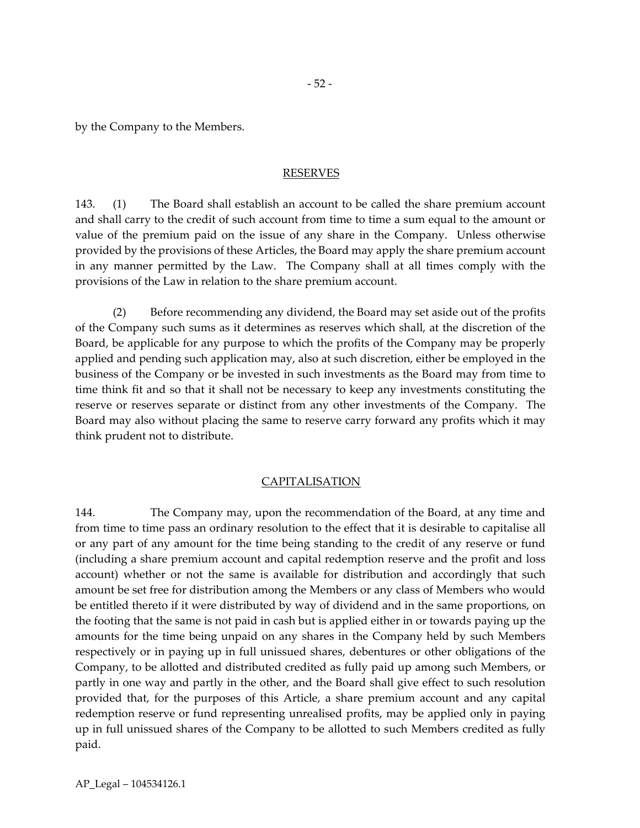by the Company to the Members.

#### RESERVES

143. (1) The Board shall establish an account to be called the share premium account and shall carry to the credit of such account from time to time a sum equal to the amount or value of the premium paid on the issue of any share in the Company. Unless otherwise provided by the provisions of these Articles, the Board may apply the share premium account in any manner permitted by the Law. The Company shall at all times comply with the provisions of the Law in relation to the share premium account.

(2) Before recommending any dividend, the Board may set aside out of the profits of the Company such sums as it determines as reserves which shall, at the discretion of the Board, be applicable for any purpose to which the profits of the Company may be properly applied and pending such application may, also at such discretion, either be employed in the business of the Company or be invested in such investments as the Board may from time to time think fit and so that it shall not be necessary to keep any investments constituting the reserve or reserves separate or distinct from any other investments of the Company. The Board may also without placing the same to reserve carry forward any profits which it may think prudent not to distribute.

#### CAPITALISATION

144. The Company may, upon the recommendation of the Board, at any time and from time to time pass an ordinary resolution to the effect that it is desirable to capitalise all or any part of any amount for the time being standing to the credit of any reserve or fund (including a share premium account and capital redemption reserve and the profit and loss account) whether or not the same is available for distribution and accordingly that such amount be set free for distribution among the Members or any class of Members who would be entitled thereto if it were distributed by way of dividend and in the same proportions, on the footing that the same is not paid in cash but is applied either in or towards paying up the amounts for the time being unpaid on any shares in the Company held by such Members respectively or in paying up in full unissued shares, debentures or other obligations of the Company, to be allotted and distributed credited as fully paid up among such Members, or partly in one way and partly in the other, and the Board shall give effect to such resolution provided that, for the purposes of this Article, a share premium account and any capital redemption reserve or fund representing unrealised profits, may be applied only in paying up in full unissued shares of the Company to be allotted to such Members credited as fully paid.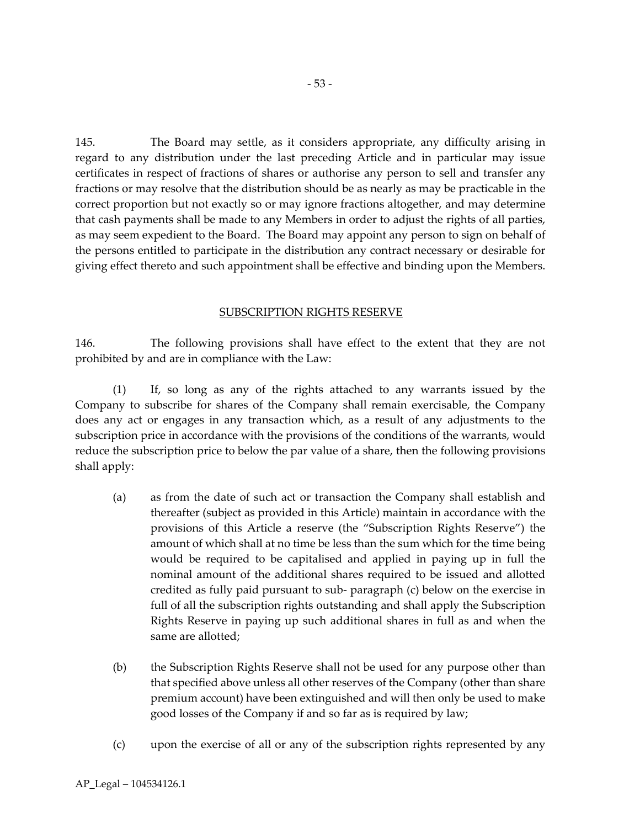145. The Board may settle, as it considers appropriate, any difficulty arising in regard to any distribution under the last preceding Article and in particular may issue certificates in respect of fractions of shares or authorise any person to sell and transfer any fractions or may resolve that the distribution should be as nearly as may be practicable in the correct proportion but not exactly so or may ignore fractions altogether, and may determine that cash payments shall be made to any Members in order to adjust the rights of all parties, as may seem expedient to the Board. The Board may appoint any person to sign on behalf of the persons entitled to participate in the distribution any contract necessary or desirable for giving effect thereto and such appointment shall be effective and binding upon the Members.

#### SUBSCRIPTION RIGHTS RESERVE

146. The following provisions shall have effect to the extent that they are not prohibited by and are in compliance with the Law:

(1) If, so long as any of the rights attached to any warrants issued by the Company to subscribe for shares of the Company shall remain exercisable, the Company does any act or engages in any transaction which, as a result of any adjustments to the subscription price in accordance with the provisions of the conditions of the warrants, would reduce the subscription price to below the par value of a share, then the following provisions shall apply:

- (a) as from the date of such act or transaction the Company shall establish and thereafter (subject as provided in this Article) maintain in accordance with the provisions of this Article a reserve (the "Subscription Rights Reserve") the amount of which shall at no time be less than the sum which for the time being would be required to be capitalised and applied in paying up in full the nominal amount of the additional shares required to be issued and allotted credited as fully paid pursuant to sub- paragraph (c) below on the exercise in full of all the subscription rights outstanding and shall apply the Subscription Rights Reserve in paying up such additional shares in full as and when the same are allotted;
- (b) the Subscription Rights Reserve shall not be used for any purpose other than that specified above unless all other reserves of the Company (other than share premium account) have been extinguished and will then only be used to make good losses of the Company if and so far as is required by law;
- (c) upon the exercise of all or any of the subscription rights represented by any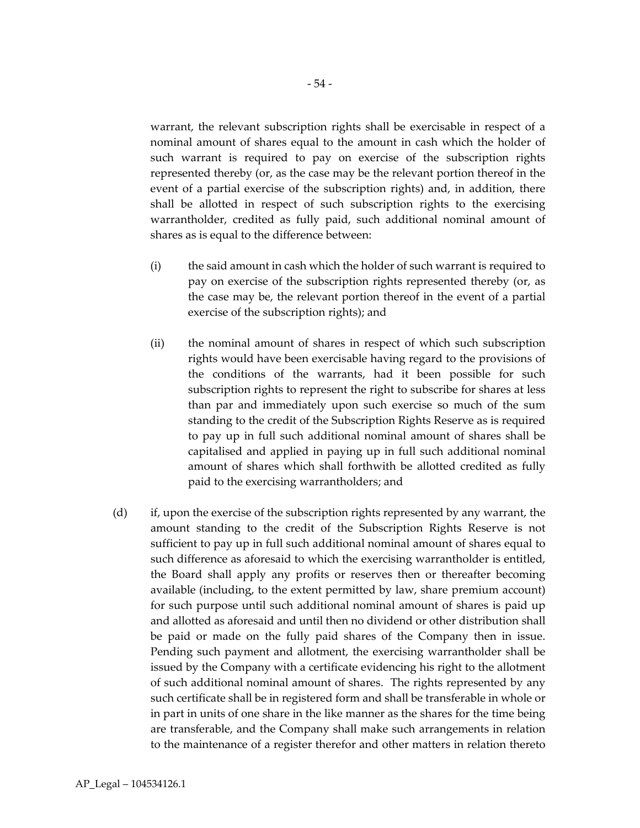warrant, the relevant subscription rights shall be exercisable in respect of a nominal amount of shares equal to the amount in cash which the holder of such warrant is required to pay on exercise of the subscription rights represented thereby (or, as the case may be the relevant portion thereof in the event of a partial exercise of the subscription rights) and, in addition, there shall be allotted in respect of such subscription rights to the exercising warrantholder, credited as fully paid, such additional nominal amount of shares as is equal to the difference between:

- (i) the said amount in cash which the holder of such warrant is required to pay on exercise of the subscription rights represented thereby (or, as the case may be, the relevant portion thereof in the event of a partial exercise of the subscription rights); and
- (ii) the nominal amount of shares in respect of which such subscription rights would have been exercisable having regard to the provisions of the conditions of the warrants, had it been possible for such subscription rights to represent the right to subscribe for shares at less than par and immediately upon such exercise so much of the sum standing to the credit of the Subscription Rights Reserve as is required to pay up in full such additional nominal amount of shares shall be capitalised and applied in paying up in full such additional nominal amount of shares which shall forthwith be allotted credited as fully paid to the exercising warrantholders; and
- (d) if, upon the exercise of the subscription rights represented by any warrant, the amount standing to the credit of the Subscription Rights Reserve is not sufficient to pay up in full such additional nominal amount of shares equal to such difference as aforesaid to which the exercising warrantholder is entitled, the Board shall apply any profits or reserves then or thereafter becoming available (including, to the extent permitted by law, share premium account) for such purpose until such additional nominal amount of shares is paid up and allotted as aforesaid and until then no dividend or other distribution shall be paid or made on the fully paid shares of the Company then in issue. Pending such payment and allotment, the exercising warrantholder shall be issued by the Company with a certificate evidencing his right to the allotment of such additional nominal amount of shares. The rights represented by any such certificate shall be in registered form and shall be transferable in whole or in part in units of one share in the like manner as the shares for the time being are transferable, and the Company shall make such arrangements in relation to the maintenance of a register therefor and other matters in relation thereto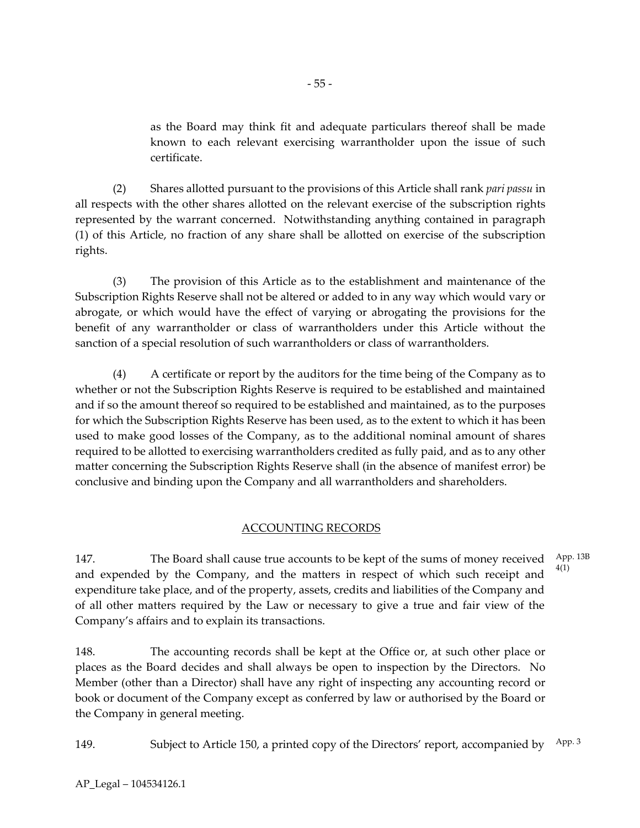as the Board may think fit and adequate particulars thereof shall be made known to each relevant exercising warrantholder upon the issue of such certificate.

(2) Shares allotted pursuant to the provisions of this Article shall rank *pari passu* in all respects with the other shares allotted on the relevant exercise of the subscription rights represented by the warrant concerned. Notwithstanding anything contained in paragraph (1) of this Article, no fraction of any share shall be allotted on exercise of the subscription rights.

(3) The provision of this Article as to the establishment and maintenance of the Subscription Rights Reserve shall not be altered or added to in any way which would vary or abrogate, or which would have the effect of varying or abrogating the provisions for the benefit of any warrantholder or class of warrantholders under this Article without the sanction of a special resolution of such warrantholders or class of warrantholders.

(4) A certificate or report by the auditors for the time being of the Company as to whether or not the Subscription Rights Reserve is required to be established and maintained and if so the amount thereof so required to be established and maintained, as to the purposes for which the Subscription Rights Reserve has been used, as to the extent to which it has been used to make good losses of the Company, as to the additional nominal amount of shares required to be allotted to exercising warrantholders credited as fully paid, and as to any other matter concerning the Subscription Rights Reserve shall (in the absence of manifest error) be conclusive and binding upon the Company and all warrantholders and shareholders.

# ACCOUNTING RECORDS

147. The Board shall cause true accounts to be kept of the sums of money received and expended by the Company, and the matters in respect of which such receipt and expenditure take place, and of the property, assets, credits and liabilities of the Company and of all other matters required by the Law or necessary to give a true and fair view of the Company's affairs and to explain its transactions. App. 13B 4(1)

148. The accounting records shall be kept at the Office or, at such other place or places as the Board decides and shall always be open to inspection by the Directors. No Member (other than a Director) shall have any right of inspecting any accounting record or book or document of the Company except as conferred by law or authorised by the Board or the Company in general meeting.

149. Subject to Article 150, a printed copy of the Directors' report, accompanied by App. 3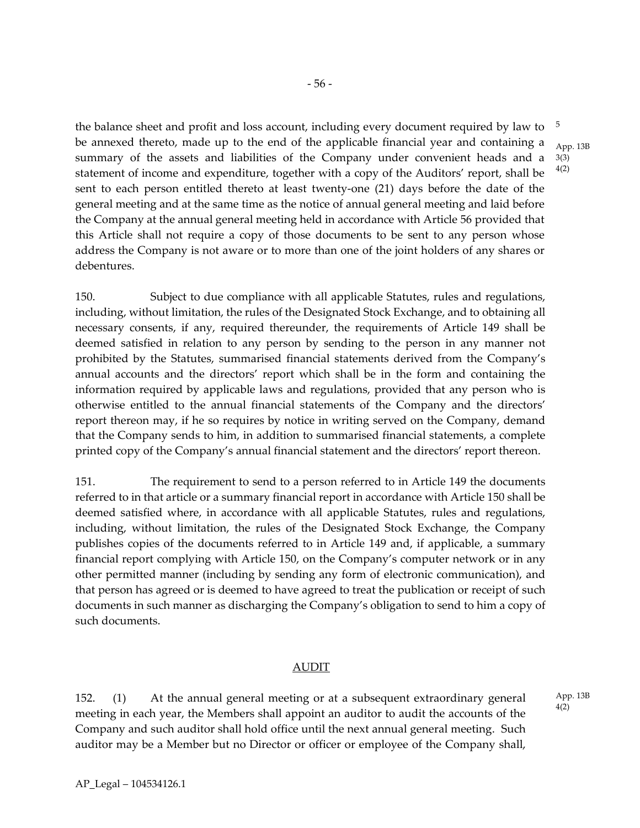the balance sheet and profit and loss account, including every document required by law to be annexed thereto, made up to the end of the applicable financial year and containing a summary of the assets and liabilities of the Company under convenient heads and a statement of income and expenditure, together with a copy of the Auditors' report, shall be sent to each person entitled thereto at least twenty-one (21) days before the date of the general meeting and at the same time as the notice of annual general meeting and laid before the Company at the annual general meeting held in accordance with Article 56 provided that this Article shall not require a copy of those documents to be sent to any person whose address the Company is not aware or to more than one of the joint holders of any shares or debentures. 4(2)

150. Subject to due compliance with all applicable Statutes, rules and regulations, including, without limitation, the rules of the Designated Stock Exchange, and to obtaining all necessary consents, if any, required thereunder, the requirements of Article 149 shall be deemed satisfied in relation to any person by sending to the person in any manner not prohibited by the Statutes, summarised financial statements derived from the Company's annual accounts and the directors' report which shall be in the form and containing the information required by applicable laws and regulations, provided that any person who is otherwise entitled to the annual financial statements of the Company and the directors' report thereon may, if he so requires by notice in writing served on the Company, demand that the Company sends to him, in addition to summarised financial statements, a complete printed copy of the Company's annual financial statement and the directors' report thereon.

151. The requirement to send to a person referred to in Article 149 the documents referred to in that article or a summary financial report in accordance with Article 150 shall be deemed satisfied where, in accordance with all applicable Statutes, rules and regulations, including, without limitation, the rules of the Designated Stock Exchange, the Company publishes copies of the documents referred to in Article 149 and, if applicable, a summary financial report complying with Article 150, on the Company's computer network or in any other permitted manner (including by sending any form of electronic communication), and that person has agreed or is deemed to have agreed to treat the publication or receipt of such documents in such manner as discharging the Company's obligation to send to him a copy of such documents.

#### AUDIT

152. (1) At the annual general meeting or at a subsequent extraordinary general meeting in each year, the Members shall appoint an auditor to audit the accounts of the Company and such auditor shall hold office until the next annual general meeting. Such auditor may be a Member but no Director or officer or employee of the Company shall, 5

App. 13B 3(3)

App. 13B 4(2)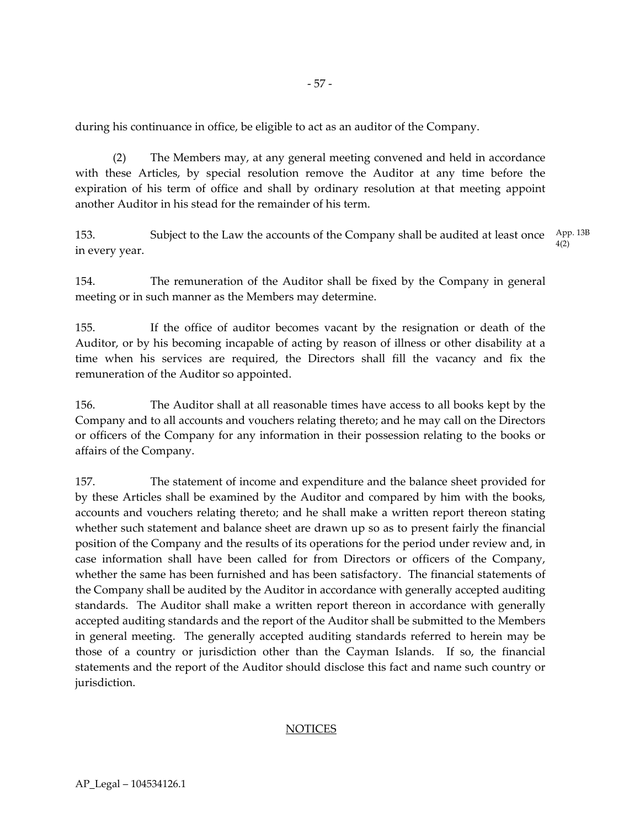during his continuance in office, be eligible to act as an auditor of the Company.

(2) The Members may, at any general meeting convened and held in accordance with these Articles, by special resolution remove the Auditor at any time before the expiration of his term of office and shall by ordinary resolution at that meeting appoint another Auditor in his stead for the remainder of his term.

153. Subject to the Law the accounts of the Company shall be audited at least once in every year. App. 13B 4(2)

154. The remuneration of the Auditor shall be fixed by the Company in general meeting or in such manner as the Members may determine.

155. If the office of auditor becomes vacant by the resignation or death of the Auditor, or by his becoming incapable of acting by reason of illness or other disability at a time when his services are required, the Directors shall fill the vacancy and fix the remuneration of the Auditor so appointed.

156. The Auditor shall at all reasonable times have access to all books kept by the Company and to all accounts and vouchers relating thereto; and he may call on the Directors or officers of the Company for any information in their possession relating to the books or affairs of the Company.

157. The statement of income and expenditure and the balance sheet provided for by these Articles shall be examined by the Auditor and compared by him with the books, accounts and vouchers relating thereto; and he shall make a written report thereon stating whether such statement and balance sheet are drawn up so as to present fairly the financial position of the Company and the results of its operations for the period under review and, in case information shall have been called for from Directors or officers of the Company, whether the same has been furnished and has been satisfactory. The financial statements of the Company shall be audited by the Auditor in accordance with generally accepted auditing standards. The Auditor shall make a written report thereon in accordance with generally accepted auditing standards and the report of the Auditor shall be submitted to the Members in general meeting. The generally accepted auditing standards referred to herein may be those of a country or jurisdiction other than the Cayman Islands. If so, the financial statements and the report of the Auditor should disclose this fact and name such country or jurisdiction.

#### **NOTICES**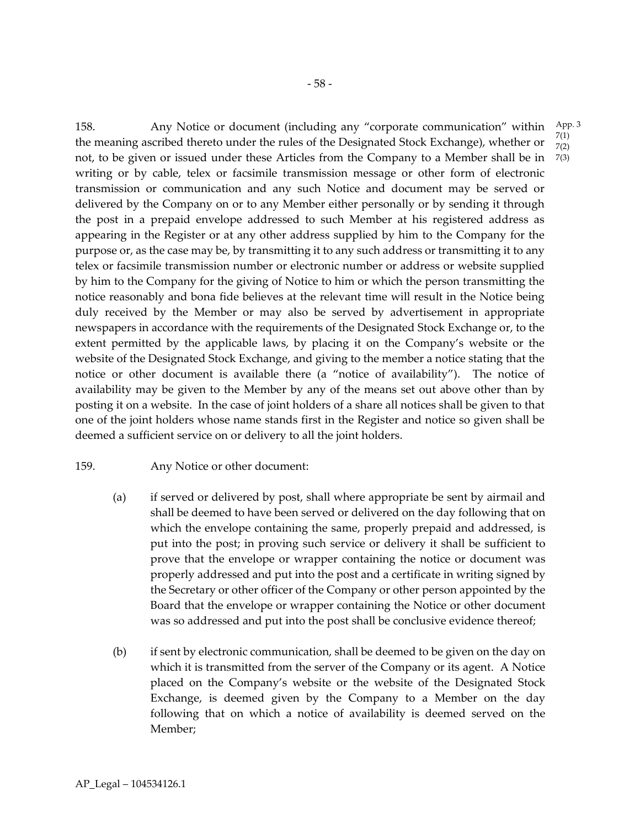158. Any Notice or document (including any "corporate communication" within the meaning ascribed thereto under the rules of the Designated Stock Exchange), whether or not, to be given or issued under these Articles from the Company to a Member shall be in 7(3) writing or by cable, telex or facsimile transmission message or other form of electronic transmission or communication and any such Notice and document may be served or delivered by the Company on or to any Member either personally or by sending it through the post in a prepaid envelope addressed to such Member at his registered address as appearing in the Register or at any other address supplied by him to the Company for the purpose or, as the case may be, by transmitting it to any such address or transmitting it to any telex or facsimile transmission number or electronic number or address or website supplied by him to the Company for the giving of Notice to him or which the person transmitting the notice reasonably and bona fide believes at the relevant time will result in the Notice being duly received by the Member or may also be served by advertisement in appropriate newspapers in accordance with the requirements of the Designated Stock Exchange or, to the extent permitted by the applicable laws, by placing it on the Company's website or the website of the Designated Stock Exchange, and giving to the member a notice stating that the notice or other document is available there (a "notice of availability"). The notice of availability may be given to the Member by any of the means set out above other than by posting it on a website. In the case of joint holders of a share all notices shall be given to that one of the joint holders whose name stands first in the Register and notice so given shall be deemed a sufficient service on or delivery to all the joint holders. App. 3 7(1) 7(2)

#### 159. Any Notice or other document:

- (a) if served or delivered by post, shall where appropriate be sent by airmail and shall be deemed to have been served or delivered on the day following that on which the envelope containing the same, properly prepaid and addressed, is put into the post; in proving such service or delivery it shall be sufficient to prove that the envelope or wrapper containing the notice or document was properly addressed and put into the post and a certificate in writing signed by the Secretary or other officer of the Company or other person appointed by the Board that the envelope or wrapper containing the Notice or other document was so addressed and put into the post shall be conclusive evidence thereof;
- (b) if sent by electronic communication, shall be deemed to be given on the day on which it is transmitted from the server of the Company or its agent. A Notice placed on the Company's website or the website of the Designated Stock Exchange, is deemed given by the Company to a Member on the day following that on which a notice of availability is deemed served on the Member;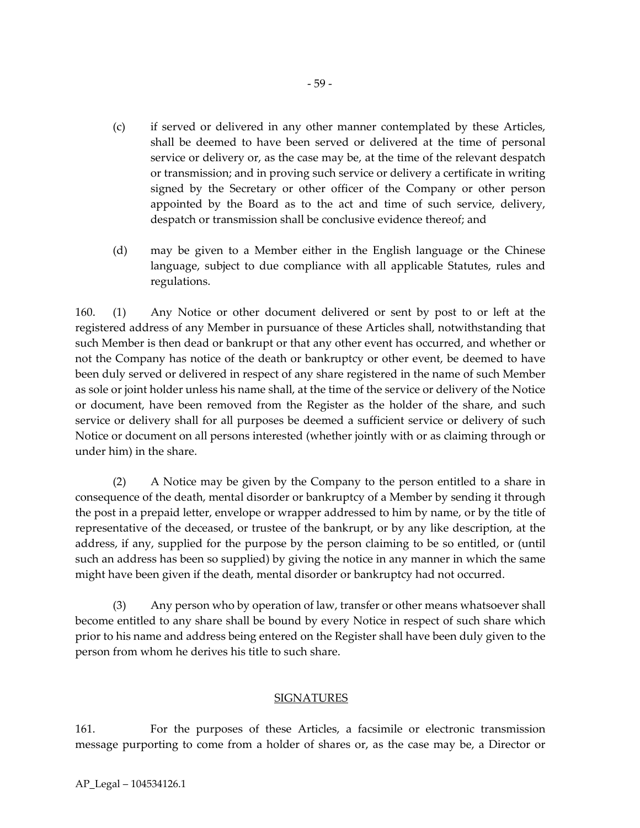- (c) if served or delivered in any other manner contemplated by these Articles, shall be deemed to have been served or delivered at the time of personal service or delivery or, as the case may be, at the time of the relevant despatch or transmission; and in proving such service or delivery a certificate in writing signed by the Secretary or other officer of the Company or other person appointed by the Board as to the act and time of such service, delivery, despatch or transmission shall be conclusive evidence thereof; and
- (d) may be given to a Member either in the English language or the Chinese language, subject to due compliance with all applicable Statutes, rules and regulations.

160. (1) Any Notice or other document delivered or sent by post to or left at the registered address of any Member in pursuance of these Articles shall, notwithstanding that such Member is then dead or bankrupt or that any other event has occurred, and whether or not the Company has notice of the death or bankruptcy or other event, be deemed to have been duly served or delivered in respect of any share registered in the name of such Member as sole or joint holder unless his name shall, at the time of the service or delivery of the Notice or document, have been removed from the Register as the holder of the share, and such service or delivery shall for all purposes be deemed a sufficient service or delivery of such Notice or document on all persons interested (whether jointly with or as claiming through or under him) in the share.

(2) A Notice may be given by the Company to the person entitled to a share in consequence of the death, mental disorder or bankruptcy of a Member by sending it through the post in a prepaid letter, envelope or wrapper addressed to him by name, or by the title of representative of the deceased, or trustee of the bankrupt, or by any like description, at the address, if any, supplied for the purpose by the person claiming to be so entitled, or (until such an address has been so supplied) by giving the notice in any manner in which the same might have been given if the death, mental disorder or bankruptcy had not occurred.

(3) Any person who by operation of law, transfer or other means whatsoever shall become entitled to any share shall be bound by every Notice in respect of such share which prior to his name and address being entered on the Register shall have been duly given to the person from whom he derives his title to such share.

#### SIGNATURES

161. For the purposes of these Articles, a facsimile or electronic transmission message purporting to come from a holder of shares or, as the case may be, a Director or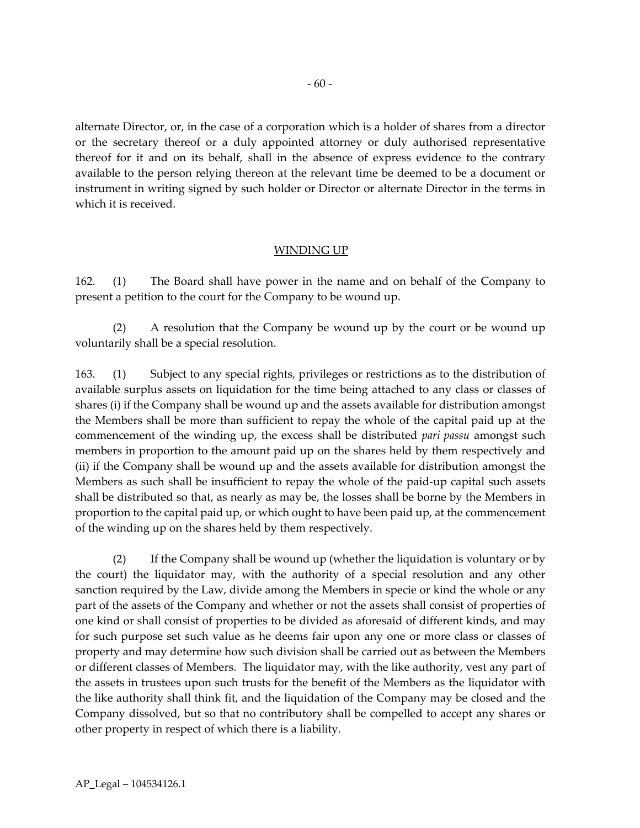alternate Director, or, in the case of a corporation which is a holder of shares from a director or the secretary thereof or a duly appointed attorney or duly authorised representative thereof for it and on its behalf, shall in the absence of express evidence to the contrary available to the person relying thereon at the relevant time be deemed to be a document or instrument in writing signed by such holder or Director or alternate Director in the terms in which it is received.

## WINDING UP

162. (1) The Board shall have power in the name and on behalf of the Company to present a petition to the court for the Company to be wound up.

(2) A resolution that the Company be wound up by the court or be wound up voluntarily shall be a special resolution.

163. (1) Subject to any special rights, privileges or restrictions as to the distribution of available surplus assets on liquidation for the time being attached to any class or classes of shares (i) if the Company shall be wound up and the assets available for distribution amongst the Members shall be more than sufficient to repay the whole of the capital paid up at the commencement of the winding up, the excess shall be distributed *pari passu* amongst such members in proportion to the amount paid up on the shares held by them respectively and (ii) if the Company shall be wound up and the assets available for distribution amongst the Members as such shall be insufficient to repay the whole of the paid-up capital such assets shall be distributed so that, as nearly as may be, the losses shall be borne by the Members in proportion to the capital paid up, or which ought to have been paid up, at the commencement of the winding up on the shares held by them respectively.

(2) If the Company shall be wound up (whether the liquidation is voluntary or by the court) the liquidator may, with the authority of a special resolution and any other sanction required by the Law, divide among the Members in specie or kind the whole or any part of the assets of the Company and whether or not the assets shall consist of properties of one kind or shall consist of properties to be divided as aforesaid of different kinds, and may for such purpose set such value as he deems fair upon any one or more class or classes of property and may determine how such division shall be carried out as between the Members or different classes of Members. The liquidator may, with the like authority, vest any part of the assets in trustees upon such trusts for the benefit of the Members as the liquidator with the like authority shall think fit, and the liquidation of the Company may be closed and the Company dissolved, but so that no contributory shall be compelled to accept any shares or other property in respect of which there is a liability.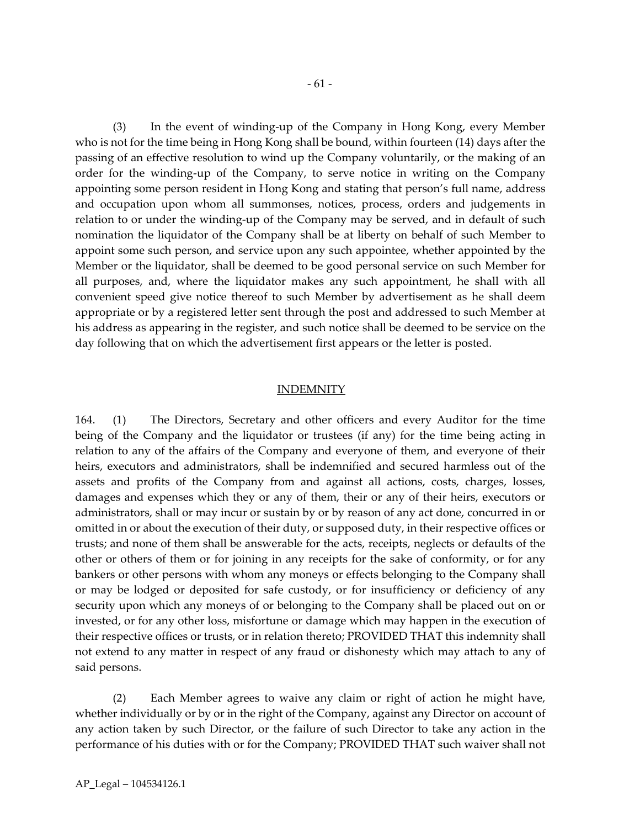(3) In the event of winding-up of the Company in Hong Kong, every Member who is not for the time being in Hong Kong shall be bound, within fourteen (14) days after the passing of an effective resolution to wind up the Company voluntarily, or the making of an order for the winding-up of the Company, to serve notice in writing on the Company appointing some person resident in Hong Kong and stating that person's full name, address and occupation upon whom all summonses, notices, process, orders and judgements in relation to or under the winding-up of the Company may be served, and in default of such nomination the liquidator of the Company shall be at liberty on behalf of such Member to appoint some such person, and service upon any such appointee, whether appointed by the Member or the liquidator, shall be deemed to be good personal service on such Member for all purposes, and, where the liquidator makes any such appointment, he shall with all convenient speed give notice thereof to such Member by advertisement as he shall deem appropriate or by a registered letter sent through the post and addressed to such Member at his address as appearing in the register, and such notice shall be deemed to be service on the day following that on which the advertisement first appears or the letter is posted.

#### INDEMNITY

164. (1) The Directors, Secretary and other officers and every Auditor for the time being of the Company and the liquidator or trustees (if any) for the time being acting in relation to any of the affairs of the Company and everyone of them, and everyone of their heirs, executors and administrators, shall be indemnified and secured harmless out of the assets and profits of the Company from and against all actions, costs, charges, losses, damages and expenses which they or any of them, their or any of their heirs, executors or administrators, shall or may incur or sustain by or by reason of any act done, concurred in or omitted in or about the execution of their duty, or supposed duty, in their respective offices or trusts; and none of them shall be answerable for the acts, receipts, neglects or defaults of the other or others of them or for joining in any receipts for the sake of conformity, or for any bankers or other persons with whom any moneys or effects belonging to the Company shall or may be lodged or deposited for safe custody, or for insufficiency or deficiency of any security upon which any moneys of or belonging to the Company shall be placed out on or invested, or for any other loss, misfortune or damage which may happen in the execution of their respective offices or trusts, or in relation thereto; PROVIDED THAT this indemnity shall not extend to any matter in respect of any fraud or dishonesty which may attach to any of said persons.

(2) Each Member agrees to waive any claim or right of action he might have, whether individually or by or in the right of the Company, against any Director on account of any action taken by such Director, or the failure of such Director to take any action in the performance of his duties with or for the Company; PROVIDED THAT such waiver shall not